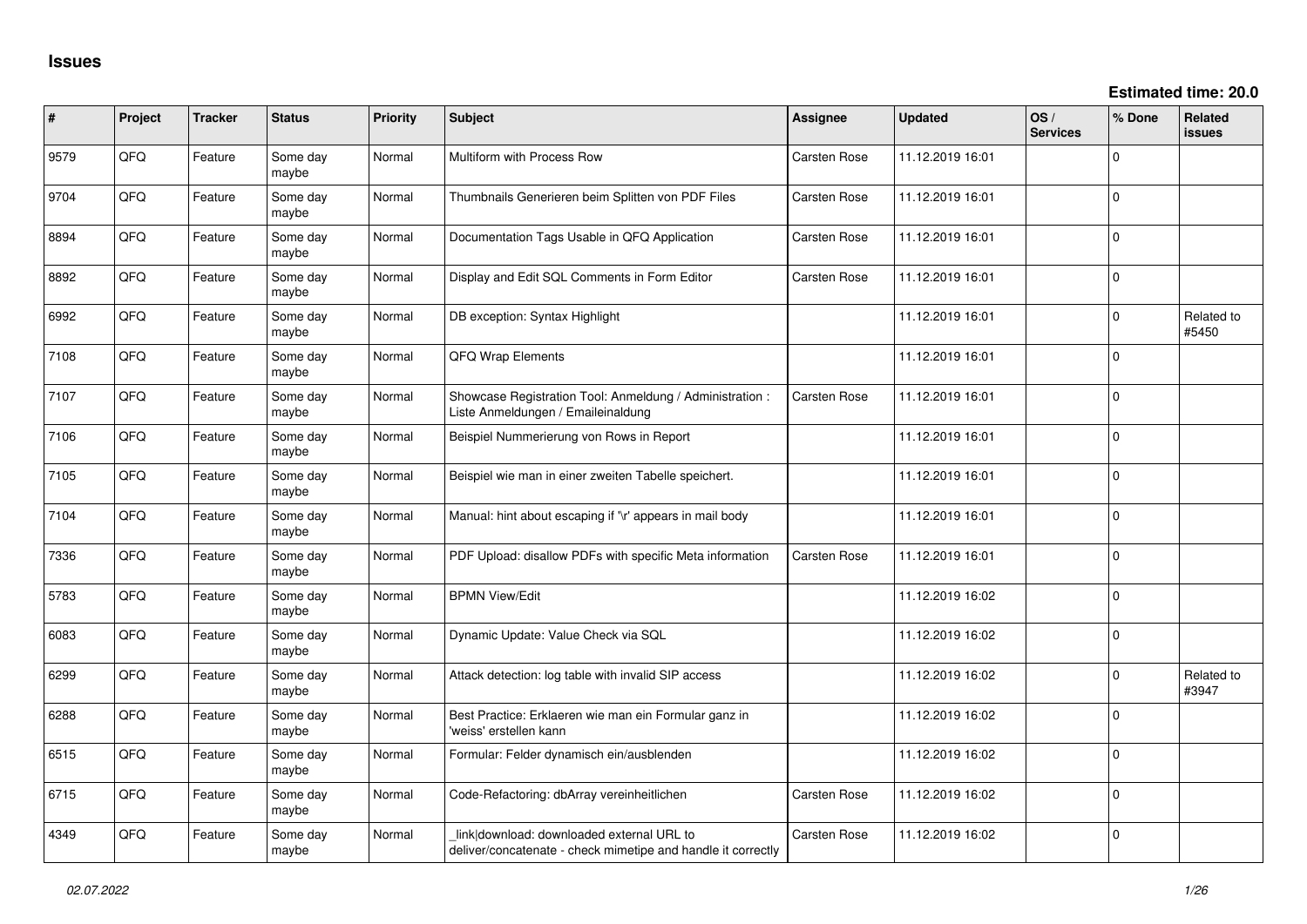| ∦    | Project | <b>Tracker</b> | <b>Status</b>     | Priority | Subject                                                                                                   | <b>Assignee</b>     | <b>Updated</b>   | OS/<br><b>Services</b> | % Done   | Related<br><b>issues</b> |
|------|---------|----------------|-------------------|----------|-----------------------------------------------------------------------------------------------------------|---------------------|------------------|------------------------|----------|--------------------------|
| 9579 | QFQ     | Feature        | Some dav<br>maybe | Normal   | Multiform with Process Row                                                                                | Carsten Rose        | 11.12.2019 16:01 |                        | $\Omega$ |                          |
| 9704 | QFQ     | Feature        | Some day<br>maybe | Normal   | Thumbnails Generieren beim Splitten von PDF Files                                                         | Carsten Rose        | 11.12.2019 16:01 |                        | $\Omega$ |                          |
| 8894 | QFQ     | Feature        | Some day<br>maybe | Normal   | Documentation Tags Usable in QFQ Application                                                              | Carsten Rose        | 11.12.2019 16:01 |                        | $\Omega$ |                          |
| 8892 | QFQ     | Feature        | Some day<br>maybe | Normal   | Display and Edit SQL Comments in Form Editor                                                              | <b>Carsten Rose</b> | 11.12.2019 16:01 |                        | $\Omega$ |                          |
| 6992 | QFQ     | Feature        | Some day<br>maybe | Normal   | DB exception: Syntax Highlight                                                                            |                     | 11.12.2019 16:01 |                        | $\Omega$ | Related to<br>#5450      |
| 7108 | QFQ     | Feature        | Some day<br>maybe | Normal   | QFQ Wrap Elements                                                                                         |                     | 11.12.2019 16:01 |                        | $\Omega$ |                          |
| 7107 | QFQ     | Feature        | Some day<br>maybe | Normal   | Showcase Registration Tool: Anmeldung / Administration :<br>Liste Anmeldungen / Emaileinaldung            | <b>Carsten Rose</b> | 11.12.2019 16:01 |                        | l O      |                          |
| 7106 | QFQ     | Feature        | Some day<br>maybe | Normal   | Beispiel Nummerierung von Rows in Report                                                                  |                     | 11.12.2019 16:01 |                        | ١o       |                          |
| 7105 | QFQ     | Feature        | Some day<br>maybe | Normal   | Beispiel wie man in einer zweiten Tabelle speichert.                                                      |                     | 11.12.2019 16:01 |                        | I٥       |                          |
| 7104 | QFQ     | Feature        | Some day<br>maybe | Normal   | Manual: hint about escaping if '\r' appears in mail body                                                  |                     | 11.12.2019 16:01 |                        | $\Omega$ |                          |
| 7336 | QFQ     | Feature        | Some day<br>maybe | Normal   | PDF Upload: disallow PDFs with specific Meta information                                                  | Carsten Rose        | 11.12.2019 16:01 |                        | I٥       |                          |
| 5783 | QFQ     | Feature        | Some day<br>maybe | Normal   | <b>BPMN View/Edit</b>                                                                                     |                     | 11.12.2019 16:02 |                        | $\Omega$ |                          |
| 6083 | QFQ     | Feature        | Some day<br>maybe | Normal   | Dynamic Update: Value Check via SQL                                                                       |                     | 11.12.2019 16:02 |                        | $\Omega$ |                          |
| 6299 | QFQ     | Feature        | Some dav<br>maybe | Normal   | Attack detection: log table with invalid SIP access                                                       |                     | 11.12.2019 16:02 |                        | $\Omega$ | Related to<br>#3947      |
| 6288 | QFQ     | Feature        | Some day<br>maybe | Normal   | Best Practice: Erklaeren wie man ein Formular ganz in<br>'weiss' erstellen kann                           |                     | 11.12.2019 16:02 |                        | I٥       |                          |
| 6515 | QFQ     | Feature        | Some day<br>maybe | Normal   | Formular: Felder dynamisch ein/ausblenden                                                                 |                     | 11.12.2019 16:02 |                        | l o      |                          |
| 6715 | QFQ     | Feature        | Some day<br>maybe | Normal   | Code-Refactoring: dbArray vereinheitlichen                                                                | Carsten Rose        | 11.12.2019 16:02 |                        | ١o       |                          |
| 4349 | QFQ     | Feature        | Some day<br>maybe | Normal   | link download: downloaded external URL to<br>deliver/concatenate - check mimetipe and handle it correctly | Carsten Rose        | 11.12.2019 16:02 |                        | l O      |                          |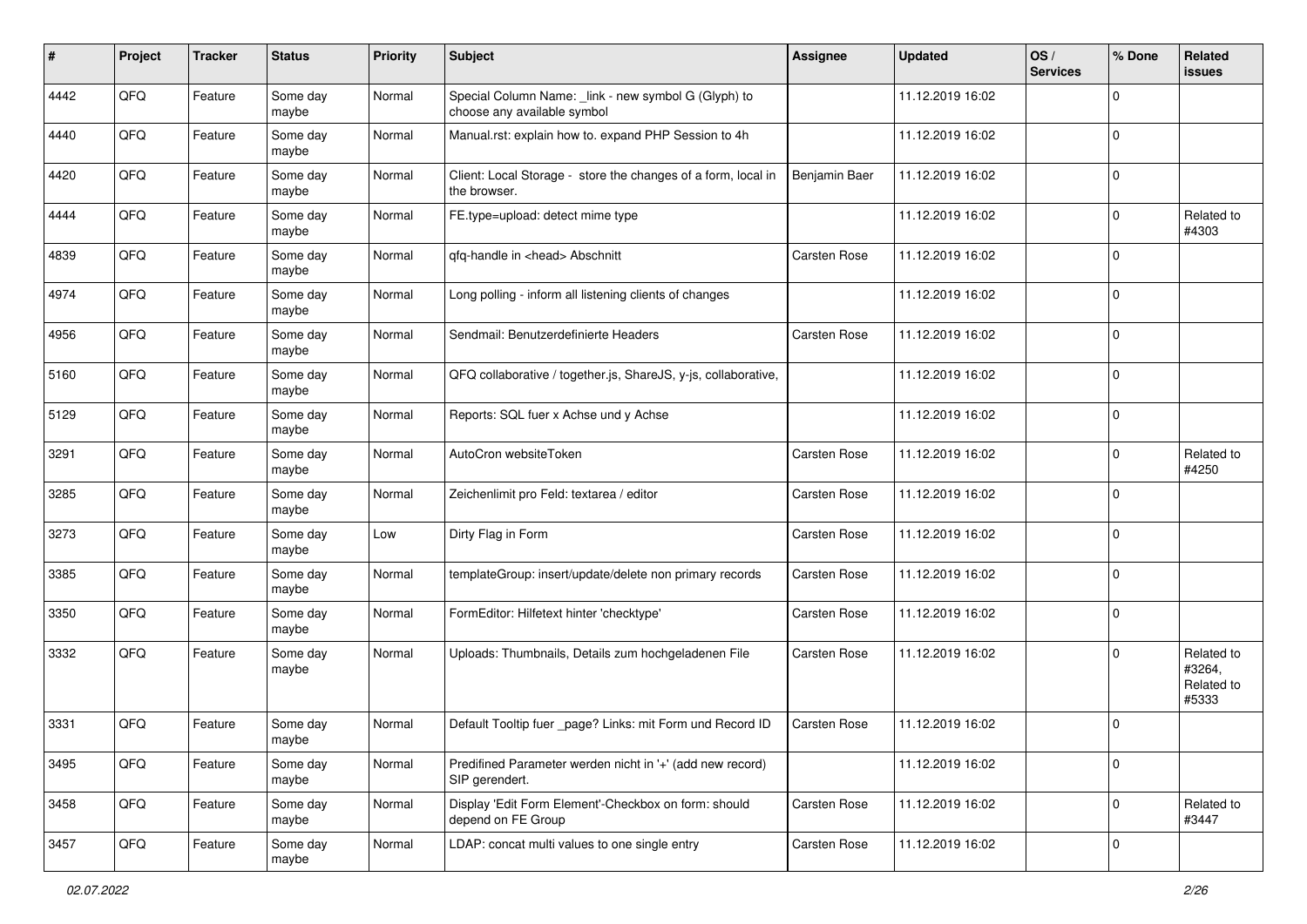| #    | Project | <b>Tracker</b> | <b>Status</b>     | <b>Priority</b> | Subject                                                                             | <b>Assignee</b> | <b>Updated</b>   | OS/<br><b>Services</b> | % Done      | Related<br><b>issues</b>                    |
|------|---------|----------------|-------------------|-----------------|-------------------------------------------------------------------------------------|-----------------|------------------|------------------------|-------------|---------------------------------------------|
| 4442 | QFQ     | Feature        | Some day<br>maybe | Normal          | Special Column Name: _link - new symbol G (Glyph) to<br>choose any available symbol |                 | 11.12.2019 16:02 |                        | $\mathbf 0$ |                                             |
| 4440 | QFQ     | Feature        | Some day<br>maybe | Normal          | Manual.rst: explain how to. expand PHP Session to 4h                                |                 | 11.12.2019 16:02 |                        | $\mathbf 0$ |                                             |
| 4420 | QFQ     | Feature        | Some day<br>maybe | Normal          | Client: Local Storage - store the changes of a form, local in<br>the browser.       | Benjamin Baer   | 11.12.2019 16:02 |                        | $\mathbf 0$ |                                             |
| 4444 | QFQ     | Feature        | Some day<br>maybe | Normal          | FE.type=upload: detect mime type                                                    |                 | 11.12.2019 16:02 |                        | $\mathbf 0$ | Related to<br>#4303                         |
| 4839 | QFQ     | Feature        | Some day<br>maybe | Normal          | qfq-handle in <head> Abschnitt</head>                                               | Carsten Rose    | 11.12.2019 16:02 |                        | $\mathbf 0$ |                                             |
| 4974 | QFQ     | Feature        | Some day<br>maybe | Normal          | Long polling - inform all listening clients of changes                              |                 | 11.12.2019 16:02 |                        | $\mathbf 0$ |                                             |
| 4956 | QFQ     | Feature        | Some day<br>maybe | Normal          | Sendmail: Benutzerdefinierte Headers                                                | Carsten Rose    | 11.12.2019 16:02 |                        | $\mathbf 0$ |                                             |
| 5160 | QFQ     | Feature        | Some day<br>maybe | Normal          | QFQ collaborative / together.js, ShareJS, y-js, collaborative,                      |                 | 11.12.2019 16:02 |                        | $\mathbf 0$ |                                             |
| 5129 | QFQ     | Feature        | Some day<br>maybe | Normal          | Reports: SQL fuer x Achse und y Achse                                               |                 | 11.12.2019 16:02 |                        | $\mathbf 0$ |                                             |
| 3291 | QFQ     | Feature        | Some day<br>maybe | Normal          | AutoCron websiteToken                                                               | Carsten Rose    | 11.12.2019 16:02 |                        | 0           | Related to<br>#4250                         |
| 3285 | QFQ     | Feature        | Some day<br>maybe | Normal          | Zeichenlimit pro Feld: textarea / editor                                            | Carsten Rose    | 11.12.2019 16:02 |                        | $\mathbf 0$ |                                             |
| 3273 | QFQ     | Feature        | Some day<br>maybe | Low             | Dirty Flag in Form                                                                  | Carsten Rose    | 11.12.2019 16:02 |                        | $\mathbf 0$ |                                             |
| 3385 | QFQ     | Feature        | Some day<br>maybe | Normal          | templateGroup: insert/update/delete non primary records                             | Carsten Rose    | 11.12.2019 16:02 |                        | $\mathbf 0$ |                                             |
| 3350 | QFQ     | Feature        | Some day<br>maybe | Normal          | FormEditor: Hilfetext hinter 'checktype'                                            | Carsten Rose    | 11.12.2019 16:02 |                        | $\mathbf 0$ |                                             |
| 3332 | QFQ     | Feature        | Some day<br>maybe | Normal          | Uploads: Thumbnails, Details zum hochgeladenen File                                 | Carsten Rose    | 11.12.2019 16:02 |                        | $\mathbf 0$ | Related to<br>#3264,<br>Related to<br>#5333 |
| 3331 | QFQ     | Feature        | Some day<br>maybe | Normal          | Default Tooltip fuer _page? Links: mit Form und Record ID                           | Carsten Rose    | 11.12.2019 16:02 |                        | $\mathbf 0$ |                                             |
| 3495 | QFQ     | Feature        | Some day<br>maybe | Normal          | Predifined Parameter werden nicht in '+' (add new record)<br>SIP gerendert.         |                 | 11.12.2019 16:02 |                        | $\mathbf 0$ |                                             |
| 3458 | QFQ     | Feature        | Some day<br>maybe | Normal          | Display 'Edit Form Element'-Checkbox on form: should<br>depend on FE Group          | Carsten Rose    | 11.12.2019 16:02 |                        | $\mathbf 0$ | Related to<br>#3447                         |
| 3457 | QFQ     | Feature        | Some day<br>maybe | Normal          | LDAP: concat multi values to one single entry                                       | Carsten Rose    | 11.12.2019 16:02 |                        | $\mathbf 0$ |                                             |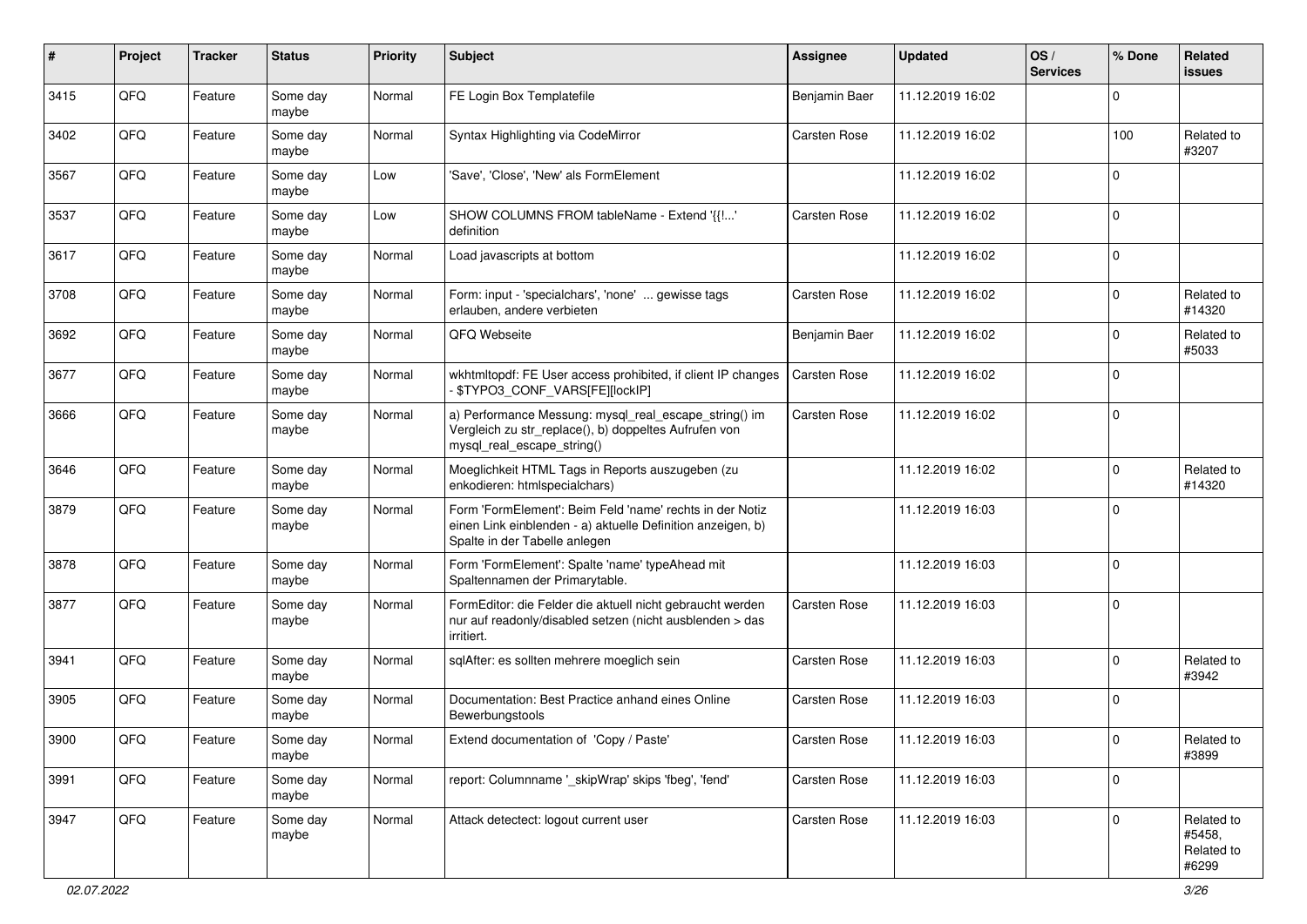| $\pmb{\#}$ | Project | <b>Tracker</b> | <b>Status</b>     | <b>Priority</b> | <b>Subject</b>                                                                                                                                           | Assignee      | <b>Updated</b>   | OS/<br><b>Services</b> | % Done      | Related<br><b>issues</b>                    |
|------------|---------|----------------|-------------------|-----------------|----------------------------------------------------------------------------------------------------------------------------------------------------------|---------------|------------------|------------------------|-------------|---------------------------------------------|
| 3415       | QFQ     | Feature        | Some day<br>maybe | Normal          | FE Login Box Templatefile                                                                                                                                | Benjamin Baer | 11.12.2019 16:02 |                        | $\Omega$    |                                             |
| 3402       | QFQ     | Feature        | Some day<br>maybe | Normal          | Syntax Highlighting via CodeMirror                                                                                                                       | Carsten Rose  | 11.12.2019 16:02 |                        | 100         | Related to<br>#3207                         |
| 3567       | QFQ     | Feature        | Some day<br>maybe | Low             | 'Save', 'Close', 'New' als FormElement                                                                                                                   |               | 11.12.2019 16:02 |                        | $\mathbf 0$ |                                             |
| 3537       | QFQ     | Feature        | Some day<br>maybe | Low             | SHOW COLUMNS FROM tableName - Extend '{{!'<br>definition                                                                                                 | Carsten Rose  | 11.12.2019 16:02 |                        | $\mathbf 0$ |                                             |
| 3617       | QFQ     | Feature        | Some day<br>maybe | Normal          | Load javascripts at bottom                                                                                                                               |               | 11.12.2019 16:02 |                        | $\mathbf 0$ |                                             |
| 3708       | QFQ     | Feature        | Some day<br>maybe | Normal          | Form: input - 'specialchars', 'none'  gewisse tags<br>erlauben, andere verbieten                                                                         | Carsten Rose  | 11.12.2019 16:02 |                        | $\Omega$    | Related to<br>#14320                        |
| 3692       | QFQ     | Feature        | Some day<br>maybe | Normal          | QFQ Webseite                                                                                                                                             | Benjamin Baer | 11.12.2019 16:02 |                        | $\mathbf 0$ | Related to<br>#5033                         |
| 3677       | QFQ     | Feature        | Some day<br>maybe | Normal          | wkhtmltopdf: FE User access prohibited, if client IP changes<br>\$TYPO3_CONF_VARS[FE][lockIP]                                                            | Carsten Rose  | 11.12.2019 16:02 |                        | $\mathbf 0$ |                                             |
| 3666       | QFQ     | Feature        | Some day<br>maybe | Normal          | a) Performance Messung: mysql_real_escape_string() im<br>Vergleich zu str_replace(), b) doppeltes Aufrufen von<br>mysql_real_escape_string()             | Carsten Rose  | 11.12.2019 16:02 |                        | $\mathbf 0$ |                                             |
| 3646       | QFQ     | Feature        | Some day<br>maybe | Normal          | Moeglichkeit HTML Tags in Reports auszugeben (zu<br>enkodieren: htmlspecialchars)                                                                        |               | 11.12.2019 16:02 |                        | $\mathbf 0$ | Related to<br>#14320                        |
| 3879       | QFQ     | Feature        | Some day<br>maybe | Normal          | Form 'FormElement': Beim Feld 'name' rechts in der Notiz<br>einen Link einblenden - a) aktuelle Definition anzeigen, b)<br>Spalte in der Tabelle anlegen |               | 11.12.2019 16:03 |                        | $\Omega$    |                                             |
| 3878       | QFQ     | Feature        | Some day<br>maybe | Normal          | Form 'FormElement': Spalte 'name' typeAhead mit<br>Spaltennamen der Primarytable.                                                                        |               | 11.12.2019 16:03 |                        | $\Omega$    |                                             |
| 3877       | QFQ     | Feature        | Some day<br>maybe | Normal          | FormEditor: die Felder die aktuell nicht gebraucht werden<br>nur auf readonly/disabled setzen (nicht ausblenden > das<br>irritiert.                      | Carsten Rose  | 11.12.2019 16:03 |                        | $\mathbf 0$ |                                             |
| 3941       | QFQ     | Feature        | Some day<br>maybe | Normal          | sqlAfter: es sollten mehrere moeglich sein                                                                                                               | Carsten Rose  | 11.12.2019 16:03 |                        | $\mathbf 0$ | Related to<br>#3942                         |
| 3905       | QFQ     | Feature        | Some day<br>maybe | Normal          | Documentation: Best Practice anhand eines Online<br>Bewerbungstools                                                                                      | Carsten Rose  | 11.12.2019 16:03 |                        | $\Omega$    |                                             |
| 3900       | QFQ     | Feature        | Some day<br>maybe | Normal          | Extend documentation of 'Copy / Paste'                                                                                                                   | Carsten Rose  | 11.12.2019 16:03 |                        | $\pmb{0}$   | Related to<br>#3899                         |
| 3991       | QFQ     | Feature        | Some day<br>maybe | Normal          | report: Columnname '_skipWrap' skips 'fbeg', 'fend'                                                                                                      | Carsten Rose  | 11.12.2019 16:03 |                        | $\mathbf 0$ |                                             |
| 3947       | QFQ     | Feature        | Some day<br>maybe | Normal          | Attack detectect: logout current user                                                                                                                    | Carsten Rose  | 11.12.2019 16:03 |                        | $\mathbf 0$ | Related to<br>#5458,<br>Related to<br>#6299 |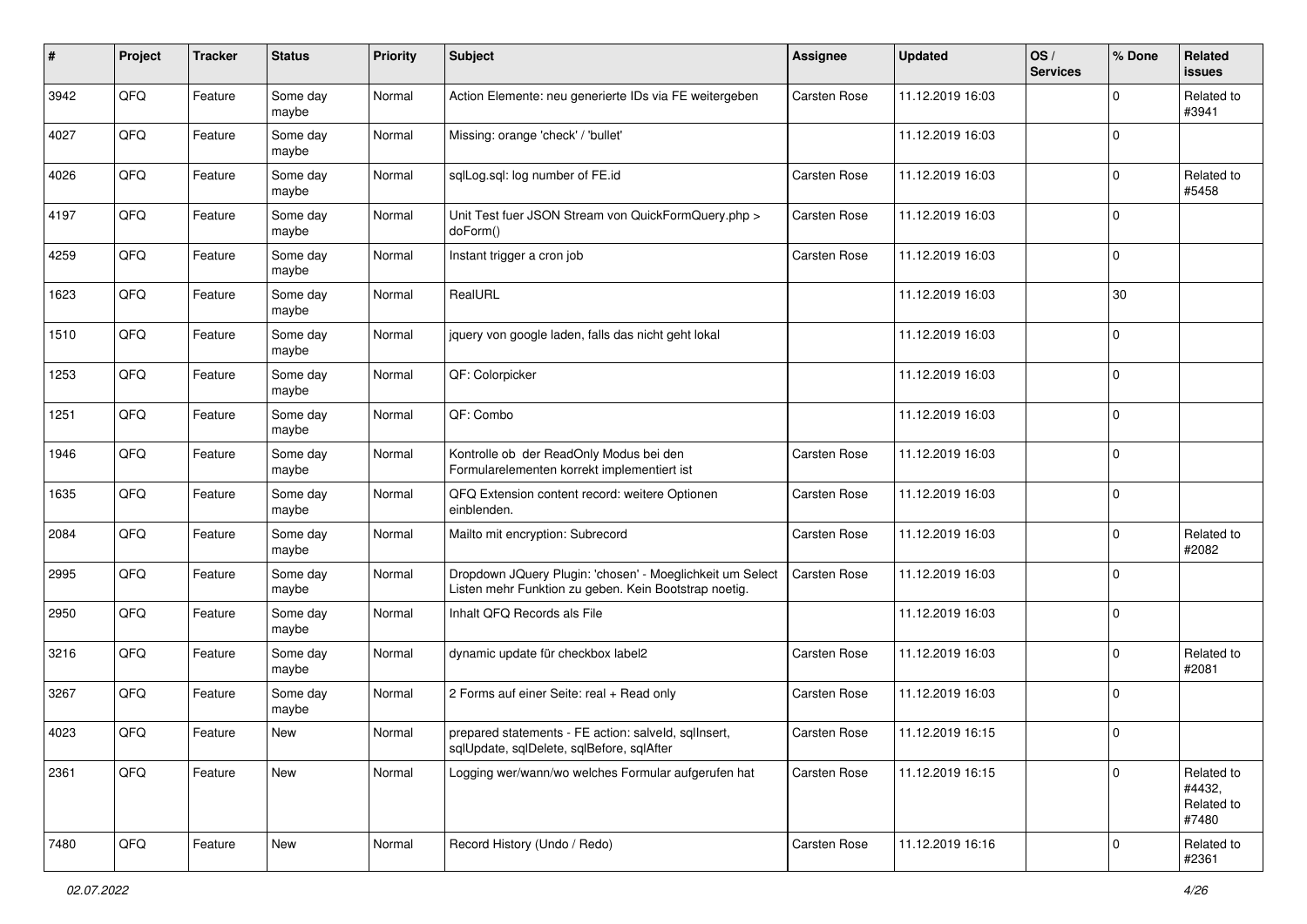| #    | Project | <b>Tracker</b> | <b>Status</b>     | <b>Priority</b> | <b>Subject</b>                                                                                                     | <b>Assignee</b> | <b>Updated</b>   | OS/<br><b>Services</b> | % Done         | Related<br>issues                           |
|------|---------|----------------|-------------------|-----------------|--------------------------------------------------------------------------------------------------------------------|-----------------|------------------|------------------------|----------------|---------------------------------------------|
| 3942 | QFQ     | Feature        | Some day<br>maybe | Normal          | Action Elemente: neu generierte IDs via FE weitergeben                                                             | Carsten Rose    | 11.12.2019 16:03 |                        | $\mathbf 0$    | Related to<br>#3941                         |
| 4027 | QFQ     | Feature        | Some day<br>maybe | Normal          | Missing: orange 'check' / 'bullet'                                                                                 |                 | 11.12.2019 16:03 |                        | $\mathbf 0$    |                                             |
| 4026 | QFQ     | Feature        | Some day<br>maybe | Normal          | sqlLog.sql: log number of FE.id                                                                                    | Carsten Rose    | 11.12.2019 16:03 |                        | $\Omega$       | Related to<br>#5458                         |
| 4197 | QFQ     | Feature        | Some day<br>maybe | Normal          | Unit Test fuer JSON Stream von QuickFormQuery.php ><br>doForm()                                                    | Carsten Rose    | 11.12.2019 16:03 |                        | $\mathbf 0$    |                                             |
| 4259 | QFQ     | Feature        | Some day<br>maybe | Normal          | Instant trigger a cron job                                                                                         | Carsten Rose    | 11.12.2019 16:03 |                        | 0              |                                             |
| 1623 | QFQ     | Feature        | Some day<br>maybe | Normal          | RealURL                                                                                                            |                 | 11.12.2019 16:03 |                        | 30             |                                             |
| 1510 | QFQ     | Feature        | Some day<br>maybe | Normal          | jquery von google laden, falls das nicht geht lokal                                                                |                 | 11.12.2019 16:03 |                        | 0              |                                             |
| 1253 | QFQ     | Feature        | Some day<br>maybe | Normal          | QF: Colorpicker                                                                                                    |                 | 11.12.2019 16:03 |                        | 0              |                                             |
| 1251 | QFQ     | Feature        | Some day<br>maybe | Normal          | QF: Combo                                                                                                          |                 | 11.12.2019 16:03 |                        | 0              |                                             |
| 1946 | QFQ     | Feature        | Some day<br>maybe | Normal          | Kontrolle ob der ReadOnly Modus bei den<br>Formularelementen korrekt implementiert ist                             | Carsten Rose    | 11.12.2019 16:03 |                        | $\mathbf 0$    |                                             |
| 1635 | QFQ     | Feature        | Some day<br>maybe | Normal          | QFQ Extension content record: weitere Optionen<br>einblenden.                                                      | Carsten Rose    | 11.12.2019 16:03 |                        | 0              |                                             |
| 2084 | QFQ     | Feature        | Some day<br>maybe | Normal          | Mailto mit encryption: Subrecord                                                                                   | Carsten Rose    | 11.12.2019 16:03 |                        | $\mathbf 0$    | Related to<br>#2082                         |
| 2995 | QFQ     | Feature        | Some day<br>maybe | Normal          | Dropdown JQuery Plugin: 'chosen' - Moeglichkeit um Select<br>Listen mehr Funktion zu geben. Kein Bootstrap noetig. | Carsten Rose    | 11.12.2019 16:03 |                        | $\mathbf 0$    |                                             |
| 2950 | QFQ     | Feature        | Some day<br>maybe | Normal          | Inhalt QFQ Records als File                                                                                        |                 | 11.12.2019 16:03 |                        | $\overline{0}$ |                                             |
| 3216 | QFQ     | Feature        | Some day<br>maybe | Normal          | dynamic update für checkbox label2                                                                                 | Carsten Rose    | 11.12.2019 16:03 |                        | $\mathbf 0$    | Related to<br>#2081                         |
| 3267 | QFQ     | Feature        | Some day<br>maybe | Normal          | 2 Forms auf einer Seite: real + Read only                                                                          | Carsten Rose    | 11.12.2019 16:03 |                        | 0              |                                             |
| 4023 | QFQ     | Feature        | <b>New</b>        | Normal          | prepared statements - FE action: salveld, sqllnsert,<br>sqlUpdate, sqlDelete, sqlBefore, sqlAfter                  | Carsten Rose    | 11.12.2019 16:15 |                        | 0              |                                             |
| 2361 | QFQ     | Feature        | New               | Normal          | Logging wer/wann/wo welches Formular aufgerufen hat                                                                | Carsten Rose    | 11.12.2019 16:15 |                        | $\mathbf 0$    | Related to<br>#4432,<br>Related to<br>#7480 |
| 7480 | QFQ     | Feature        | New               | Normal          | Record History (Undo / Redo)                                                                                       | Carsten Rose    | 11.12.2019 16:16 |                        | $\overline{0}$ | Related to<br>#2361                         |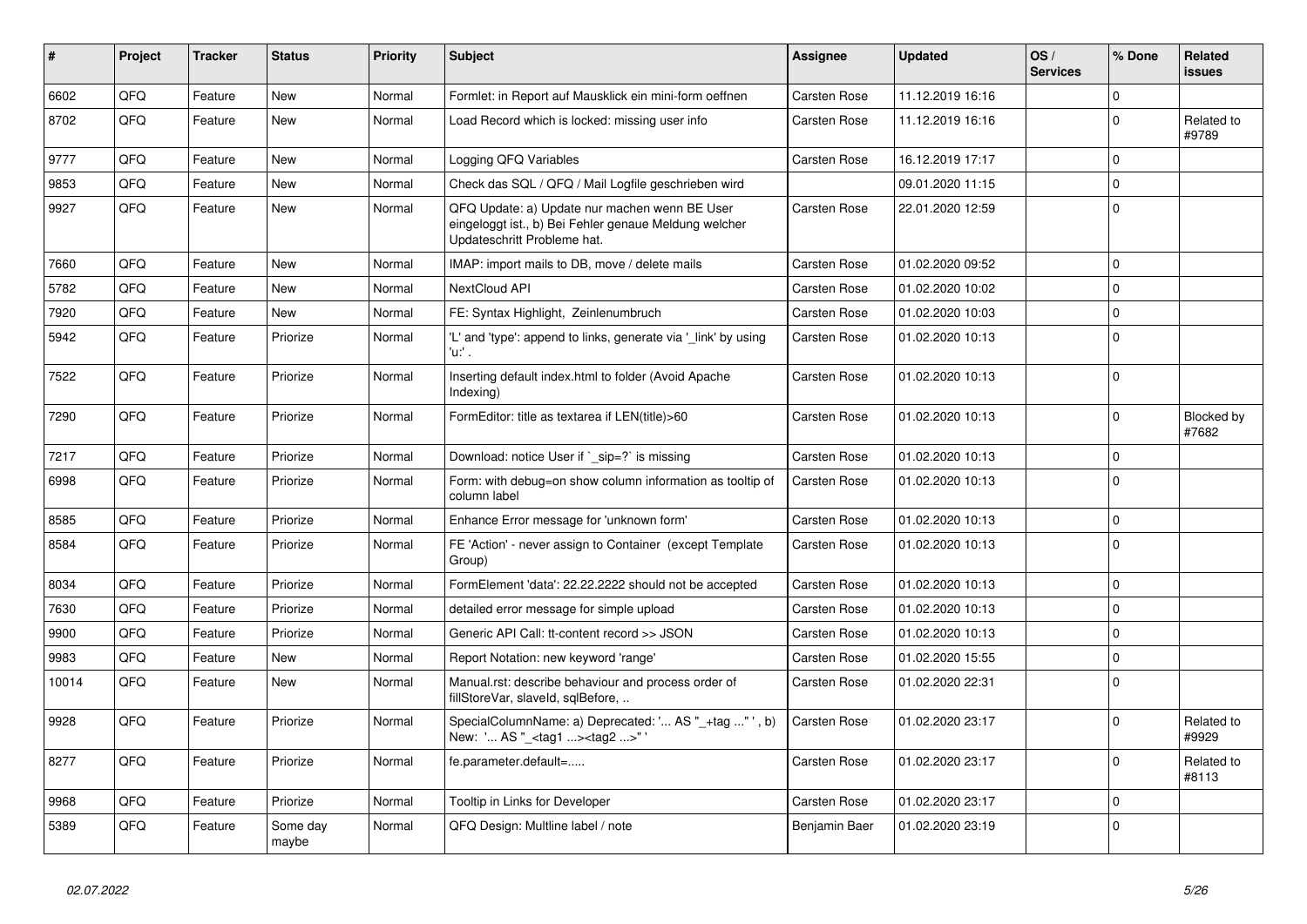| #     | <b>Project</b> | <b>Tracker</b> | <b>Status</b>     | <b>Priority</b> | <b>Subject</b>                                                                                                                        | Assignee            | <b>Updated</b>   | OS/<br><b>Services</b> | % Done         | Related<br><b>issues</b> |
|-------|----------------|----------------|-------------------|-----------------|---------------------------------------------------------------------------------------------------------------------------------------|---------------------|------------------|------------------------|----------------|--------------------------|
| 6602  | QFQ            | Feature        | <b>New</b>        | Normal          | Formlet: in Report auf Mausklick ein mini-form oeffnen                                                                                | Carsten Rose        | 11.12.2019 16:16 |                        | $\mathbf 0$    |                          |
| 8702  | QFQ            | Feature        | <b>New</b>        | Normal          | Load Record which is locked: missing user info                                                                                        | Carsten Rose        | 11.12.2019 16:16 |                        | $\mathbf 0$    | Related to<br>#9789      |
| 9777  | QFQ            | Feature        | <b>New</b>        | Normal          | Logging QFQ Variables                                                                                                                 | Carsten Rose        | 16.12.2019 17:17 |                        | $\overline{0}$ |                          |
| 9853  | QFQ            | Feature        | New               | Normal          | Check das SQL / QFQ / Mail Logfile geschrieben wird                                                                                   |                     | 09.01.2020 11:15 |                        | $\Omega$       |                          |
| 9927  | QFQ            | Feature        | New               | Normal          | QFQ Update: a) Update nur machen wenn BE User<br>eingeloggt ist., b) Bei Fehler genaue Meldung welcher<br>Updateschritt Probleme hat. | <b>Carsten Rose</b> | 22.01.2020 12:59 |                        | 0              |                          |
| 7660  | QFQ            | Feature        | <b>New</b>        | Normal          | IMAP: import mails to DB, move / delete mails                                                                                         | Carsten Rose        | 01.02.2020 09:52 |                        | $\Omega$       |                          |
| 5782  | QFQ            | Feature        | <b>New</b>        | Normal          | <b>NextCloud API</b>                                                                                                                  | Carsten Rose        | 01.02.2020 10:02 |                        | $\Omega$       |                          |
| 7920  | QFQ            | Feature        | <b>New</b>        | Normal          | FE: Syntax Highlight, Zeinlenumbruch                                                                                                  | Carsten Rose        | 01.02.2020 10:03 |                        | 0              |                          |
| 5942  | QFQ            | Feature        | Priorize          | Normal          | 'L' and 'type': append to links, generate via '_link' by using<br>'u:' .                                                              | Carsten Rose        | 01.02.2020 10:13 |                        | $\Omega$       |                          |
| 7522  | QFQ            | Feature        | Priorize          | Normal          | Inserting default index.html to folder (Avoid Apache<br>Indexing)                                                                     | Carsten Rose        | 01.02.2020 10:13 |                        | $\mathbf 0$    |                          |
| 7290  | QFQ            | Feature        | Priorize          | Normal          | FormEditor: title as textarea if LEN(title)>60                                                                                        | Carsten Rose        | 01.02.2020 10:13 |                        | $\Omega$       | Blocked by<br>#7682      |
| 7217  | QFQ            | Feature        | Priorize          | Normal          | Download: notice User if ` sip=?` is missing                                                                                          | Carsten Rose        | 01.02.2020 10:13 |                        | $\mathbf 0$    |                          |
| 6998  | QFQ            | Feature        | Priorize          | Normal          | Form: with debug=on show column information as tooltip of<br>column label                                                             | Carsten Rose        | 01.02.2020 10:13 |                        | 0              |                          |
| 8585  | QFQ            | Feature        | Priorize          | Normal          | Enhance Error message for 'unknown form'                                                                                              | Carsten Rose        | 01.02.2020 10:13 |                        | $\mathbf 0$    |                          |
| 8584  | QFQ            | Feature        | Priorize          | Normal          | FE 'Action' - never assign to Container (except Template<br>Group)                                                                    | Carsten Rose        | 01.02.2020 10:13 |                        | 0              |                          |
| 8034  | QFQ            | Feature        | Priorize          | Normal          | FormElement 'data': 22.22.2222 should not be accepted                                                                                 | <b>Carsten Rose</b> | 01.02.2020 10:13 |                        | 0              |                          |
| 7630  | QFQ            | Feature        | Priorize          | Normal          | detailed error message for simple upload                                                                                              | Carsten Rose        | 01.02.2020 10:13 |                        | $\mathbf 0$    |                          |
| 9900  | QFQ            | Feature        | Priorize          | Normal          | Generic API Call: tt-content record >> JSON                                                                                           | <b>Carsten Rose</b> | 01.02.2020 10:13 |                        | $\mathbf 0$    |                          |
| 9983  | QFQ            | Feature        | New               | Normal          | Report Notation: new keyword 'range'                                                                                                  | <b>Carsten Rose</b> | 01.02.2020 15:55 |                        | $\mathbf 0$    |                          |
| 10014 | QFQ            | Feature        | New               | Normal          | Manual.rst: describe behaviour and process order of<br>fillStoreVar, slaveId, sqlBefore,                                              | Carsten Rose        | 01.02.2020 22:31 |                        | $\mathbf 0$    |                          |
| 9928  | QFQ            | Feature        | Priorize          | Normal          | SpecialColumnName: a) Deprecated: ' AS "_+tag "', b)<br>New: ' AS "_ <tag1><tag2>"</tag2></tag1>                                      | Carsten Rose        | 01.02.2020 23:17 |                        | $\Omega$       | Related to<br>#9929      |
| 8277  | QFQ            | Feature        | Priorize          | Normal          | fe.parameter.default=                                                                                                                 | Carsten Rose        | 01.02.2020 23:17 |                        | $\mathbf 0$    | Related to<br>#8113      |
| 9968  | QFQ            | Feature        | Priorize          | Normal          | Tooltip in Links for Developer                                                                                                        | Carsten Rose        | 01.02.2020 23:17 |                        | 0              |                          |
| 5389  | QFQ            | Feature        | Some day<br>maybe | Normal          | QFQ Design: Multline label / note                                                                                                     | Benjamin Baer       | 01.02.2020 23:19 |                        | $\mathbf 0$    |                          |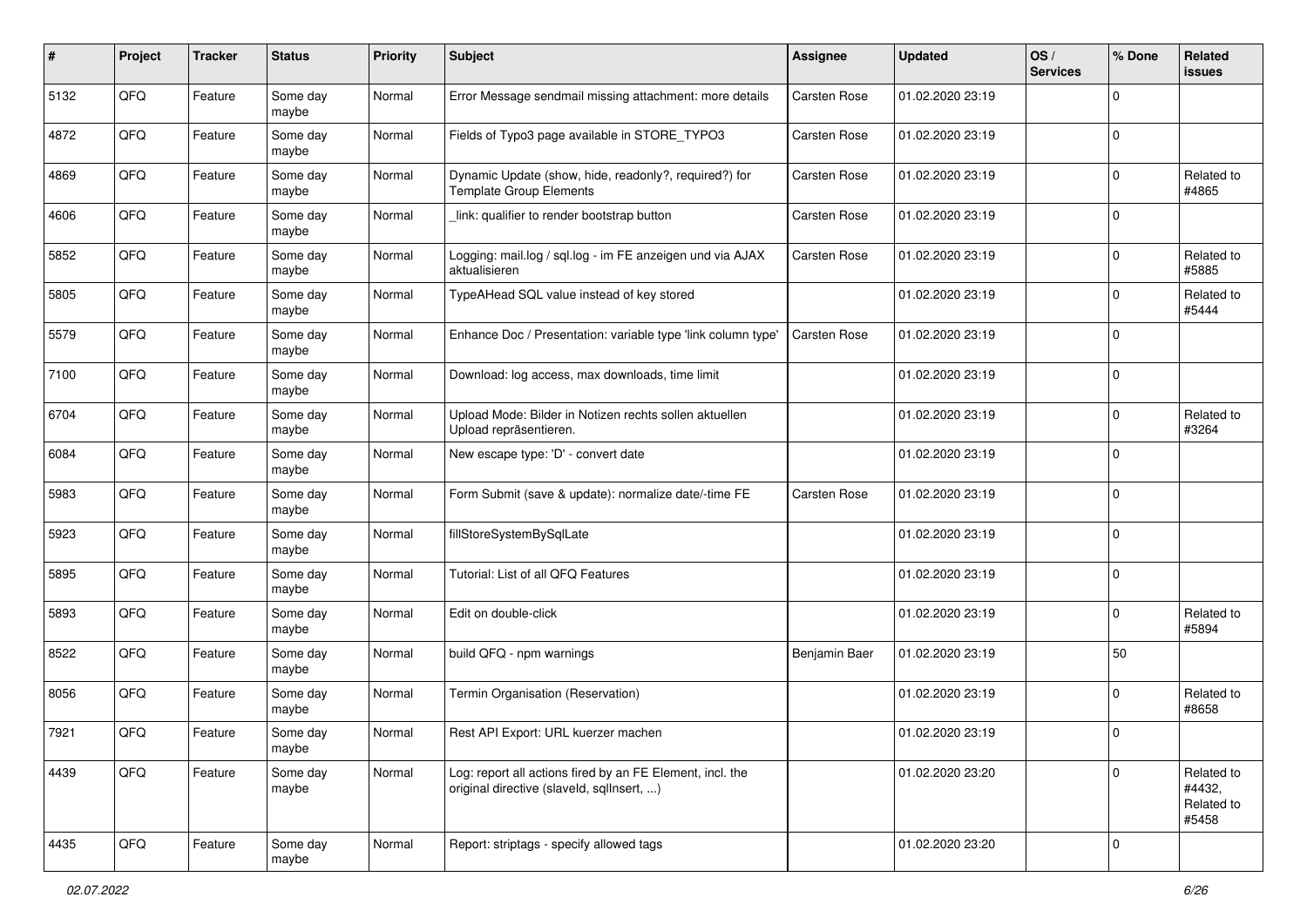| #    | Project | <b>Tracker</b> | <b>Status</b>     | <b>Priority</b> | Subject                                                                                                | <b>Assignee</b> | <b>Updated</b>   | OS/<br><b>Services</b> | % Done      | Related<br><b>issues</b>                    |
|------|---------|----------------|-------------------|-----------------|--------------------------------------------------------------------------------------------------------|-----------------|------------------|------------------------|-------------|---------------------------------------------|
| 5132 | QFQ     | Feature        | Some day<br>maybe | Normal          | Error Message sendmail missing attachment: more details                                                | Carsten Rose    | 01.02.2020 23:19 |                        | $\mathbf 0$ |                                             |
| 4872 | QFQ     | Feature        | Some day<br>maybe | Normal          | Fields of Typo3 page available in STORE_TYPO3                                                          | Carsten Rose    | 01.02.2020 23:19 |                        | $\mathbf 0$ |                                             |
| 4869 | QFQ     | Feature        | Some day<br>maybe | Normal          | Dynamic Update (show, hide, readonly?, required?) for<br><b>Template Group Elements</b>                | Carsten Rose    | 01.02.2020 23:19 |                        | $\mathbf 0$ | Related to<br>#4865                         |
| 4606 | QFQ     | Feature        | Some day<br>maybe | Normal          | link: qualifier to render bootstrap button                                                             | Carsten Rose    | 01.02.2020 23:19 |                        | $\mathbf 0$ |                                             |
| 5852 | QFQ     | Feature        | Some day<br>maybe | Normal          | Logging: mail.log / sql.log - im FE anzeigen und via AJAX<br>aktualisieren                             | Carsten Rose    | 01.02.2020 23:19 |                        | $\mathbf 0$ | Related to<br>#5885                         |
| 5805 | QFQ     | Feature        | Some day<br>maybe | Normal          | TypeAHead SQL value instead of key stored                                                              |                 | 01.02.2020 23:19 |                        | $\mathbf 0$ | Related to<br>#5444                         |
| 5579 | QFQ     | Feature        | Some day<br>maybe | Normal          | Enhance Doc / Presentation: variable type 'link column type'                                           | Carsten Rose    | 01.02.2020 23:19 |                        | $\mathbf 0$ |                                             |
| 7100 | QFQ     | Feature        | Some day<br>maybe | Normal          | Download: log access, max downloads, time limit                                                        |                 | 01.02.2020 23:19 |                        | 0           |                                             |
| 6704 | QFQ     | Feature        | Some day<br>maybe | Normal          | Upload Mode: Bilder in Notizen rechts sollen aktuellen<br>Upload repräsentieren.                       |                 | 01.02.2020 23:19 |                        | 0           | Related to<br>#3264                         |
| 6084 | QFQ     | Feature        | Some day<br>maybe | Normal          | New escape type: 'D' - convert date                                                                    |                 | 01.02.2020 23:19 |                        | $\mathbf 0$ |                                             |
| 5983 | QFQ     | Feature        | Some day<br>maybe | Normal          | Form Submit (save & update): normalize date/-time FE                                                   | Carsten Rose    | 01.02.2020 23:19 |                        | $\mathbf 0$ |                                             |
| 5923 | QFQ     | Feature        | Some day<br>maybe | Normal          | fillStoreSystemBySqlLate                                                                               |                 | 01.02.2020 23:19 |                        | $\mathbf 0$ |                                             |
| 5895 | QFQ     | Feature        | Some day<br>maybe | Normal          | Tutorial: List of all QFQ Features                                                                     |                 | 01.02.2020 23:19 |                        | $\mathbf 0$ |                                             |
| 5893 | QFQ     | Feature        | Some day<br>maybe | Normal          | Edit on double-click                                                                                   |                 | 01.02.2020 23:19 |                        | $\mathbf 0$ | Related to<br>#5894                         |
| 8522 | QFQ     | Feature        | Some day<br>maybe | Normal          | build QFQ - npm warnings                                                                               | Benjamin Baer   | 01.02.2020 23:19 |                        | 50          |                                             |
| 8056 | QFQ     | Feature        | Some day<br>maybe | Normal          | Termin Organisation (Reservation)                                                                      |                 | 01.02.2020 23:19 |                        | $\mathbf 0$ | Related to<br>#8658                         |
| 7921 | QFQ     | Feature        | Some day<br>maybe | Normal          | Rest API Export: URL kuerzer machen                                                                    |                 | 01.02.2020 23:19 |                        | $\mathbf 0$ |                                             |
| 4439 | QFQ     | Feature        | Some day<br>maybe | Normal          | Log: report all actions fired by an FE Element, incl. the<br>original directive (slaveld, sqlInsert, ) |                 | 01.02.2020 23:20 |                        | $\Omega$    | Related to<br>#4432,<br>Related to<br>#5458 |
| 4435 | QFQ     | Feature        | Some day<br>maybe | Normal          | Report: striptags - specify allowed tags                                                               |                 | 01.02.2020 23:20 |                        | $\mathbf 0$ |                                             |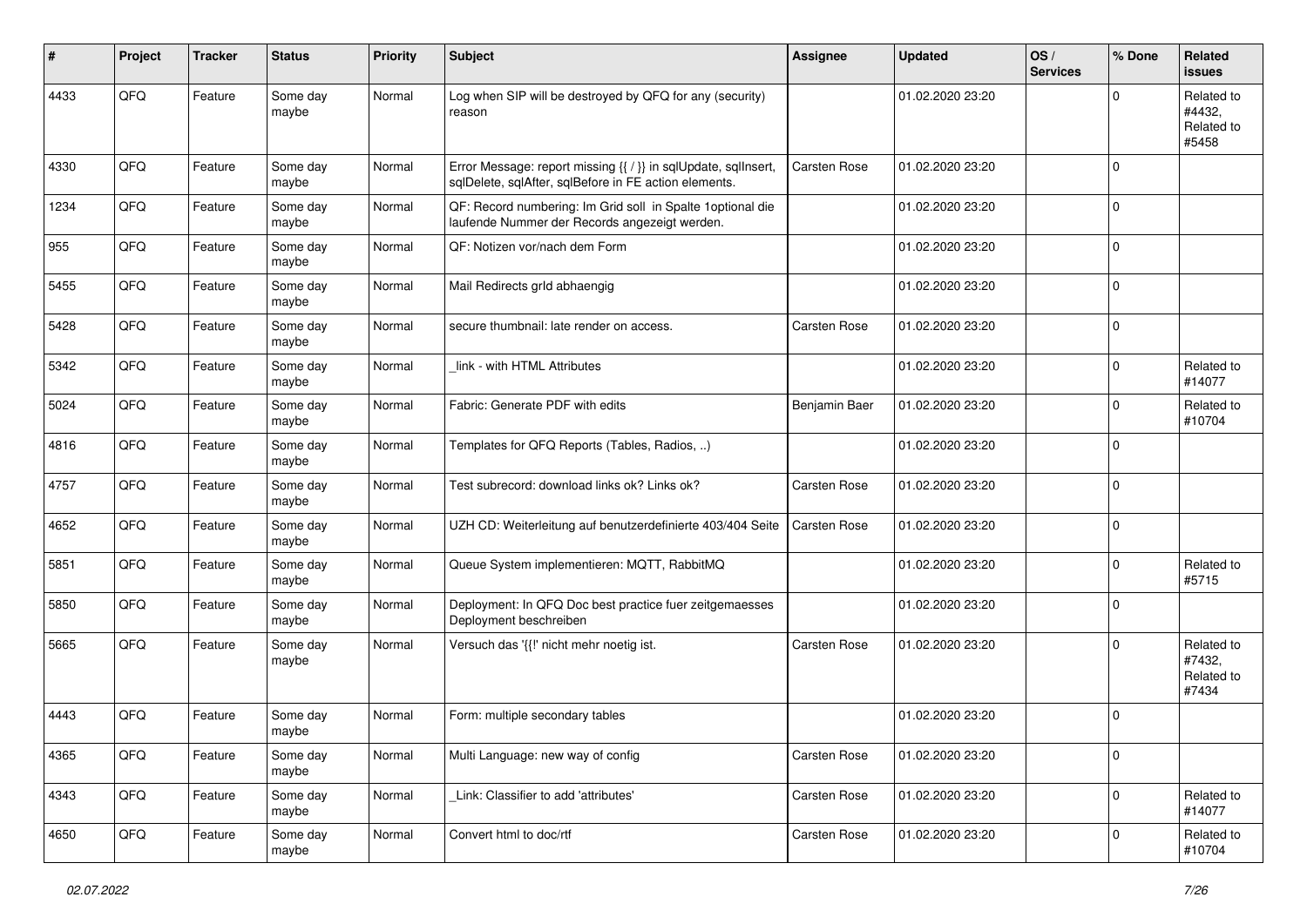| #    | Project | <b>Tracker</b> | <b>Status</b>     | <b>Priority</b> | <b>Subject</b>                                                                                                          | <b>Assignee</b> | <b>Updated</b>   | OS/<br><b>Services</b> | % Done      | Related<br><b>issues</b>                    |
|------|---------|----------------|-------------------|-----------------|-------------------------------------------------------------------------------------------------------------------------|-----------------|------------------|------------------------|-------------|---------------------------------------------|
| 4433 | QFQ     | Feature        | Some day<br>maybe | Normal          | Log when SIP will be destroyed by QFQ for any (security)<br>reason                                                      |                 | 01.02.2020 23:20 |                        | $\Omega$    | Related to<br>#4432,<br>Related to<br>#5458 |
| 4330 | QFQ     | Feature        | Some day<br>maybe | Normal          | Error Message: report missing {{ / }} in sqlUpdate, sqlInsert,<br>sqlDelete, sqlAfter, sqlBefore in FE action elements. | Carsten Rose    | 01.02.2020 23:20 |                        | $\mathbf 0$ |                                             |
| 1234 | QFQ     | Feature        | Some day<br>maybe | Normal          | QF: Record numbering: Im Grid soll in Spalte 1 optional die<br>laufende Nummer der Records angezeigt werden.            |                 | 01.02.2020 23:20 |                        | $\mathbf 0$ |                                             |
| 955  | QFQ     | Feature        | Some day<br>maybe | Normal          | QF: Notizen vor/nach dem Form                                                                                           |                 | 01.02.2020 23:20 |                        | $\mathbf 0$ |                                             |
| 5455 | QFQ     | Feature        | Some day<br>maybe | Normal          | Mail Redirects grld abhaengig                                                                                           |                 | 01.02.2020 23:20 |                        | $\mathbf 0$ |                                             |
| 5428 | QFQ     | Feature        | Some day<br>maybe | Normal          | secure thumbnail: late render on access.                                                                                | Carsten Rose    | 01.02.2020 23:20 |                        | 0           |                                             |
| 5342 | QFQ     | Feature        | Some day<br>maybe | Normal          | link - with HTML Attributes                                                                                             |                 | 01.02.2020 23:20 |                        | $\mathbf 0$ | Related to<br>#14077                        |
| 5024 | QFQ     | Feature        | Some day<br>maybe | Normal          | Fabric: Generate PDF with edits                                                                                         | Benjamin Baer   | 01.02.2020 23:20 |                        | $\mathbf 0$ | Related to<br>#10704                        |
| 4816 | QFQ     | Feature        | Some day<br>maybe | Normal          | Templates for QFQ Reports (Tables, Radios, )                                                                            |                 | 01.02.2020 23:20 |                        | $\mathbf 0$ |                                             |
| 4757 | QFQ     | Feature        | Some day<br>maybe | Normal          | Test subrecord: download links ok? Links ok?                                                                            | Carsten Rose    | 01.02.2020 23:20 |                        | $\mathbf 0$ |                                             |
| 4652 | QFQ     | Feature        | Some day<br>maybe | Normal          | UZH CD: Weiterleitung auf benutzerdefinierte 403/404 Seite                                                              | Carsten Rose    | 01.02.2020 23:20 |                        | $\mathbf 0$ |                                             |
| 5851 | QFQ     | Feature        | Some day<br>maybe | Normal          | Queue System implementieren: MQTT, RabbitMQ                                                                             |                 | 01.02.2020 23:20 |                        | $\mathbf 0$ | Related to<br>#5715                         |
| 5850 | QFQ     | Feature        | Some day<br>maybe | Normal          | Deployment: In QFQ Doc best practice fuer zeitgemaesses<br>Deployment beschreiben                                       |                 | 01.02.2020 23:20 |                        | $\mathbf 0$ |                                             |
| 5665 | QFQ     | Feature        | Some day<br>maybe | Normal          | Versuch das '{{!' nicht mehr noetig ist.                                                                                | Carsten Rose    | 01.02.2020 23:20 |                        | $\Omega$    | Related to<br>#7432,<br>Related to<br>#7434 |
| 4443 | QFQ     | Feature        | Some day<br>maybe | Normal          | Form: multiple secondary tables                                                                                         |                 | 01.02.2020 23:20 |                        | $\mathbf 0$ |                                             |
| 4365 | QFQ     | Feature        | Some day<br>maybe | Normal          | Multi Language: new way of config                                                                                       | Carsten Rose    | 01.02.2020 23:20 |                        | $\mathbf 0$ |                                             |
| 4343 | QFQ     | Feature        | Some day<br>maybe | Normal          | Link: Classifier to add 'attributes'                                                                                    | Carsten Rose    | 01.02.2020 23:20 |                        | $\mathbf 0$ | Related to<br>#14077                        |
| 4650 | QFQ     | Feature        | Some day<br>maybe | Normal          | Convert html to doc/rtf                                                                                                 | Carsten Rose    | 01.02.2020 23:20 |                        | $\mathbf 0$ | Related to<br>#10704                        |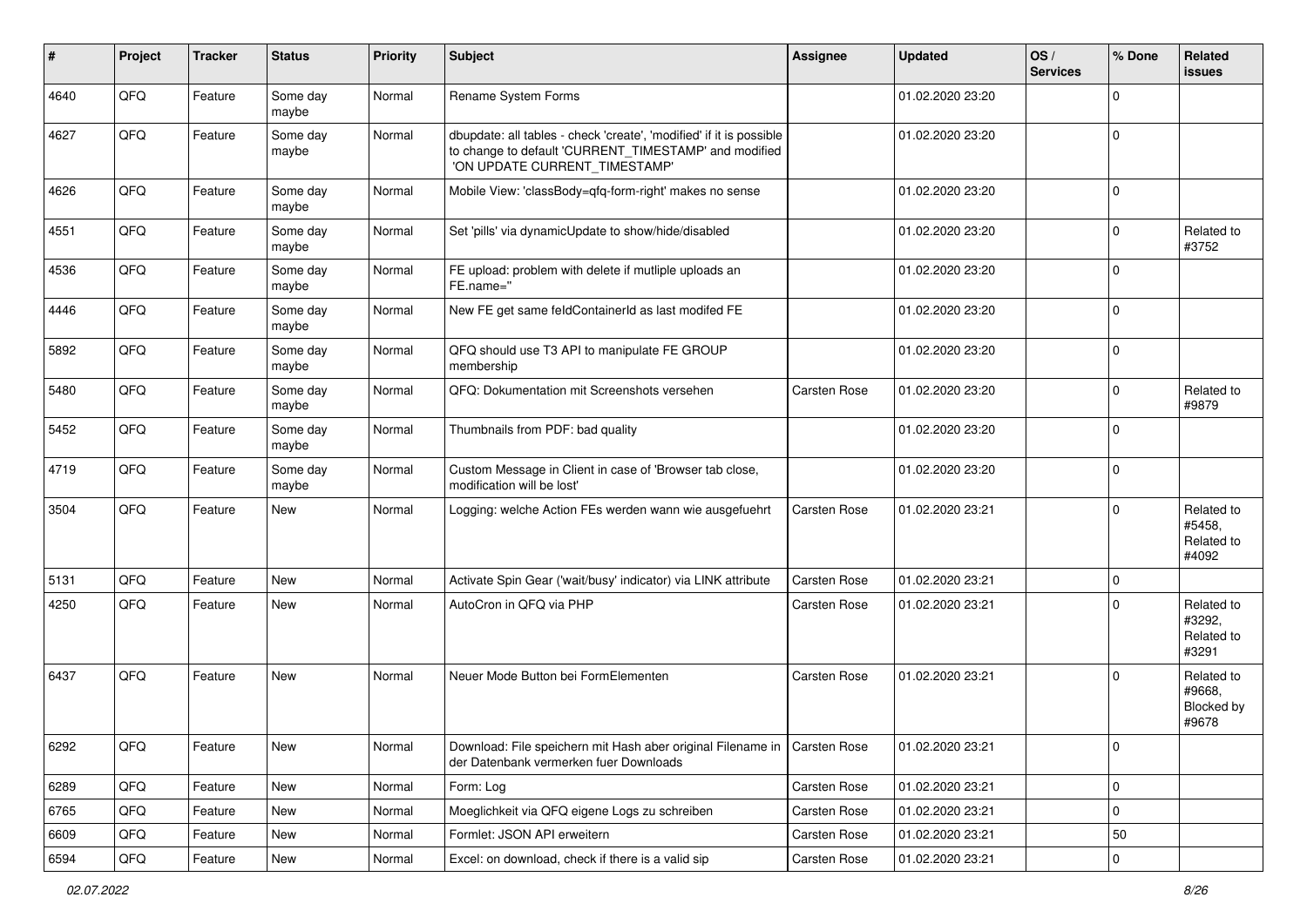| #    | Project        | <b>Tracker</b> | <b>Status</b>     | <b>Priority</b> | Subject                                                                                                                                                       | <b>Assignee</b>     | <b>Updated</b>   | OS/<br><b>Services</b> | % Done      | Related<br><b>issues</b>                    |
|------|----------------|----------------|-------------------|-----------------|---------------------------------------------------------------------------------------------------------------------------------------------------------------|---------------------|------------------|------------------------|-------------|---------------------------------------------|
| 4640 | QFQ            | Feature        | Some day<br>maybe | Normal          | Rename System Forms                                                                                                                                           |                     | 01.02.2020 23:20 |                        | $\mathbf 0$ |                                             |
| 4627 | QFQ            | Feature        | Some day<br>maybe | Normal          | dbupdate: all tables - check 'create', 'modified' if it is possible<br>to change to default 'CURRENT TIMESTAMP' and modified<br>'ON UPDATE CURRENT_TIMESTAMP' |                     | 01.02.2020 23:20 |                        | $\mathbf 0$ |                                             |
| 4626 | QFQ            | Feature        | Some day<br>maybe | Normal          | Mobile View: 'classBody=qfq-form-right' makes no sense                                                                                                        |                     | 01.02.2020 23:20 |                        | $\mathbf 0$ |                                             |
| 4551 | QFQ            | Feature        | Some day<br>maybe | Normal          | Set 'pills' via dynamicUpdate to show/hide/disabled                                                                                                           |                     | 01.02.2020 23:20 |                        | 0           | Related to<br>#3752                         |
| 4536 | QFQ            | Feature        | Some day<br>maybe | Normal          | FE upload: problem with delete if mutliple uploads an<br>FE.name="                                                                                            |                     | 01.02.2020 23:20 |                        | $\mathbf 0$ |                                             |
| 4446 | QFQ            | Feature        | Some day<br>maybe | Normal          | New FE get same feldContainerId as last modifed FE                                                                                                            |                     | 01.02.2020 23:20 |                        | $\mathbf 0$ |                                             |
| 5892 | QFQ            | Feature        | Some day<br>maybe | Normal          | QFQ should use T3 API to manipulate FE GROUP<br>membership                                                                                                    |                     | 01.02.2020 23:20 |                        | $\mathbf 0$ |                                             |
| 5480 | QFQ            | Feature        | Some day<br>maybe | Normal          | QFQ: Dokumentation mit Screenshots versehen                                                                                                                   | Carsten Rose        | 01.02.2020 23:20 |                        | $\mathbf 0$ | Related to<br>#9879                         |
| 5452 | QFQ            | Feature        | Some day<br>maybe | Normal          | Thumbnails from PDF: bad quality                                                                                                                              |                     | 01.02.2020 23:20 |                        | $\mathbf 0$ |                                             |
| 4719 | QFQ            | Feature        | Some day<br>maybe | Normal          | Custom Message in Client in case of 'Browser tab close,<br>modification will be lost'                                                                         |                     | 01.02.2020 23:20 |                        | $\mathbf 0$ |                                             |
| 3504 | QFQ            | Feature        | New               | Normal          | Logging: welche Action FEs werden wann wie ausgefuehrt                                                                                                        | Carsten Rose        | 01.02.2020 23:21 |                        | $\Omega$    | Related to<br>#5458,<br>Related to<br>#4092 |
| 5131 | QFQ            | Feature        | New               | Normal          | Activate Spin Gear ('wait/busy' indicator) via LINK attribute                                                                                                 | Carsten Rose        | 01.02.2020 23:21 |                        | $\mathbf 0$ |                                             |
| 4250 | QFQ            | Feature        | New               | Normal          | AutoCron in QFQ via PHP                                                                                                                                       | Carsten Rose        | 01.02.2020 23:21 |                        | $\Omega$    | Related to<br>#3292,<br>Related to<br>#3291 |
| 6437 | QFQ            | Feature        | New               | Normal          | Neuer Mode Button bei FormElementen                                                                                                                           | <b>Carsten Rose</b> | 01.02.2020 23:21 |                        | $\Omega$    | Related to<br>#9668,<br>Blocked by<br>#9678 |
| 6292 | QFQ            | Feature        | New               | Normal          | Download: File speichern mit Hash aber original Filename in   Carsten Rose<br>der Datenbank vermerken fuer Downloads                                          |                     | 01.02.2020 23:21 |                        | 0           |                                             |
| 6289 | QFQ            | Feature        | New               | Normal          | Form: Log                                                                                                                                                     | Carsten Rose        | 01.02.2020 23:21 |                        | $\pmb{0}$   |                                             |
| 6765 | QFQ            | Feature        | New               | Normal          | Moeglichkeit via QFQ eigene Logs zu schreiben                                                                                                                 | Carsten Rose        | 01.02.2020 23:21 |                        | $\mathbf 0$ |                                             |
| 6609 | QFQ            | Feature        | New               | Normal          | Formlet: JSON API erweitern                                                                                                                                   | Carsten Rose        | 01.02.2020 23:21 |                        | 50          |                                             |
| 6594 | $\mathsf{QFQ}$ | Feature        | New               | Normal          | Excel: on download, check if there is a valid sip                                                                                                             | Carsten Rose        | 01.02.2020 23:21 |                        | $\pmb{0}$   |                                             |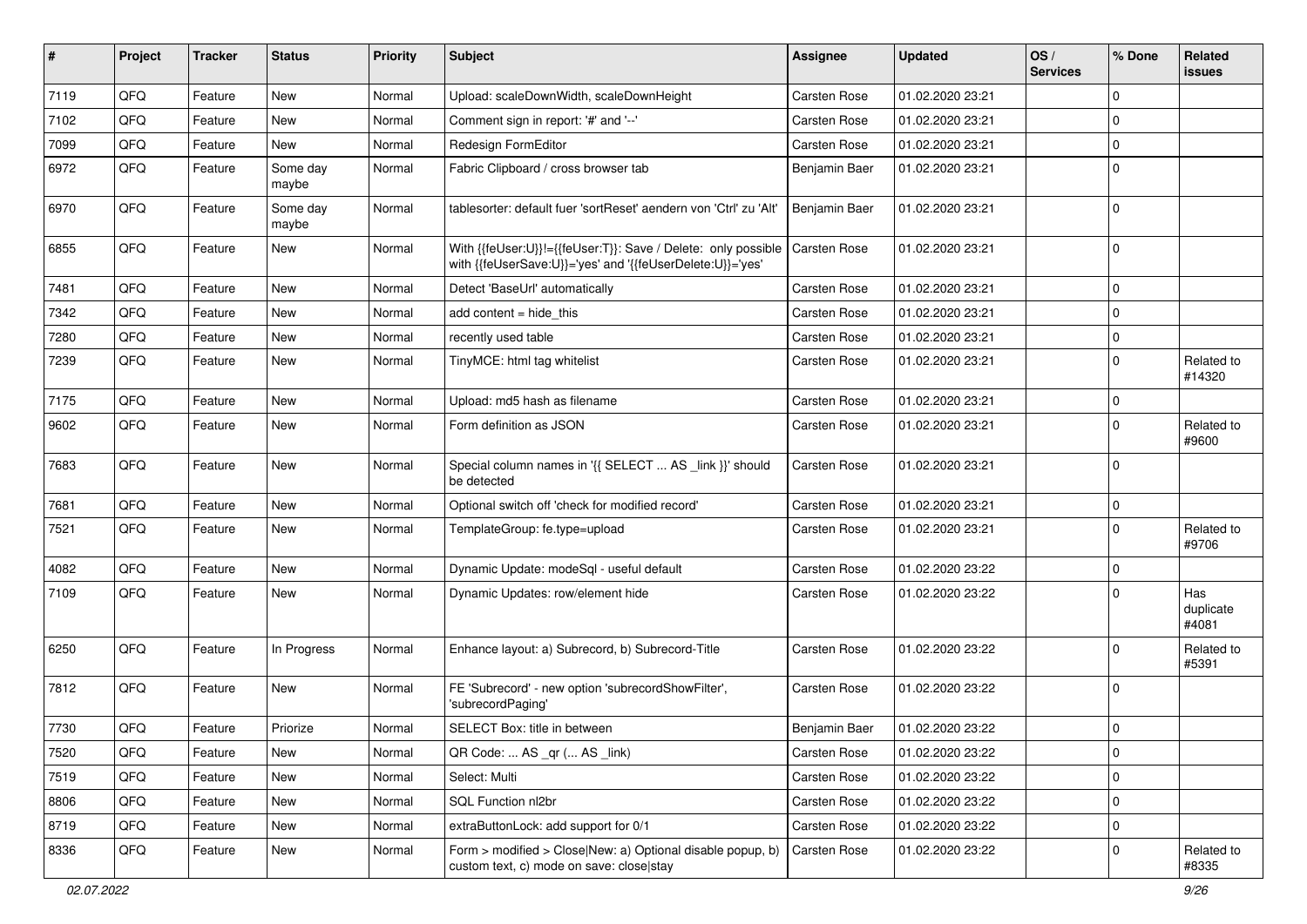| #    | Project | <b>Tracker</b> | <b>Status</b>     | <b>Priority</b> | Subject                                                                                                                    | Assignee            | <b>Updated</b>   | OS/<br><b>Services</b> | % Done      | Related<br><b>issues</b>  |
|------|---------|----------------|-------------------|-----------------|----------------------------------------------------------------------------------------------------------------------------|---------------------|------------------|------------------------|-------------|---------------------------|
| 7119 | QFQ     | Feature        | New               | Normal          | Upload: scaleDownWidth, scaleDownHeight                                                                                    | Carsten Rose        | 01.02.2020 23:21 |                        | $\mathbf 0$ |                           |
| 7102 | QFQ     | Feature        | <b>New</b>        | Normal          | Comment sign in report: '#' and '--'                                                                                       | Carsten Rose        | 01.02.2020 23:21 |                        | $\mathbf 0$ |                           |
| 7099 | QFQ     | Feature        | New               | Normal          | Redesign FormEditor                                                                                                        | Carsten Rose        | 01.02.2020 23:21 |                        | 0           |                           |
| 6972 | QFQ     | Feature        | Some day<br>maybe | Normal          | Fabric Clipboard / cross browser tab                                                                                       | Benjamin Baer       | 01.02.2020 23:21 |                        | $\mathbf 0$ |                           |
| 6970 | QFQ     | Feature        | Some day<br>maybe | Normal          | tablesorter: default fuer 'sortReset' aendern von 'Ctrl' zu 'Alt'                                                          | Benjamin Baer       | 01.02.2020 23:21 |                        | 0           |                           |
| 6855 | QFQ     | Feature        | New               | Normal          | With {{feUser:U}}!={{feUser:T}}: Save / Delete: only possible<br>with {{feUserSave:U}}='yes' and '{{feUserDelete:U}}='yes' | <b>Carsten Rose</b> | 01.02.2020 23:21 |                        | 0           |                           |
| 7481 | QFQ     | Feature        | <b>New</b>        | Normal          | Detect 'BaseUrl' automatically                                                                                             | Carsten Rose        | 01.02.2020 23:21 |                        | 0           |                           |
| 7342 | QFQ     | Feature        | New               | Normal          | add content = hide_this                                                                                                    | Carsten Rose        | 01.02.2020 23:21 |                        | $\mathbf 0$ |                           |
| 7280 | QFQ     | Feature        | New               | Normal          | recently used table                                                                                                        | Carsten Rose        | 01.02.2020 23:21 |                        | 0           |                           |
| 7239 | QFQ     | Feature        | New               | Normal          | TinyMCE: html tag whitelist                                                                                                | Carsten Rose        | 01.02.2020 23:21 |                        | $\mathbf 0$ | Related to<br>#14320      |
| 7175 | QFQ     | Feature        | New               | Normal          | Upload: md5 hash as filename                                                                                               | Carsten Rose        | 01.02.2020 23:21 |                        | $\mathbf 0$ |                           |
| 9602 | QFQ     | Feature        | New               | Normal          | Form definition as JSON                                                                                                    | Carsten Rose        | 01.02.2020 23:21 |                        | $\Omega$    | Related to<br>#9600       |
| 7683 | QFQ     | Feature        | New               | Normal          | Special column names in '{{ SELECT  AS _link }}' should<br>be detected                                                     | Carsten Rose        | 01.02.2020 23:21 |                        | 0           |                           |
| 7681 | QFQ     | Feature        | <b>New</b>        | Normal          | Optional switch off 'check for modified record'                                                                            | Carsten Rose        | 01.02.2020 23:21 |                        | $\mathbf 0$ |                           |
| 7521 | QFQ     | Feature        | New               | Normal          | TemplateGroup: fe.type=upload                                                                                              | Carsten Rose        | 01.02.2020 23:21 |                        | $\Omega$    | Related to<br>#9706       |
| 4082 | QFQ     | Feature        | New               | Normal          | Dynamic Update: modeSql - useful default                                                                                   | Carsten Rose        | 01.02.2020 23:22 |                        | $\mathbf 0$ |                           |
| 7109 | QFQ     | Feature        | New               | Normal          | Dynamic Updates: row/element hide                                                                                          | Carsten Rose        | 01.02.2020 23:22 |                        | $\mathbf 0$ | Has<br>duplicate<br>#4081 |
| 6250 | QFQ     | Feature        | In Progress       | Normal          | Enhance layout: a) Subrecord, b) Subrecord-Title                                                                           | Carsten Rose        | 01.02.2020 23:22 |                        | $\Omega$    | Related to<br>#5391       |
| 7812 | QFQ     | Feature        | New               | Normal          | FE 'Subrecord' - new option 'subrecordShowFilter',<br>'subrecordPaging'                                                    | <b>Carsten Rose</b> | 01.02.2020 23:22 |                        | 0           |                           |
| 7730 | QFQ     | Feature        | Priorize          | Normal          | SELECT Box: title in between                                                                                               | Benjamin Baer       | 01.02.2020 23:22 |                        | 0           |                           |
| 7520 | QFQ     | Feature        | New               | Normal          | QR Code:  AS _qr ( AS _link)                                                                                               | Carsten Rose        | 01.02.2020 23:22 |                        | 0           |                           |
| 7519 | QFQ     | Feature        | New               | Normal          | Select: Multi                                                                                                              | Carsten Rose        | 01.02.2020 23:22 |                        | 0           |                           |
| 8806 | QFQ     | Feature        | New               | Normal          | SQL Function nl2br                                                                                                         | Carsten Rose        | 01.02.2020 23:22 |                        | $\pmb{0}$   |                           |
| 8719 | QFQ     | Feature        | New               | Normal          | extraButtonLock: add support for 0/1                                                                                       | Carsten Rose        | 01.02.2020 23:22 |                        | $\mathbf 0$ |                           |
| 8336 | QFQ     | Feature        | New               | Normal          | Form > modified > Close New: a) Optional disable popup, b)<br>custom text, c) mode on save: close stay                     | Carsten Rose        | 01.02.2020 23:22 |                        | 0           | Related to<br>#8335       |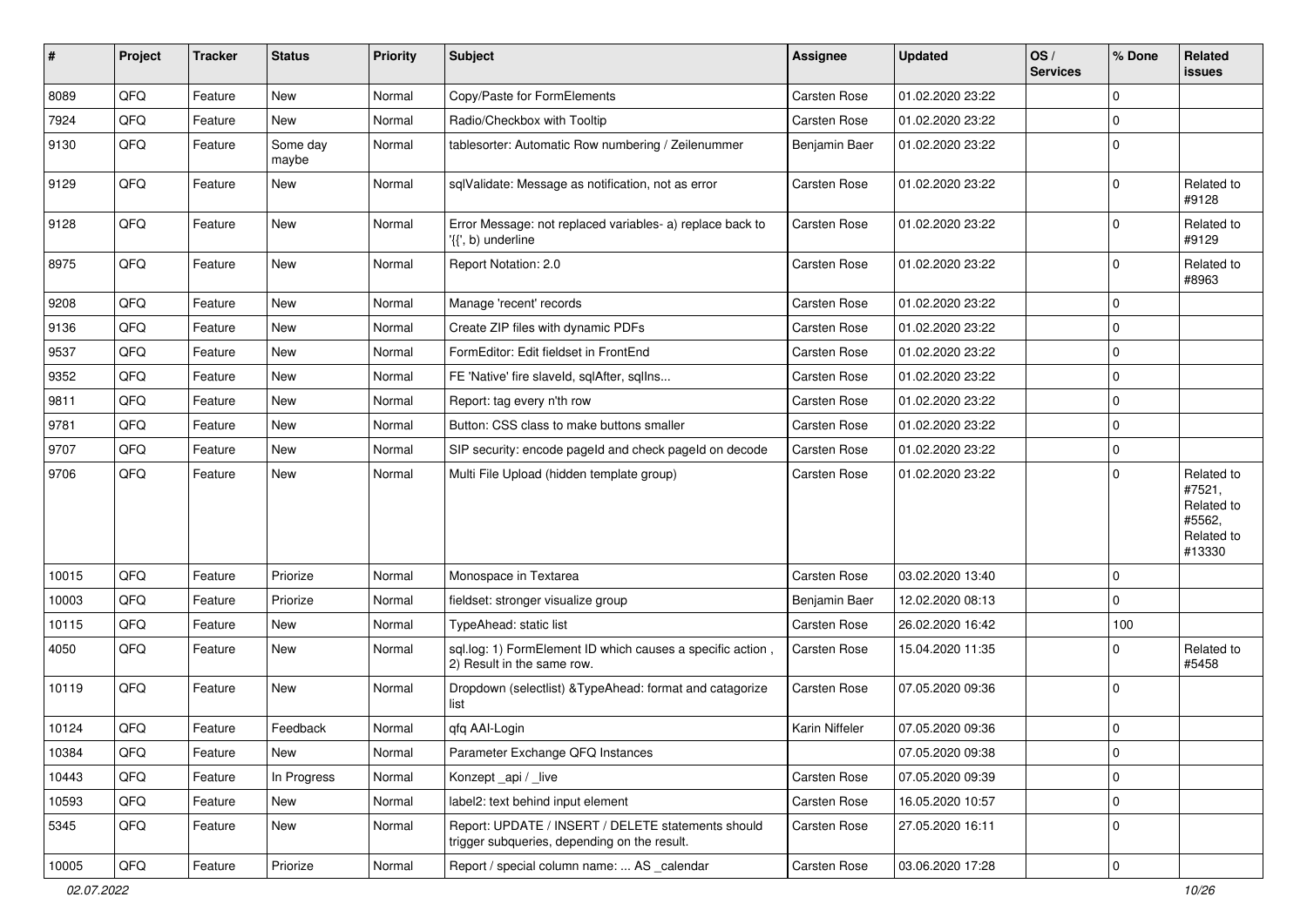| ∦     | Project | <b>Tracker</b> | <b>Status</b>     | <b>Priority</b> | <b>Subject</b>                                                                                     | <b>Assignee</b>     | <b>Updated</b>   | OS/<br><b>Services</b> | % Done      | Related<br><b>issues</b>                                             |
|-------|---------|----------------|-------------------|-----------------|----------------------------------------------------------------------------------------------------|---------------------|------------------|------------------------|-------------|----------------------------------------------------------------------|
| 8089  | QFQ     | Feature        | New               | Normal          | Copy/Paste for FormElements                                                                        | Carsten Rose        | 01.02.2020 23:22 |                        | $\mathbf 0$ |                                                                      |
| 7924  | QFQ     | Feature        | New               | Normal          | Radio/Checkbox with Tooltip                                                                        | Carsten Rose        | 01.02.2020 23:22 |                        | $\mathbf 0$ |                                                                      |
| 9130  | QFQ     | Feature        | Some day<br>maybe | Normal          | tablesorter: Automatic Row numbering / Zeilenummer                                                 | Benjamin Baer       | 01.02.2020 23:22 |                        | $\mathbf 0$ |                                                                      |
| 9129  | QFQ     | Feature        | New               | Normal          | sqlValidate: Message as notification, not as error                                                 | Carsten Rose        | 01.02.2020 23:22 |                        | $\mathbf 0$ | Related to<br>#9128                                                  |
| 9128  | QFQ     | Feature        | New               | Normal          | Error Message: not replaced variables- a) replace back to<br>'{{', b) underline                    | Carsten Rose        | 01.02.2020 23:22 |                        | $\mathbf 0$ | Related to<br>#9129                                                  |
| 8975  | QFQ     | Feature        | New               | Normal          | Report Notation: 2.0                                                                               | Carsten Rose        | 01.02.2020 23:22 |                        | $\mathbf 0$ | Related to<br>#8963                                                  |
| 9208  | QFQ     | Feature        | New               | Normal          | Manage 'recent' records                                                                            | Carsten Rose        | 01.02.2020 23:22 |                        | $\mathbf 0$ |                                                                      |
| 9136  | QFQ     | Feature        | New               | Normal          | Create ZIP files with dynamic PDFs                                                                 | Carsten Rose        | 01.02.2020 23:22 |                        | $\mathbf 0$ |                                                                      |
| 9537  | QFQ     | Feature        | New               | Normal          | FormEditor: Edit fieldset in FrontEnd                                                              | Carsten Rose        | 01.02.2020 23:22 |                        | $\mathbf 0$ |                                                                      |
| 9352  | QFQ     | Feature        | New               | Normal          | FE 'Native' fire slaveld, sqlAfter, sqlIns                                                         | Carsten Rose        | 01.02.2020 23:22 |                        | $\mathbf 0$ |                                                                      |
| 9811  | QFQ     | Feature        | New               | Normal          | Report: tag every n'th row                                                                         | Carsten Rose        | 01.02.2020 23:22 |                        | $\mathbf 0$ |                                                                      |
| 9781  | QFQ     | Feature        | New               | Normal          | Button: CSS class to make buttons smaller                                                          | Carsten Rose        | 01.02.2020 23:22 |                        | $\mathbf 0$ |                                                                      |
| 9707  | QFQ     | Feature        | New               | Normal          | SIP security: encode pageld and check pageld on decode                                             | Carsten Rose        | 01.02.2020 23:22 |                        | $\mathbf 0$ |                                                                      |
| 9706  | QFQ     | Feature        | New               | Normal          | Multi File Upload (hidden template group)                                                          | Carsten Rose        | 01.02.2020 23:22 |                        | $\mathbf 0$ | Related to<br>#7521,<br>Related to<br>#5562,<br>Related to<br>#13330 |
| 10015 | QFQ     | Feature        | Priorize          | Normal          | Monospace in Textarea                                                                              | Carsten Rose        | 03.02.2020 13:40 |                        | $\mathbf 0$ |                                                                      |
| 10003 | QFQ     | Feature        | Priorize          | Normal          | fieldset: stronger visualize group                                                                 | Benjamin Baer       | 12.02.2020 08:13 |                        | $\mathbf 0$ |                                                                      |
| 10115 | QFQ     | Feature        | New               | Normal          | TypeAhead: static list                                                                             | Carsten Rose        | 26.02.2020 16:42 |                        | 100         |                                                                      |
| 4050  | QFQ     | Feature        | New               | Normal          | sql.log: 1) FormElement ID which causes a specific action,<br>2) Result in the same row.           | Carsten Rose        | 15.04.2020 11:35 |                        | $\mathbf 0$ | Related to<br>#5458                                                  |
| 10119 | QFQ     | Feature        | New               | Normal          | Dropdown (selectlist) & Type Ahead: format and catagorize<br>list                                  | <b>Carsten Rose</b> | 07.05.2020 09:36 |                        | $\mathbf 0$ |                                                                      |
| 10124 | QFQ     | Feature        | Feedback          | Normal          | qfq AAI-Login                                                                                      | Karin Niffeler      | 07.05.2020 09:36 |                        | $\mathbf 0$ |                                                                      |
| 10384 | QFQ     | Feature        | New               | Normal          | Parameter Exchange QFQ Instances                                                                   |                     | 07.05.2020 09:38 |                        | $\mathbf 0$ |                                                                      |
| 10443 | QFQ     | Feature        | In Progress       | Normal          | Konzept_api / _live                                                                                | Carsten Rose        | 07.05.2020 09:39 |                        | $\mathbf 0$ |                                                                      |
| 10593 | QFQ     | Feature        | New               | Normal          | label2: text behind input element                                                                  | Carsten Rose        | 16.05.2020 10:57 |                        | $\mathbf 0$ |                                                                      |
| 5345  | QFQ     | Feature        | New               | Normal          | Report: UPDATE / INSERT / DELETE statements should<br>trigger subqueries, depending on the result. | Carsten Rose        | 27.05.2020 16:11 |                        | $\mathbf 0$ |                                                                      |
| 10005 | QFQ     | Feature        | Priorize          | Normal          | Report / special column name:  AS _calendar                                                        | Carsten Rose        | 03.06.2020 17:28 |                        | $\mathbf 0$ |                                                                      |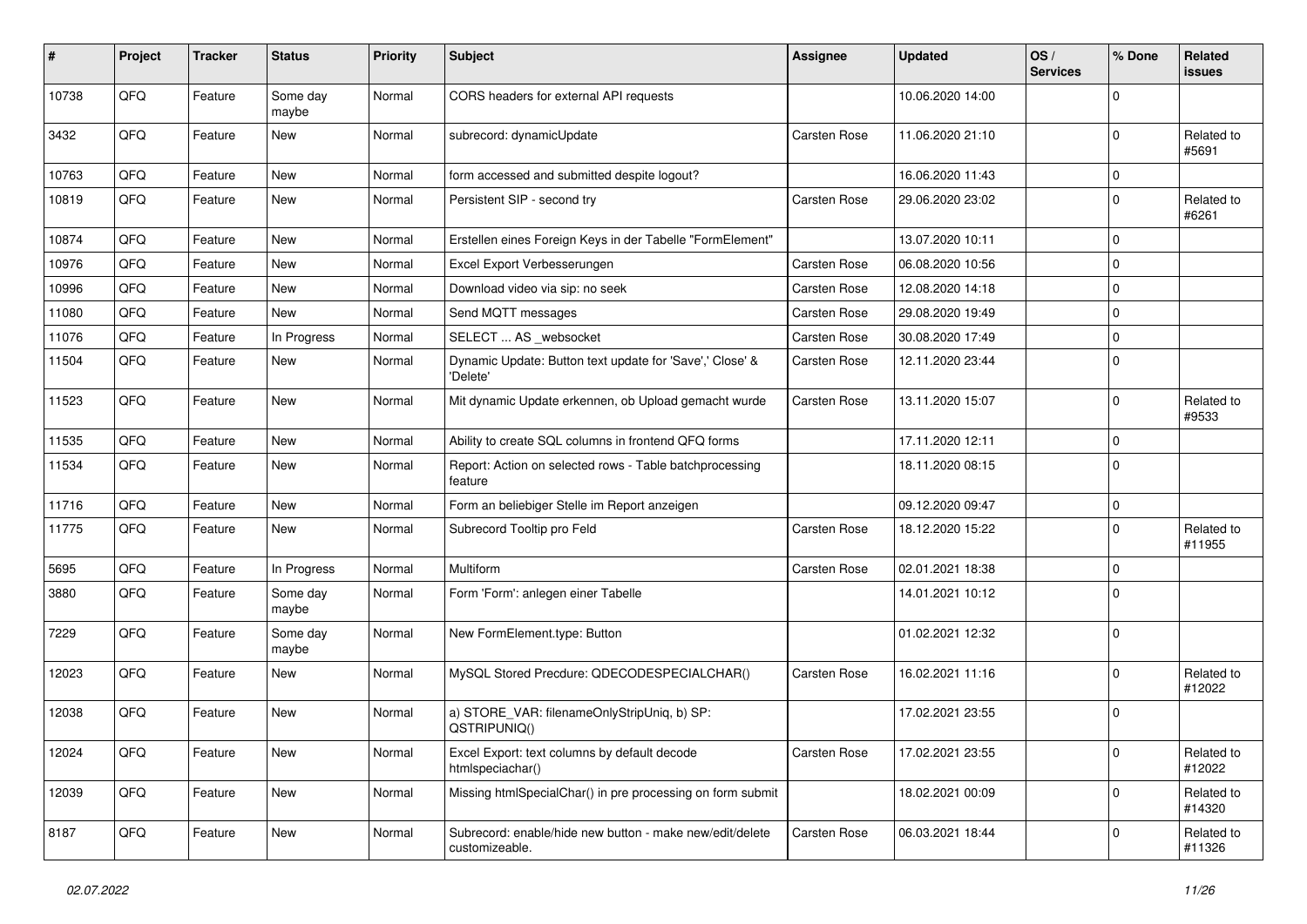| ∦     | Project | <b>Tracker</b> | <b>Status</b>     | <b>Priority</b> | <b>Subject</b>                                                             | <b>Assignee</b> | <b>Updated</b>   | OS/<br><b>Services</b> | % Done      | Related<br><b>issues</b> |
|-------|---------|----------------|-------------------|-----------------|----------------------------------------------------------------------------|-----------------|------------------|------------------------|-------------|--------------------------|
| 10738 | QFQ     | Feature        | Some day<br>maybe | Normal          | CORS headers for external API requests                                     |                 | 10.06.2020 14:00 |                        | $\mathbf 0$ |                          |
| 3432  | QFQ     | Feature        | New               | Normal          | subrecord: dynamicUpdate                                                   | Carsten Rose    | 11.06.2020 21:10 |                        | $\mathbf 0$ | Related to<br>#5691      |
| 10763 | QFQ     | Feature        | New               | Normal          | form accessed and submitted despite logout?                                |                 | 16.06.2020 11:43 |                        | $\mathbf 0$ |                          |
| 10819 | QFQ     | Feature        | New               | Normal          | Persistent SIP - second try                                                | Carsten Rose    | 29.06.2020 23:02 |                        | $\mathbf 0$ | Related to<br>#6261      |
| 10874 | QFQ     | Feature        | New               | Normal          | Erstellen eines Foreign Keys in der Tabelle "FormElement"                  |                 | 13.07.2020 10:11 |                        | $\mathbf 0$ |                          |
| 10976 | QFQ     | Feature        | New               | Normal          | Excel Export Verbesserungen                                                | Carsten Rose    | 06.08.2020 10:56 |                        | $\mathbf 0$ |                          |
| 10996 | QFQ     | Feature        | New               | Normal          | Download video via sip: no seek                                            | Carsten Rose    | 12.08.2020 14:18 |                        | $\mathbf 0$ |                          |
| 11080 | QFQ     | Feature        | New               | Normal          | Send MQTT messages                                                         | Carsten Rose    | 29.08.2020 19:49 |                        | $\mathbf 0$ |                          |
| 11076 | QFQ     | Feature        | In Progress       | Normal          | SELECT  AS _websocket                                                      | Carsten Rose    | 30.08.2020 17:49 |                        | $\mathbf 0$ |                          |
| 11504 | QFQ     | Feature        | New               | Normal          | Dynamic Update: Button text update for 'Save',' Close' &<br>'Delete'       | Carsten Rose    | 12.11.2020 23:44 |                        | $\mathbf 0$ |                          |
| 11523 | QFQ     | Feature        | New               | Normal          | Mit dynamic Update erkennen, ob Upload gemacht wurde                       | Carsten Rose    | 13.11.2020 15:07 |                        | $\mathbf 0$ | Related to<br>#9533      |
| 11535 | QFQ     | Feature        | New               | Normal          | Ability to create SQL columns in frontend QFQ forms                        |                 | 17.11.2020 12:11 |                        | $\mathbf 0$ |                          |
| 11534 | QFQ     | Feature        | New               | Normal          | Report: Action on selected rows - Table batchprocessing<br>feature         |                 | 18.11.2020 08:15 |                        | $\mathbf 0$ |                          |
| 11716 | QFQ     | Feature        | <b>New</b>        | Normal          | Form an beliebiger Stelle im Report anzeigen                               |                 | 09.12.2020 09:47 |                        | $\mathbf 0$ |                          |
| 11775 | QFQ     | Feature        | New               | Normal          | Subrecord Tooltip pro Feld                                                 | Carsten Rose    | 18.12.2020 15:22 |                        | $\mathbf 0$ | Related to<br>#11955     |
| 5695  | QFQ     | Feature        | In Progress       | Normal          | Multiform                                                                  | Carsten Rose    | 02.01.2021 18:38 |                        | $\mathbf 0$ |                          |
| 3880  | QFQ     | Feature        | Some day<br>maybe | Normal          | Form 'Form': anlegen einer Tabelle                                         |                 | 14.01.2021 10:12 |                        | $\mathbf 0$ |                          |
| 7229  | QFQ     | Feature        | Some day<br>maybe | Normal          | New FormElement.type: Button                                               |                 | 01.02.2021 12:32 |                        | $\mathbf 0$ |                          |
| 12023 | QFQ     | Feature        | New               | Normal          | MySQL Stored Precdure: QDECODESPECIALCHAR()                                | Carsten Rose    | 16.02.2021 11:16 |                        | $\mathbf 0$ | Related to<br>#12022     |
| 12038 | QFQ     | Feature        | New               | Normal          | a) STORE_VAR: filenameOnlyStripUniq, b) SP:<br>QSTRIPUNIQ()                |                 | 17.02.2021 23:55 |                        | $\mathbf 0$ |                          |
| 12024 | QFQ     | Feature        | New               | Normal          | Excel Export: text columns by default decode<br>htmlspeciachar()           | Carsten Rose    | 17.02.2021 23:55 |                        | $\mathbf 0$ | Related to<br>#12022     |
| 12039 | QFQ     | Feature        | New               | Normal          | Missing htmlSpecialChar() in pre processing on form submit                 |                 | 18.02.2021 00:09 |                        | $\mathbf 0$ | Related to<br>#14320     |
| 8187  | QFQ     | Feature        | New               | Normal          | Subrecord: enable/hide new button - make new/edit/delete<br>customizeable. | Carsten Rose    | 06.03.2021 18:44 |                        | 0           | Related to<br>#11326     |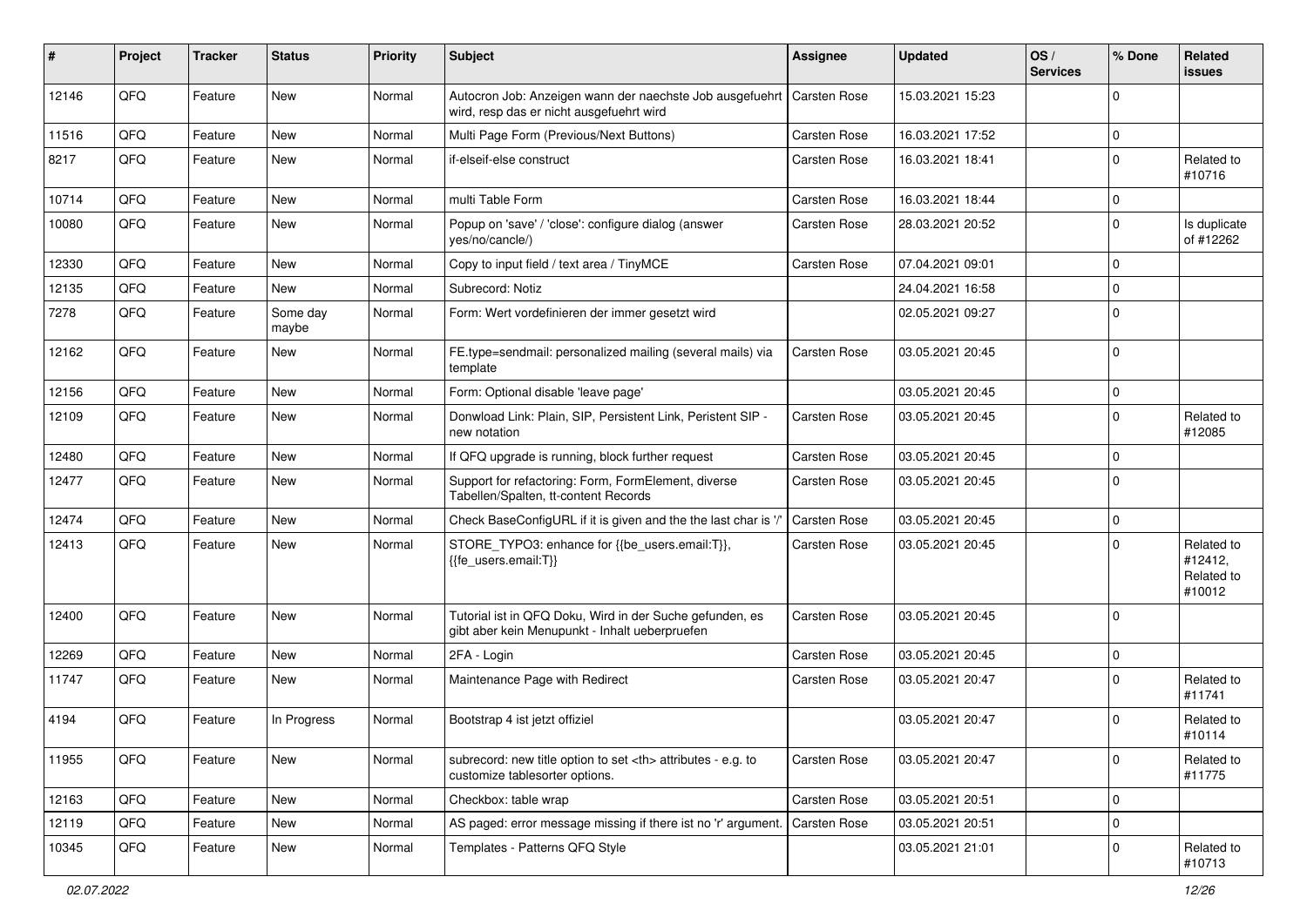| #     | Project | <b>Tracker</b> | <b>Status</b>     | <b>Priority</b> | Subject                                                                                                             | Assignee                                               | <b>Updated</b>   | OS/<br><b>Services</b> | % Done      | Related<br><b>issues</b>                      |                      |
|-------|---------|----------------|-------------------|-----------------|---------------------------------------------------------------------------------------------------------------------|--------------------------------------------------------|------------------|------------------------|-------------|-----------------------------------------------|----------------------|
| 12146 | QFQ     | Feature        | New               | Normal          | Autocron Job: Anzeigen wann der naechste Job ausgefuehrt   Carsten Rose<br>wird, resp das er nicht ausgefuehrt wird |                                                        | 15.03.2021 15:23 |                        | $\Omega$    |                                               |                      |
| 11516 | QFQ     | Feature        | <b>New</b>        | Normal          | Multi Page Form (Previous/Next Buttons)                                                                             | Carsten Rose                                           | 16.03.2021 17:52 |                        | $\mathbf 0$ |                                               |                      |
| 8217  | QFQ     | Feature        | <b>New</b>        | Normal          | if-elseif-else construct                                                                                            | Carsten Rose                                           | 16.03.2021 18:41 |                        | $\Omega$    | Related to<br>#10716                          |                      |
| 10714 | QFQ     | Feature        | <b>New</b>        | Normal          | multi Table Form                                                                                                    | Carsten Rose                                           | 16.03.2021 18:44 |                        | $\mathbf 0$ |                                               |                      |
| 10080 | QFQ     | Feature        | <b>New</b>        | Normal          | Popup on 'save' / 'close': configure dialog (answer<br>yes/no/cancle/)                                              | Carsten Rose                                           | 28.03.2021 20:52 |                        | $\Omega$    | Is duplicate<br>of #12262                     |                      |
| 12330 | QFQ     | Feature        | <b>New</b>        | Normal          | Copy to input field / text area / TinyMCE                                                                           | Carsten Rose                                           | 07.04.2021 09:01 |                        | $\mathbf 0$ |                                               |                      |
| 12135 | QFQ     | Feature        | New               | Normal          | Subrecord: Notiz                                                                                                    |                                                        | 24.04.2021 16:58 |                        | $\mathbf 0$ |                                               |                      |
| 7278  | QFQ     | Feature        | Some day<br>maybe | Normal          | Form: Wert vordefinieren der immer gesetzt wird                                                                     |                                                        | 02.05.2021 09:27 |                        | $\Omega$    |                                               |                      |
| 12162 | QFQ     | Feature        | <b>New</b>        | Normal          | FE.type=sendmail: personalized mailing (several mails) via<br>template                                              | Carsten Rose                                           | 03.05.2021 20:45 |                        | $\mathbf 0$ |                                               |                      |
| 12156 | QFQ     | Feature        | New               | Normal          | Form: Optional disable 'leave page'                                                                                 |                                                        | 03.05.2021 20:45 |                        | $\mathbf 0$ |                                               |                      |
| 12109 | QFQ     | Feature        | New               | Normal          | Donwload Link: Plain, SIP, Persistent Link, Peristent SIP -<br>new notation                                         | Carsten Rose                                           | 03.05.2021 20:45 |                        | 0           | Related to<br>#12085                          |                      |
| 12480 | QFQ     | Feature        | <b>New</b>        | Normal          | If QFQ upgrade is running, block further request                                                                    | Carsten Rose                                           | 03.05.2021 20:45 |                        | $\mathbf 0$ |                                               |                      |
| 12477 | QFQ     | Feature        | New               | Normal          | Support for refactoring: Form, FormElement, diverse<br>Tabellen/Spalten, tt-content Records                         | Carsten Rose                                           | 03.05.2021 20:45 |                        | $\Omega$    |                                               |                      |
| 12474 | QFQ     | Feature        | <b>New</b>        | Normal          | Check BaseConfigURL if it is given and the the last char is '/                                                      | <b>Carsten Rose</b>                                    | 03.05.2021 20:45 |                        | $\mathbf 0$ |                                               |                      |
| 12413 | QFQ     | Feature        | New               | Normal          | STORE_TYPO3: enhance for {{be_users.email:T}},<br>{{fe users.email:T}}                                              | Carsten Rose                                           | 03.05.2021 20:45 |                        | $\Omega$    | Related to<br>#12412,<br>Related to<br>#10012 |                      |
| 12400 | QFQ     | Feature        | New               | Normal          | Tutorial ist in QFQ Doku, Wird in der Suche gefunden, es<br>gibt aber kein Menupunkt - Inhalt ueberpruefen          | Carsten Rose                                           | 03.05.2021 20:45 |                        | $\mathbf 0$ |                                               |                      |
| 12269 | QFQ     | Feature        | <b>New</b>        | Normal          | 2FA - Login                                                                                                         | Carsten Rose                                           | 03.05.2021 20:45 |                        | 0           |                                               |                      |
| 11747 | QFQ     | Feature        | <b>New</b>        | Normal          | Maintenance Page with Redirect                                                                                      | Carsten Rose                                           | 03.05.2021 20:47 |                        | $\Omega$    | Related to<br>#11741                          |                      |
| 4194  | QFQ     | Feature        | In Progress       | Normal          | Bootstrap 4 ist jetzt offiziel                                                                                      |                                                        | 03.05.2021 20:47 |                        | $\Omega$    | Related to<br>#10114                          |                      |
| 11955 | QFQ     | Feature        | New               | Normal          | subrecord: new title option to set <th> attributes - e.g. to<br/>customize tablesorter options.</th>                | attributes - e.g. to<br>customize tablesorter options. | Carsten Rose     | 03.05.2021 20:47       |             | $\mathbf 0$                                   | Related to<br>#11775 |
| 12163 | QFQ     | Feature        | New               | Normal          | Checkbox: table wrap                                                                                                | Carsten Rose                                           | 03.05.2021 20:51 |                        | $\mathbf 0$ |                                               |                      |
| 12119 | QFQ     | Feature        | New               | Normal          | AS paged: error message missing if there ist no 'r' argument.                                                       | <b>Carsten Rose</b>                                    | 03.05.2021 20:51 |                        | 0           |                                               |                      |
| 10345 | QFQ     | Feature        | New               | Normal          | Templates - Patterns QFQ Style                                                                                      |                                                        | 03.05.2021 21:01 |                        | $\mathbf 0$ | Related to<br>#10713                          |                      |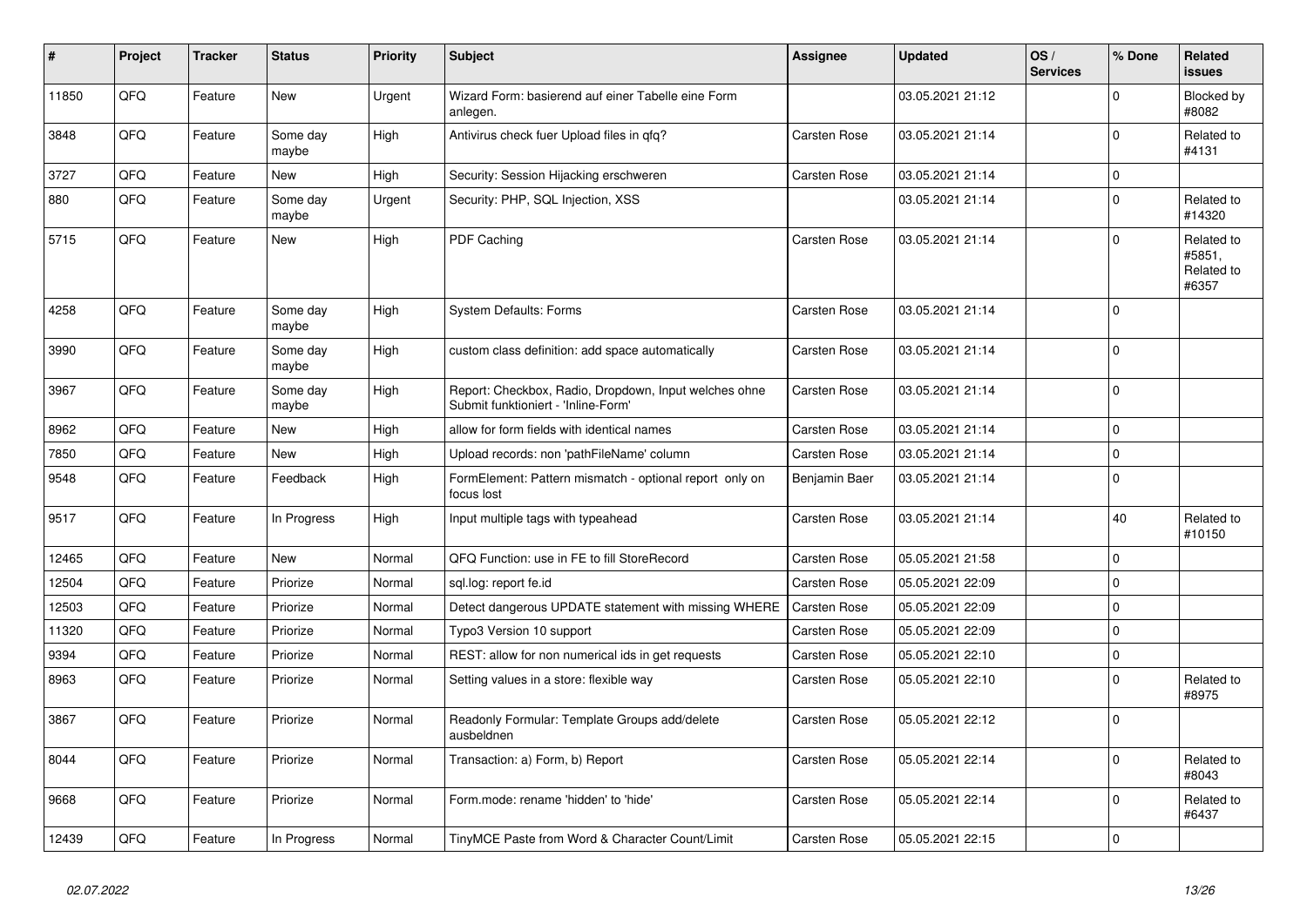| #     | Project | <b>Tracker</b> | <b>Status</b>     | <b>Priority</b> | <b>Subject</b>                                                                               | Assignee            | <b>Updated</b>   | OS/<br><b>Services</b> | % Done      | Related<br>issues                           |
|-------|---------|----------------|-------------------|-----------------|----------------------------------------------------------------------------------------------|---------------------|------------------|------------------------|-------------|---------------------------------------------|
| 11850 | QFQ     | Feature        | <b>New</b>        | Urgent          | Wizard Form: basierend auf einer Tabelle eine Form<br>anlegen.                               |                     | 03.05.2021 21:12 |                        | $\Omega$    | <b>Blocked by</b><br>#8082                  |
| 3848  | QFQ     | Feature        | Some day<br>maybe | High            | Antivirus check fuer Upload files in gfg?                                                    | Carsten Rose        | 03.05.2021 21:14 |                        | $\mathbf 0$ | Related to<br>#4131                         |
| 3727  | QFQ     | Feature        | New               | High            | Security: Session Hijacking erschweren                                                       | Carsten Rose        | 03.05.2021 21:14 |                        | $\mathbf 0$ |                                             |
| 880   | QFQ     | Feature        | Some day<br>maybe | Urgent          | Security: PHP, SQL Injection, XSS                                                            |                     | 03.05.2021 21:14 |                        | $\mathbf 0$ | Related to<br>#14320                        |
| 5715  | QFQ     | Feature        | New               | High            | PDF Caching                                                                                  | <b>Carsten Rose</b> | 03.05.2021 21:14 |                        | $\mathbf 0$ | Related to<br>#5851.<br>Related to<br>#6357 |
| 4258  | QFQ     | Feature        | Some day<br>maybe | High            | <b>System Defaults: Forms</b>                                                                | Carsten Rose        | 03.05.2021 21:14 |                        | $\mathbf 0$ |                                             |
| 3990  | QFQ     | Feature        | Some day<br>maybe | High            | custom class definition: add space automatically                                             | <b>Carsten Rose</b> | 03.05.2021 21:14 |                        | $\mathbf 0$ |                                             |
| 3967  | QFQ     | Feature        | Some day<br>maybe | High            | Report: Checkbox, Radio, Dropdown, Input welches ohne<br>Submit funktioniert - 'Inline-Form' | <b>Carsten Rose</b> | 03.05.2021 21:14 |                        | $\Omega$    |                                             |
| 8962  | QFQ     | Feature        | <b>New</b>        | High            | allow for form fields with identical names                                                   | <b>Carsten Rose</b> | 03.05.2021 21:14 |                        | $\mathbf 0$ |                                             |
| 7850  | QFQ     | Feature        | New               | High            | Upload records: non 'pathFileName' column                                                    | Carsten Rose        | 03.05.2021 21:14 |                        | $\mathbf 0$ |                                             |
| 9548  | QFQ     | Feature        | Feedback          | High            | FormElement: Pattern mismatch - optional report only on<br>focus lost                        | Benjamin Baer       | 03.05.2021 21:14 |                        | $\mathbf 0$ |                                             |
| 9517  | QFQ     | Feature        | In Progress       | High            | Input multiple tags with typeahead                                                           | <b>Carsten Rose</b> | 03.05.2021 21:14 |                        | 40          | Related to<br>#10150                        |
| 12465 | QFQ     | Feature        | <b>New</b>        | Normal          | QFQ Function: use in FE to fill StoreRecord                                                  | Carsten Rose        | 05.05.2021 21:58 |                        | $\mathbf 0$ |                                             |
| 12504 | QFQ     | Feature        | Priorize          | Normal          | sql.log: report fe.id                                                                        | Carsten Rose        | 05.05.2021 22:09 |                        | $\mathbf 0$ |                                             |
| 12503 | QFQ     | Feature        | Priorize          | Normal          | Detect dangerous UPDATE statement with missing WHERE                                         | <b>Carsten Rose</b> | 05.05.2021 22:09 |                        | $\mathbf 0$ |                                             |
| 11320 | QFQ     | Feature        | Priorize          | Normal          | Typo3 Version 10 support                                                                     | <b>Carsten Rose</b> | 05.05.2021 22:09 |                        | $\mathbf 0$ |                                             |
| 9394  | QFQ     | Feature        | Priorize          | Normal          | REST: allow for non numerical ids in get requests                                            | <b>Carsten Rose</b> | 05.05.2021 22:10 |                        | $\mathbf 0$ |                                             |
| 8963  | QFQ     | Feature        | Priorize          | Normal          | Setting values in a store: flexible way                                                      | Carsten Rose        | 05.05.2021 22:10 |                        | $\mathbf 0$ | Related to<br>#8975                         |
| 3867  | QFQ     | Feature        | Priorize          | Normal          | Readonly Formular: Template Groups add/delete<br>ausbeldnen                                  | <b>Carsten Rose</b> | 05.05.2021 22:12 |                        | $\Omega$    |                                             |
| 8044  | QFQ     | Feature        | Priorize          | Normal          | Transaction: a) Form, b) Report                                                              | Carsten Rose        | 05.05.2021 22:14 |                        | $\mathbf 0$ | Related to<br>#8043                         |
| 9668  | QFQ     | Feature        | Priorize          | Normal          | Form.mode: rename 'hidden' to 'hide'                                                         | <b>Carsten Rose</b> | 05.05.2021 22:14 |                        | $\mathbf 0$ | Related to<br>#6437                         |
| 12439 | QFQ     | Feature        | In Progress       | Normal          | TinyMCE Paste from Word & Character Count/Limit                                              | <b>Carsten Rose</b> | 05.05.2021 22:15 |                        | $\Omega$    |                                             |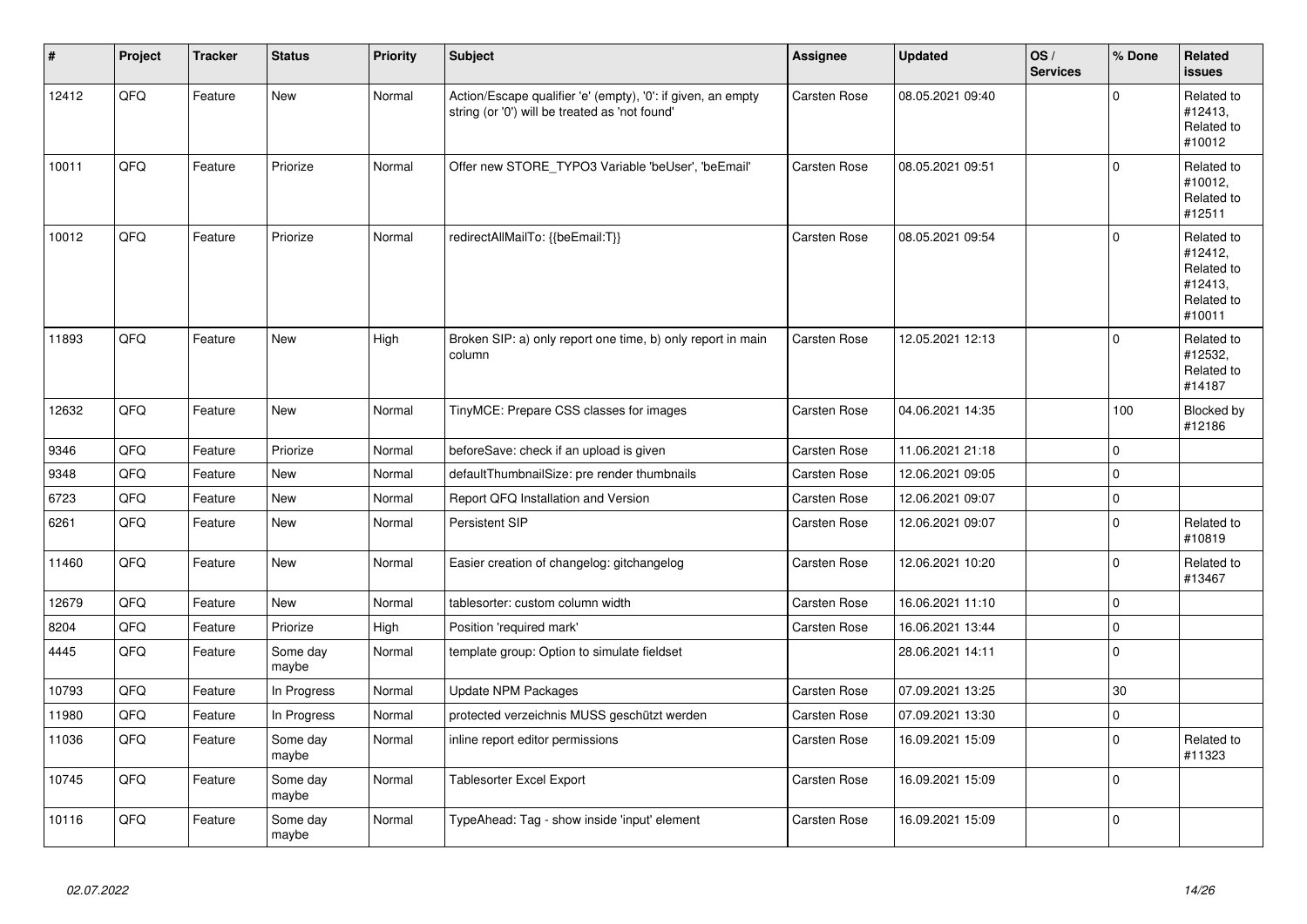| #     | Project | <b>Tracker</b> | <b>Status</b>     | <b>Priority</b> | <b>Subject</b>                                                                                                 | Assignee            | <b>Updated</b>   | OS/<br><b>Services</b> | % Done              | Related<br><b>issues</b>                                               |
|-------|---------|----------------|-------------------|-----------------|----------------------------------------------------------------------------------------------------------------|---------------------|------------------|------------------------|---------------------|------------------------------------------------------------------------|
| 12412 | QFQ     | Feature        | New               | Normal          | Action/Escape qualifier 'e' (empty), '0': if given, an empty<br>string (or '0') will be treated as 'not found' | Carsten Rose        | 08.05.2021 09:40 |                        | $\mathbf 0$         | Related to<br>#12413,<br>Related to<br>#10012                          |
| 10011 | QFQ     | Feature        | Priorize          | Normal          | Offer new STORE TYPO3 Variable 'beUser', 'beEmail'                                                             | Carsten Rose        | 08.05.2021 09:51 |                        | $\mathbf 0$         | Related to<br>#10012,<br>Related to<br>#12511                          |
| 10012 | QFQ     | Feature        | Priorize          | Normal          | redirectAllMailTo: {{beEmail:T}}                                                                               | <b>Carsten Rose</b> | 08.05.2021 09:54 |                        | $\Omega$            | Related to<br>#12412,<br>Related to<br>#12413,<br>Related to<br>#10011 |
| 11893 | QFQ     | Feature        | New               | High            | Broken SIP: a) only report one time, b) only report in main<br>column                                          | Carsten Rose        | 12.05.2021 12:13 |                        | $\mathbf 0$         | Related to<br>#12532,<br>Related to<br>#14187                          |
| 12632 | QFQ     | Feature        | New               | Normal          | TinyMCE: Prepare CSS classes for images                                                                        | Carsten Rose        | 04.06.2021 14:35 |                        | 100                 | Blocked by<br>#12186                                                   |
| 9346  | QFQ     | Feature        | Priorize          | Normal          | beforeSave: check if an upload is given                                                                        | Carsten Rose        | 11.06.2021 21:18 |                        | $\mathbf 0$         |                                                                        |
| 9348  | QFQ     | Feature        | New               | Normal          | defaultThumbnailSize: pre render thumbnails                                                                    | Carsten Rose        | 12.06.2021 09:05 |                        | $\pmb{0}$           |                                                                        |
| 6723  | QFQ     | Feature        | <b>New</b>        | Normal          | Report QFQ Installation and Version                                                                            | Carsten Rose        | 12.06.2021 09:07 |                        | $\mathsf{O}\xspace$ |                                                                        |
| 6261  | QFQ     | Feature        | New               | Normal          | Persistent SIP                                                                                                 | Carsten Rose        | 12.06.2021 09:07 |                        | $\mathbf 0$         | Related to<br>#10819                                                   |
| 11460 | QFQ     | Feature        | New               | Normal          | Easier creation of changelog: gitchangelog                                                                     | Carsten Rose        | 12.06.2021 10:20 |                        | $\mathbf 0$         | Related to<br>#13467                                                   |
| 12679 | QFQ     | Feature        | New               | Normal          | tablesorter: custom column width                                                                               | Carsten Rose        | 16.06.2021 11:10 |                        | $\mathbf 0$         |                                                                        |
| 8204  | QFQ     | Feature        | Priorize          | High            | Position 'required mark'                                                                                       | Carsten Rose        | 16.06.2021 13:44 |                        | $\pmb{0}$           |                                                                        |
| 4445  | QFQ     | Feature        | Some day<br>maybe | Normal          | template group: Option to simulate fieldset                                                                    |                     | 28.06.2021 14:11 |                        | $\mathbf 0$         |                                                                        |
| 10793 | QFQ     | Feature        | In Progress       | Normal          | Update NPM Packages                                                                                            | Carsten Rose        | 07.09.2021 13:25 |                        | 30                  |                                                                        |
| 11980 | QFQ     | Feature        | In Progress       | Normal          | protected verzeichnis MUSS geschützt werden                                                                    | Carsten Rose        | 07.09.2021 13:30 |                        | $\pmb{0}$           |                                                                        |
| 11036 | QFQ     | Feature        | Some day<br>maybe | Normal          | inline report editor permissions                                                                               | Carsten Rose        | 16.09.2021 15:09 |                        | $\pmb{0}$           | Related to<br>#11323                                                   |
| 10745 | QFQ     | Feature        | Some day<br>maybe | Normal          | Tablesorter Excel Export                                                                                       | Carsten Rose        | 16.09.2021 15:09 |                        | $\mathbf 0$         |                                                                        |
| 10116 | QFQ     | Feature        | Some day<br>maybe | Normal          | TypeAhead: Tag - show inside 'input' element                                                                   | Carsten Rose        | 16.09.2021 15:09 |                        | $\mathbf 0$         |                                                                        |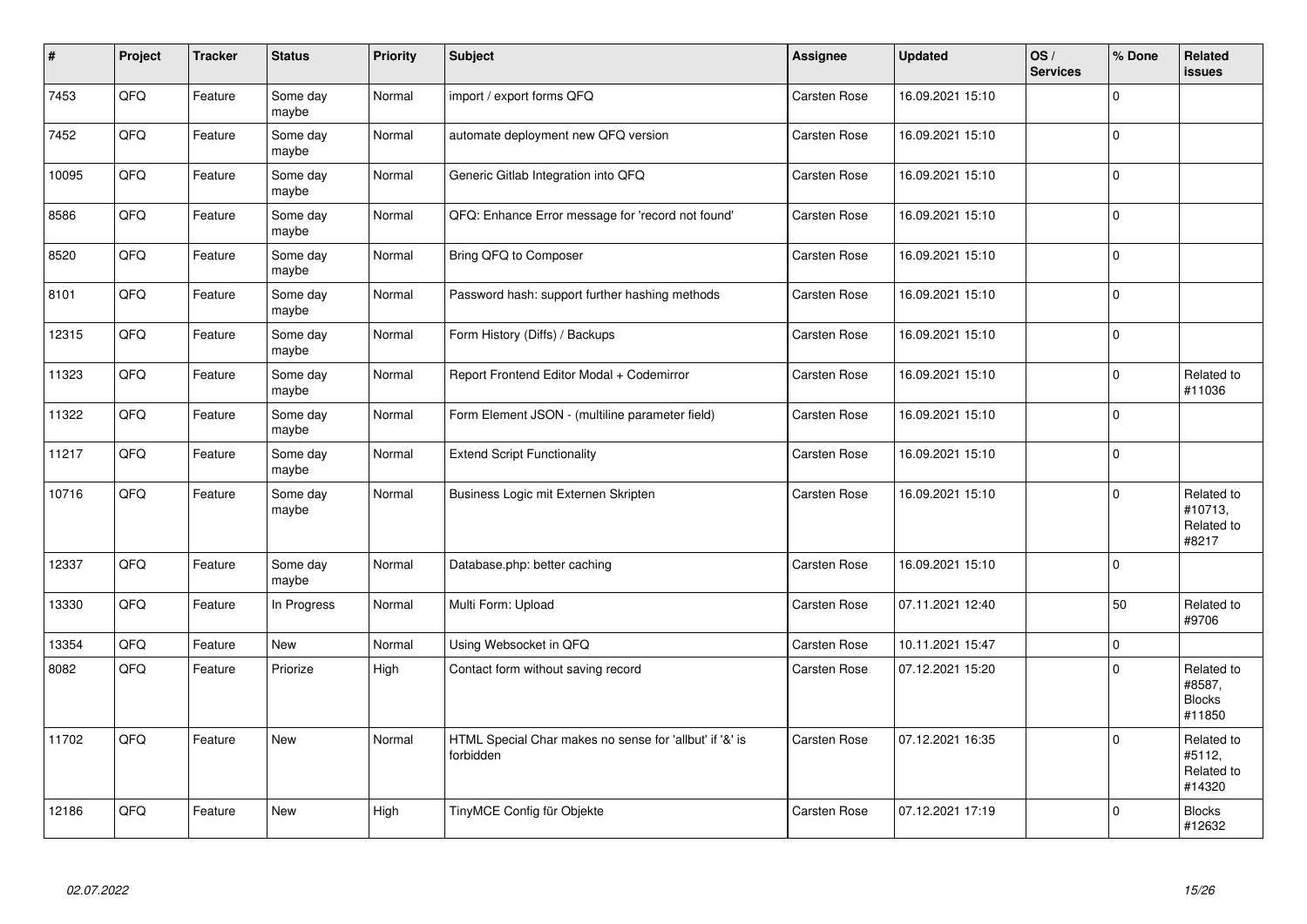| $\sharp$ | Project | <b>Tracker</b> | <b>Status</b>     | <b>Priority</b> | <b>Subject</b>                                                       | Assignee     | <b>Updated</b>   | OS/<br><b>Services</b> | % Done       | Related<br><b>issues</b>                        |
|----------|---------|----------------|-------------------|-----------------|----------------------------------------------------------------------|--------------|------------------|------------------------|--------------|-------------------------------------------------|
| 7453     | QFQ     | Feature        | Some day<br>maybe | Normal          | import / export forms QFQ                                            | Carsten Rose | 16.09.2021 15:10 |                        | $\mathbf 0$  |                                                 |
| 7452     | QFQ     | Feature        | Some day<br>maybe | Normal          | automate deployment new QFQ version                                  | Carsten Rose | 16.09.2021 15:10 |                        | $\Omega$     |                                                 |
| 10095    | QFQ     | Feature        | Some day<br>maybe | Normal          | Generic Gitlab Integration into QFQ                                  | Carsten Rose | 16.09.2021 15:10 |                        | $\pmb{0}$    |                                                 |
| 8586     | QFQ     | Feature        | Some day<br>maybe | Normal          | QFQ: Enhance Error message for 'record not found'                    | Carsten Rose | 16.09.2021 15:10 |                        | $\pmb{0}$    |                                                 |
| 8520     | QFQ     | Feature        | Some day<br>maybe | Normal          | Bring QFQ to Composer                                                | Carsten Rose | 16.09.2021 15:10 |                        | $\mathbf 0$  |                                                 |
| 8101     | QFQ     | Feature        | Some day<br>maybe | Normal          | Password hash: support further hashing methods                       | Carsten Rose | 16.09.2021 15:10 |                        | $\pmb{0}$    |                                                 |
| 12315    | QFQ     | Feature        | Some day<br>maybe | Normal          | Form History (Diffs) / Backups                                       | Carsten Rose | 16.09.2021 15:10 |                        | $\mathbf 0$  |                                                 |
| 11323    | QFQ     | Feature        | Some day<br>maybe | Normal          | Report Frontend Editor Modal + Codemirror                            | Carsten Rose | 16.09.2021 15:10 |                        | $\Omega$     | Related to<br>#11036                            |
| 11322    | QFQ     | Feature        | Some day<br>maybe | Normal          | Form Element JSON - (multiline parameter field)                      | Carsten Rose | 16.09.2021 15:10 |                        | $\mathbf 0$  |                                                 |
| 11217    | QFQ     | Feature        | Some day<br>maybe | Normal          | <b>Extend Script Functionality</b>                                   | Carsten Rose | 16.09.2021 15:10 |                        | $\mathbf{0}$ |                                                 |
| 10716    | QFQ     | Feature        | Some day<br>maybe | Normal          | Business Logic mit Externen Skripten                                 | Carsten Rose | 16.09.2021 15:10 |                        | $\mathbf 0$  | Related to<br>#10713,<br>Related to<br>#8217    |
| 12337    | QFQ     | Feature        | Some day<br>maybe | Normal          | Database.php: better caching                                         | Carsten Rose | 16.09.2021 15:10 |                        | $\Omega$     |                                                 |
| 13330    | QFQ     | Feature        | In Progress       | Normal          | Multi Form: Upload                                                   | Carsten Rose | 07.11.2021 12:40 |                        | 50           | Related to<br>#9706                             |
| 13354    | QFQ     | Feature        | <b>New</b>        | Normal          | Using Websocket in QFQ                                               | Carsten Rose | 10.11.2021 15:47 |                        | $\mathbf 0$  |                                                 |
| 8082     | QFQ     | Feature        | Priorize          | High            | Contact form without saving record                                   | Carsten Rose | 07.12.2021 15:20 |                        | $\mathbf 0$  | Related to<br>#8587,<br><b>Blocks</b><br>#11850 |
| 11702    | QFQ     | Feature        | New               | Normal          | HTML Special Char makes no sense for 'allbut' if '&' is<br>forbidden | Carsten Rose | 07.12.2021 16:35 |                        | $\Omega$     | Related to<br>#5112,<br>Related to<br>#14320    |
| 12186    | QFQ     | Feature        | New               | High            | TinyMCE Config für Objekte                                           | Carsten Rose | 07.12.2021 17:19 |                        | $\mathbf 0$  | <b>Blocks</b><br>#12632                         |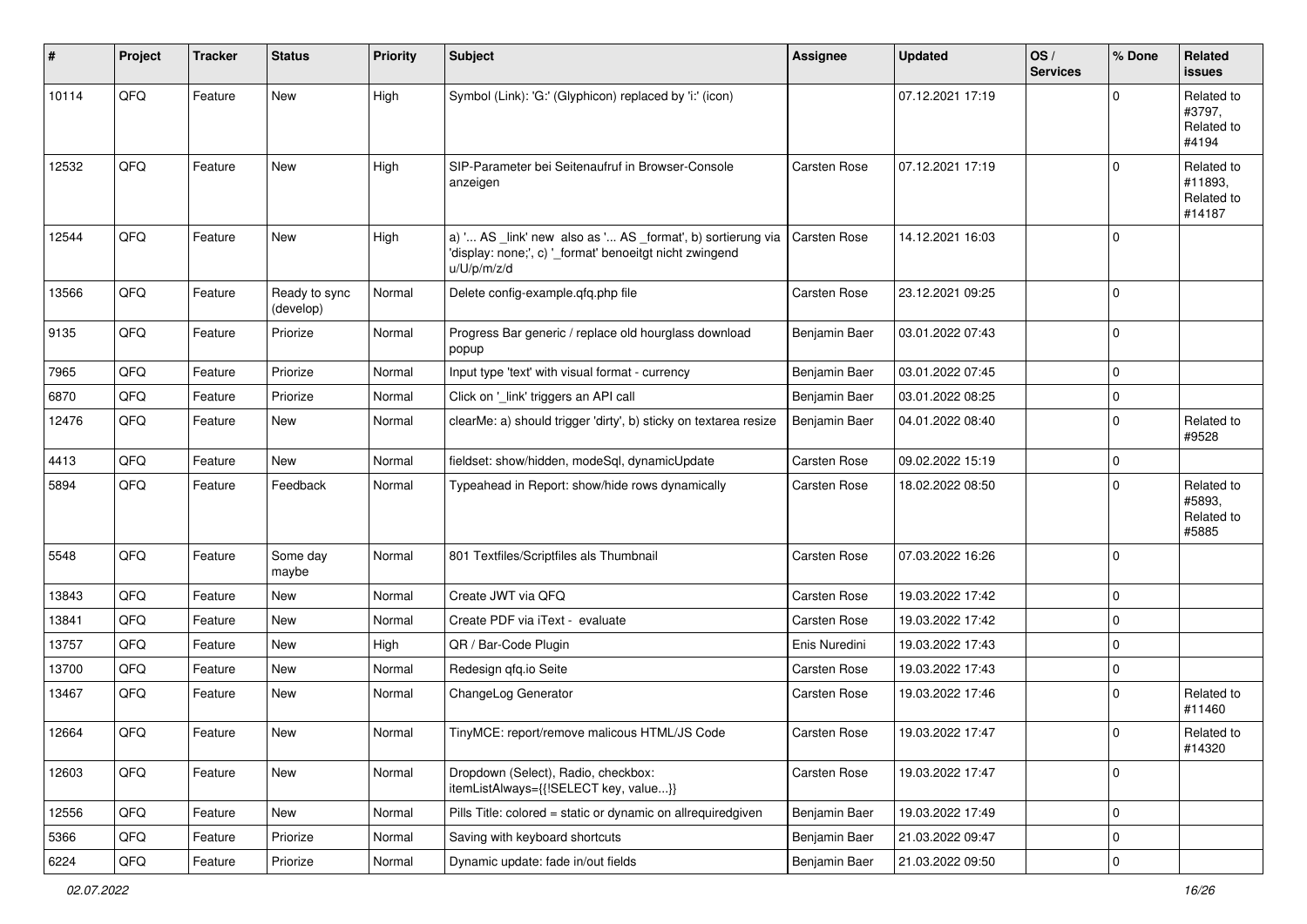| ∦     | Project        | <b>Tracker</b> | <b>Status</b>              | <b>Priority</b> | Subject                                                                                                                               | <b>Assignee</b>     | <b>Updated</b>   | OS/<br><b>Services</b> | % Done      | <b>Related</b><br><b>issues</b>               |
|-------|----------------|----------------|----------------------------|-----------------|---------------------------------------------------------------------------------------------------------------------------------------|---------------------|------------------|------------------------|-------------|-----------------------------------------------|
| 10114 | QFQ            | Feature        | New                        | High            | Symbol (Link): 'G:' (Glyphicon) replaced by 'i:' (icon)                                                                               |                     | 07.12.2021 17:19 |                        | $\Omega$    | Related to<br>#3797,<br>Related to<br>#4194   |
| 12532 | QFQ            | Feature        | New                        | High            | SIP-Parameter bei Seitenaufruf in Browser-Console<br>anzeigen                                                                         | Carsten Rose        | 07.12.2021 17:19 |                        | $\Omega$    | Related to<br>#11893,<br>Related to<br>#14187 |
| 12544 | QFQ            | Feature        | New                        | High            | a) ' AS _link' new also as ' AS _format', b) sortierung via<br>'display: none;', c) '_format' benoeitgt nicht zwingend<br>u/U/p/m/z/d | <b>Carsten Rose</b> | 14.12.2021 16:03 |                        | $\mathbf 0$ |                                               |
| 13566 | QFQ            | Feature        | Ready to sync<br>(develop) | Normal          | Delete config-example.qfq.php file                                                                                                    | Carsten Rose        | 23.12.2021 09:25 |                        | $\mathbf 0$ |                                               |
| 9135  | QFQ            | Feature        | Priorize                   | Normal          | Progress Bar generic / replace old hourglass download<br>popup                                                                        | Benjamin Baer       | 03.01.2022 07:43 |                        | $\mathbf 0$ |                                               |
| 7965  | QFQ            | Feature        | Priorize                   | Normal          | Input type 'text' with visual format - currency                                                                                       | Benjamin Baer       | 03.01.2022 07:45 |                        | $\mathbf 0$ |                                               |
| 6870  | QFQ            | Feature        | Priorize                   | Normal          | Click on '_link' triggers an API call                                                                                                 | Benjamin Baer       | 03.01.2022 08:25 |                        | 0           |                                               |
| 12476 | QFQ            | Feature        | New                        | Normal          | clearMe: a) should trigger 'dirty', b) sticky on textarea resize                                                                      | Benjamin Baer       | 04.01.2022 08:40 |                        | 0           | Related to<br>#9528                           |
| 4413  | QFQ            | Feature        | <b>New</b>                 | Normal          | fieldset: show/hidden, modeSql, dynamicUpdate                                                                                         | Carsten Rose        | 09.02.2022 15:19 |                        | $\mathbf 0$ |                                               |
| 5894  | QFQ            | Feature        | Feedback                   | Normal          | Typeahead in Report: show/hide rows dynamically                                                                                       | Carsten Rose        | 18.02.2022 08:50 |                        | $\Omega$    | Related to<br>#5893,<br>Related to<br>#5885   |
| 5548  | QFQ            | Feature        | Some day<br>maybe          | Normal          | 801 Textfiles/Scriptfiles als Thumbnail                                                                                               | Carsten Rose        | 07.03.2022 16:26 |                        | $\Omega$    |                                               |
| 13843 | QFQ            | Feature        | New                        | Normal          | Create JWT via QFQ                                                                                                                    | Carsten Rose        | 19.03.2022 17:42 |                        | $\mathbf 0$ |                                               |
| 13841 | QFQ            | Feature        | New                        | Normal          | Create PDF via iText - evaluate                                                                                                       | Carsten Rose        | 19.03.2022 17:42 |                        | 0           |                                               |
| 13757 | QFQ            | Feature        | New                        | High            | QR / Bar-Code Plugin                                                                                                                  | Enis Nuredini       | 19.03.2022 17:43 |                        | $\mathbf 0$ |                                               |
| 13700 | QFQ            | Feature        | New                        | Normal          | Redesign qfq.io Seite                                                                                                                 | Carsten Rose        | 19.03.2022 17:43 |                        | $\mathbf 0$ |                                               |
| 13467 | QFQ            | Feature        | New                        | Normal          | ChangeLog Generator                                                                                                                   | Carsten Rose        | 19.03.2022 17:46 |                        | $\mathbf 0$ | Related to<br>#11460                          |
| 12664 | QFQ            | Feature        | New                        | Normal          | TinyMCE: report/remove malicous HTML/JS Code                                                                                          | Carsten Rose        | 19.03.2022 17:47 |                        | $\Omega$    | Related to<br>#14320                          |
| 12603 | QFQ            | Feature        | New                        | Normal          | Dropdown (Select), Radio, checkbox:<br>itemListAlways={{!SELECT key, value}}                                                          | Carsten Rose        | 19.03.2022 17:47 |                        | $\mathbf 0$ |                                               |
| 12556 | QFO            | Feature        | New                        | Normal          | Pills Title: colored = static or dynamic on allrequiredgiven                                                                          | Benjamin Baer       | 19.03.2022 17:49 |                        | $\mathbf 0$ |                                               |
| 5366  | QFQ            | Feature        | Priorize                   | Normal          | Saving with keyboard shortcuts                                                                                                        | Benjamin Baer       | 21.03.2022 09:47 |                        | 0           |                                               |
| 6224  | $\mathsf{QFQ}$ | Feature        | Priorize                   | Normal          | Dynamic update: fade in/out fields                                                                                                    | Benjamin Baer       | 21.03.2022 09:50 |                        | $\pmb{0}$   |                                               |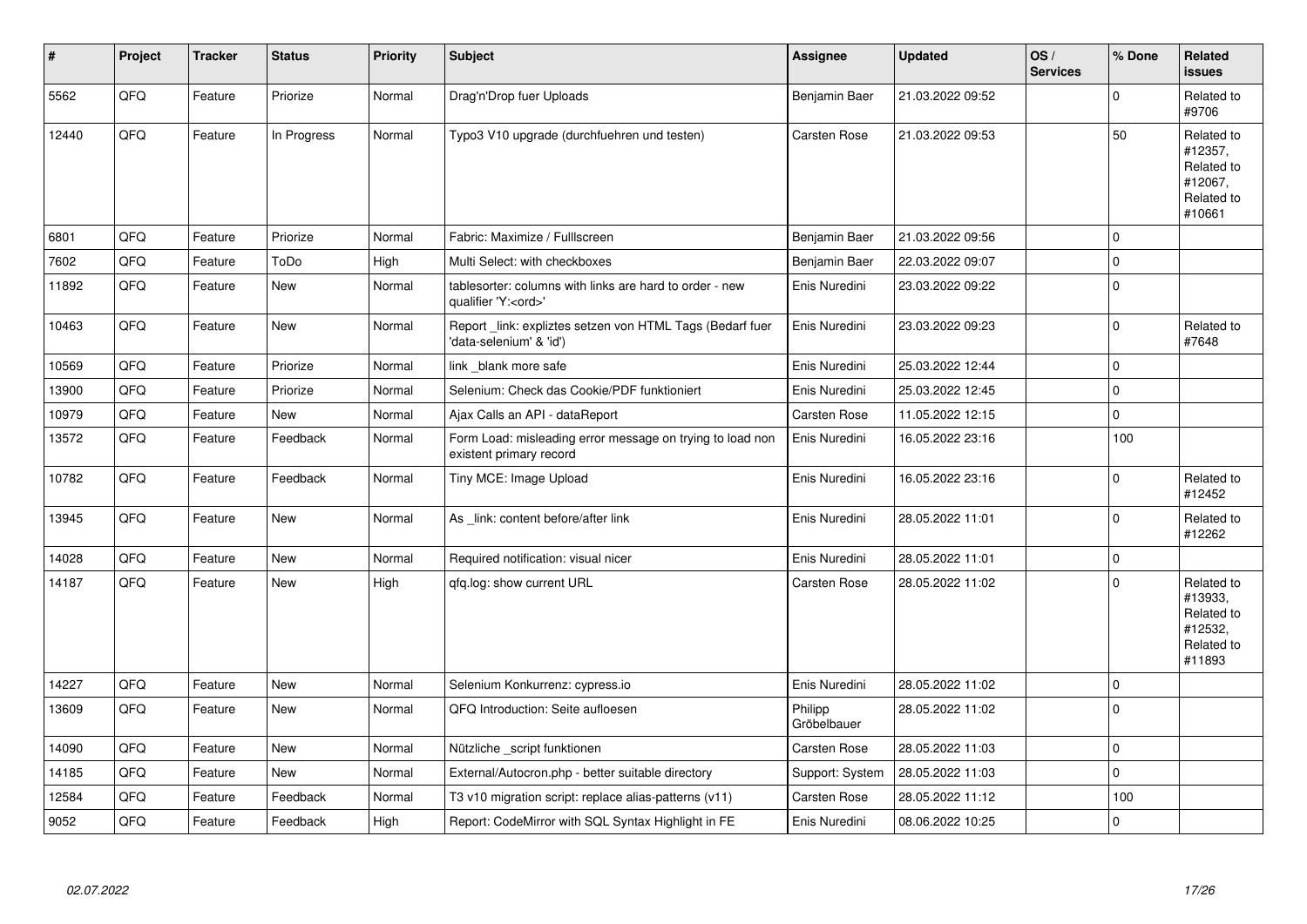| #     | Project | <b>Tracker</b> | <b>Status</b> | <b>Priority</b> | <b>Subject</b>                                                                        | Assignee               | <b>Updated</b>   | OS/<br><b>Services</b> | % Done      | Related<br><b>issues</b>                                               |
|-------|---------|----------------|---------------|-----------------|---------------------------------------------------------------------------------------|------------------------|------------------|------------------------|-------------|------------------------------------------------------------------------|
| 5562  | QFQ     | Feature        | Priorize      | Normal          | Drag'n'Drop fuer Uploads                                                              | Benjamin Baer          | 21.03.2022 09:52 |                        | $\Omega$    | Related to<br>#9706                                                    |
| 12440 | QFQ     | Feature        | In Progress   | Normal          | Typo3 V10 upgrade (durchfuehren und testen)                                           | <b>Carsten Rose</b>    | 21.03.2022 09:53 |                        | 50          | Related to<br>#12357,<br>Related to<br>#12067,<br>Related to<br>#10661 |
| 6801  | QFQ     | Feature        | Priorize      | Normal          | Fabric: Maximize / FullIscreen                                                        | Benjamin Baer          | 21.03.2022 09:56 |                        | $\mathbf 0$ |                                                                        |
| 7602  | QFQ     | Feature        | ToDo          | High            | Multi Select: with checkboxes                                                         | Benjamin Baer          | 22.03.2022 09:07 |                        | $\mathbf 0$ |                                                                        |
| 11892 | QFQ     | Feature        | New           | Normal          | tablesorter: columns with links are hard to order - new<br>qualifier 'Y: <ord>'</ord> | Enis Nuredini          | 23.03.2022 09:22 |                        | $\pmb{0}$   |                                                                        |
| 10463 | QFQ     | Feature        | New           | Normal          | Report link: expliztes setzen von HTML Tags (Bedarf fuer<br>'data-selenium' & 'id')   | Enis Nuredini          | 23.03.2022 09:23 |                        | $\mathbf 0$ | Related to<br>#7648                                                    |
| 10569 | QFQ     | Feature        | Priorize      | Normal          | link_blank more safe                                                                  | Enis Nuredini          | 25.03.2022 12:44 |                        | $\mathbf 0$ |                                                                        |
| 13900 | QFQ     | Feature        | Priorize      | Normal          | Selenium: Check das Cookie/PDF funktioniert                                           | Enis Nuredini          | 25.03.2022 12:45 |                        | $\mathbf 0$ |                                                                        |
| 10979 | QFQ     | Feature        | <b>New</b>    | Normal          | Ajax Calls an API - dataReport                                                        | <b>Carsten Rose</b>    | 11.05.2022 12:15 |                        | $\mathbf 0$ |                                                                        |
| 13572 | QFQ     | Feature        | Feedback      | Normal          | Form Load: misleading error message on trying to load non<br>existent primary record  | Enis Nuredini          | 16.05.2022 23:16 |                        | 100         |                                                                        |
| 10782 | QFQ     | Feature        | Feedback      | Normal          | Tiny MCE: Image Upload                                                                | Enis Nuredini          | 16.05.2022 23:16 |                        | $\Omega$    | Related to<br>#12452                                                   |
| 13945 | QFQ     | Feature        | New           | Normal          | As _link: content before/after link                                                   | Enis Nuredini          | 28.05.2022 11:01 |                        | $\mathbf 0$ | Related to<br>#12262                                                   |
| 14028 | QFQ     | Feature        | <b>New</b>    | Normal          | Required notification: visual nicer                                                   | Enis Nuredini          | 28.05.2022 11:01 |                        | $\pmb{0}$   |                                                                        |
| 14187 | QFQ     | Feature        | New           | High            | qfq.log: show current URL                                                             | Carsten Rose           | 28.05.2022 11:02 |                        | $\Omega$    | Related to<br>#13933,<br>Related to<br>#12532,<br>Related to<br>#11893 |
| 14227 | QFQ     | Feature        | <b>New</b>    | Normal          | Selenium Konkurrenz: cypress.io                                                       | Enis Nuredini          | 28.05.2022 11:02 |                        | $\pmb{0}$   |                                                                        |
| 13609 | QFQ     | Feature        | <b>New</b>    | Normal          | QFQ Introduction: Seite aufloesen                                                     | Philipp<br>Gröbelbauer | 28.05.2022 11:02 |                        | $\pmb{0}$   |                                                                        |
| 14090 | QFQ     | Feature        | New           | Normal          | Nützliche script funktionen                                                           | <b>Carsten Rose</b>    | 28.05.2022 11:03 |                        | $\pmb{0}$   |                                                                        |
| 14185 | QFQ     | Feature        | New           | Normal          | External/Autocron.php - better suitable directory                                     | Support: System        | 28.05.2022 11:03 |                        | $\mathbf 0$ |                                                                        |
| 12584 | QFQ     | Feature        | Feedback      | Normal          | T3 v10 migration script: replace alias-patterns (v11)                                 | <b>Carsten Rose</b>    | 28.05.2022 11:12 |                        | 100         |                                                                        |
| 9052  | QFQ     | Feature        | Feedback      | High            | Report: CodeMirror with SQL Syntax Highlight in FE                                    | Enis Nuredini          | 08.06.2022 10:25 |                        | $\mathbf 0$ |                                                                        |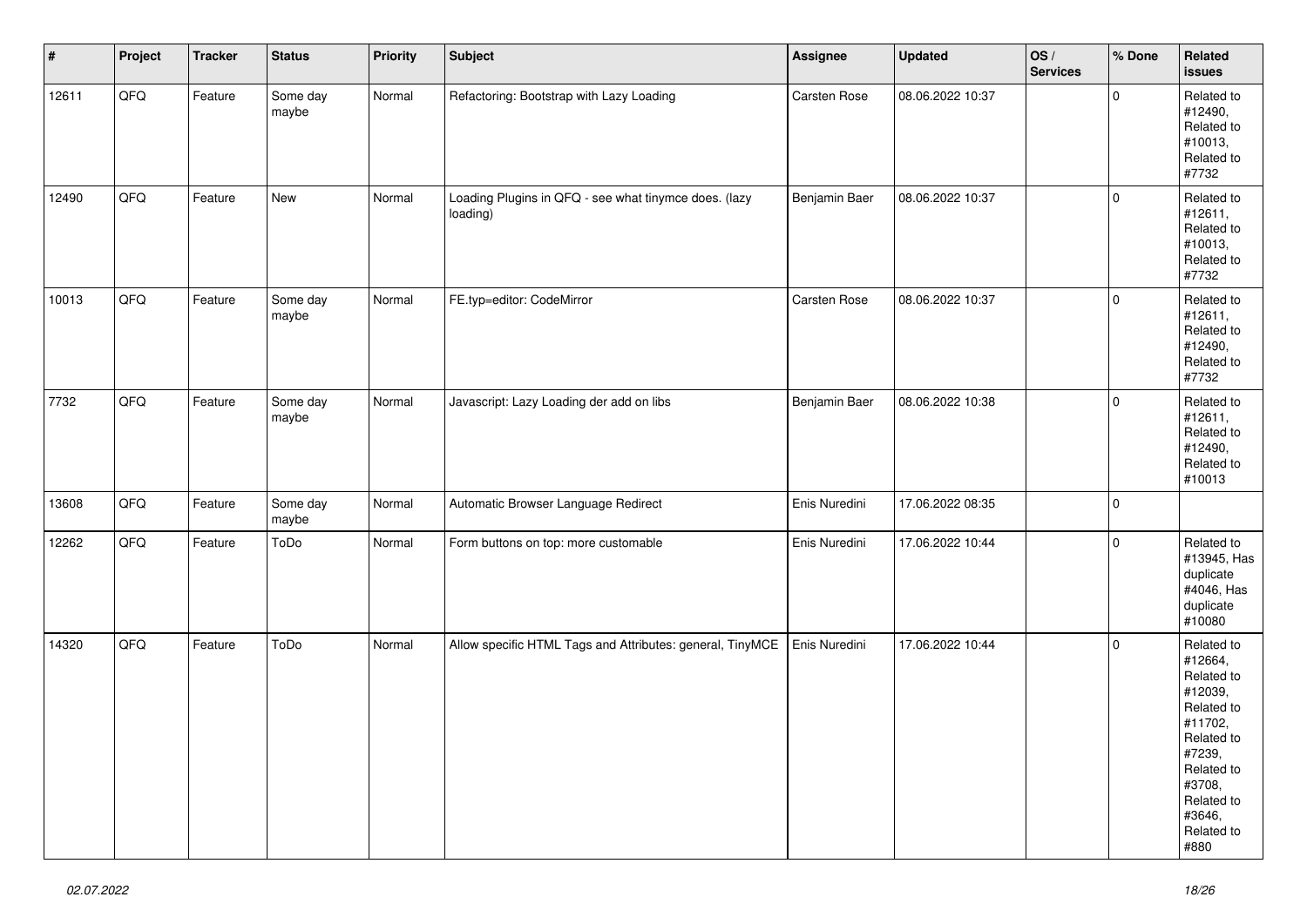| $\vert$ # | Project | <b>Tracker</b> | <b>Status</b>     | Priority | Subject                                                           | Assignee      | <b>Updated</b>   | OS/<br><b>Services</b> | % Done      | Related<br><b>issues</b>                                                                                                                                              |
|-----------|---------|----------------|-------------------|----------|-------------------------------------------------------------------|---------------|------------------|------------------------|-------------|-----------------------------------------------------------------------------------------------------------------------------------------------------------------------|
| 12611     | QFG     | Feature        | Some day<br>maybe | Normal   | Refactoring: Bootstrap with Lazy Loading                          | Carsten Rose  | 08.06.2022 10:37 |                        | $\pmb{0}$   | Related to<br>#12490,<br>Related to<br>#10013,<br>Related to<br>#7732                                                                                                 |
| 12490     | QFQ     | Feature        | New               | Normal   | Loading Plugins in QFQ - see what tinymce does. (lazy<br>loading) | Benjamin Baer | 08.06.2022 10:37 |                        | $\mathbf 0$ | Related to<br>#12611,<br>Related to<br>#10013,<br>Related to<br>#7732                                                                                                 |
| 10013     | QFQ     | Feature        | Some day<br>maybe | Normal   | FE.typ=editor: CodeMirror                                         | Carsten Rose  | 08.06.2022 10:37 |                        | $\pmb{0}$   | Related to<br>#12611,<br>Related to<br>#12490,<br>Related to<br>#7732                                                                                                 |
| 7732      | QFQ     | Feature        | Some day<br>maybe | Normal   | Javascript: Lazy Loading der add on libs                          | Benjamin Baer | 08.06.2022 10:38 |                        | $\mathbf 0$ | Related to<br>#12611,<br>Related to<br>#12490,<br>Related to<br>#10013                                                                                                |
| 13608     | QFQ     | Feature        | Some day<br>maybe | Normal   | Automatic Browser Language Redirect                               | Enis Nuredini | 17.06.2022 08:35 |                        | $\pmb{0}$   |                                                                                                                                                                       |
| 12262     | QFQ     | Feature        | ToDo              | Normal   | Form buttons on top: more customable                              | Enis Nuredini | 17.06.2022 10:44 |                        | $\pmb{0}$   | Related to<br>#13945, Has<br>duplicate<br>#4046, Has<br>duplicate<br>#10080                                                                                           |
| 14320     | QFG     | Feature        | ToDo              | Normal   | Allow specific HTML Tags and Attributes: general, TinyMCE         | Enis Nuredini | 17.06.2022 10:44 |                        | $\mathbf 0$ | Related to<br>#12664,<br>Related to<br>#12039,<br>Related to<br>#11702,<br>Related to<br>#7239,<br>Related to<br>#3708,<br>Related to<br>#3646,<br>Related to<br>#880 |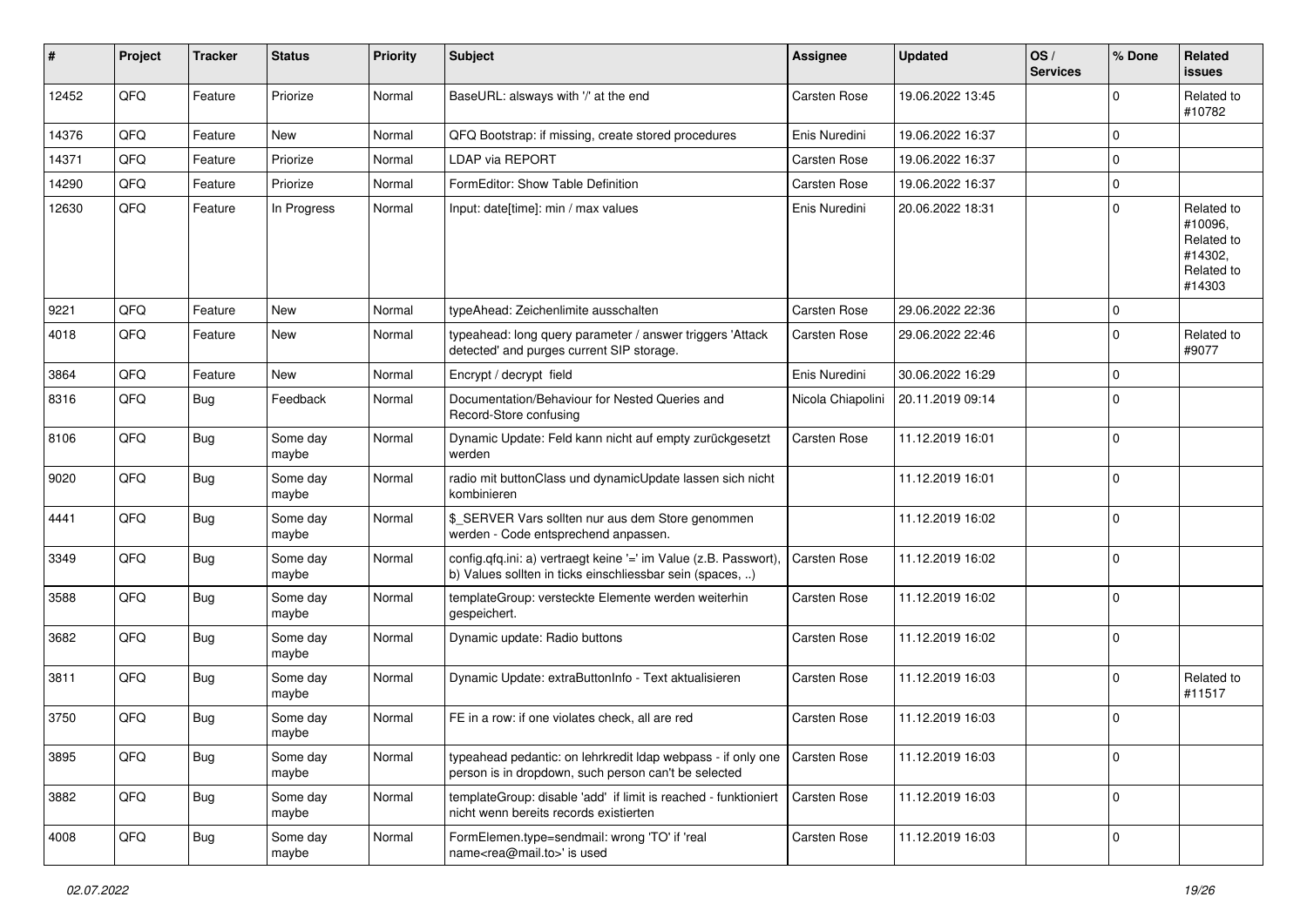| #     | Project | <b>Tracker</b> | <b>Status</b>     | <b>Priority</b> | Subject                                                                                                                       | <b>Assignee</b>     | <b>Updated</b>   | OS/<br><b>Services</b> | % Done      | Related<br><b>issues</b>                                               |
|-------|---------|----------------|-------------------|-----------------|-------------------------------------------------------------------------------------------------------------------------------|---------------------|------------------|------------------------|-------------|------------------------------------------------------------------------|
| 12452 | QFQ     | Feature        | Priorize          | Normal          | BaseURL: alsways with '/' at the end                                                                                          | Carsten Rose        | 19.06.2022 13:45 |                        | $\mathbf 0$ | Related to<br>#10782                                                   |
| 14376 | QFQ     | Feature        | New               | Normal          | QFQ Bootstrap: if missing, create stored procedures                                                                           | Enis Nuredini       | 19.06.2022 16:37 |                        | $\Omega$    |                                                                        |
| 14371 | QFQ     | Feature        | Priorize          | Normal          | <b>LDAP via REPORT</b>                                                                                                        | Carsten Rose        | 19.06.2022 16:37 |                        | $\Omega$    |                                                                        |
| 14290 | QFQ     | Feature        | Priorize          | Normal          | FormEditor: Show Table Definition                                                                                             | Carsten Rose        | 19.06.2022 16:37 |                        | $\mathbf 0$ |                                                                        |
| 12630 | QFQ     | Feature        | In Progress       | Normal          | Input: date[time]: min / max values                                                                                           | Enis Nuredini       | 20.06.2022 18:31 |                        | $\Omega$    | Related to<br>#10096,<br>Related to<br>#14302.<br>Related to<br>#14303 |
| 9221  | QFQ     | Feature        | <b>New</b>        | Normal          | typeAhead: Zeichenlimite ausschalten                                                                                          | <b>Carsten Rose</b> | 29.06.2022 22:36 |                        | $\Omega$    |                                                                        |
| 4018  | QFQ     | Feature        | New               | Normal          | typeahead: long query parameter / answer triggers 'Attack<br>detected' and purges current SIP storage.                        | Carsten Rose        | 29.06.2022 22:46 |                        | $\mathbf 0$ | Related to<br>#9077                                                    |
| 3864  | QFQ     | Feature        | New               | Normal          | Encrypt / decrypt field                                                                                                       | Enis Nuredini       | 30.06.2022 16:29 |                        | $\Omega$    |                                                                        |
| 8316  | QFQ     | <b>Bug</b>     | Feedback          | Normal          | Documentation/Behaviour for Nested Queries and<br>Record-Store confusing                                                      | Nicola Chiapolini   | 20.11.2019 09:14 |                        | $\Omega$    |                                                                        |
| 8106  | QFQ     | Bug            | Some day<br>maybe | Normal          | Dynamic Update: Feld kann nicht auf empty zurückgesetzt<br>werden                                                             | Carsten Rose        | 11.12.2019 16:01 |                        | $\Omega$    |                                                                        |
| 9020  | QFQ     | Bug            | Some day<br>maybe | Normal          | radio mit buttonClass und dynamicUpdate lassen sich nicht<br>kombinieren                                                      |                     | 11.12.2019 16:01 |                        | $\Omega$    |                                                                        |
| 4441  | QFQ     | Bug            | Some day<br>maybe | Normal          | \$_SERVER Vars sollten nur aus dem Store genommen<br>werden - Code entsprechend anpassen.                                     |                     | 11.12.2019 16:02 |                        | $\Omega$    |                                                                        |
| 3349  | QFQ     | Bug            | Some day<br>maybe | Normal          | config.qfq.ini: a) vertraegt keine '=' im Value (z.B. Passwort),<br>b) Values sollten in ticks einschliessbar sein (spaces, ) | Carsten Rose        | 11.12.2019 16:02 |                        | $\Omega$    |                                                                        |
| 3588  | QFQ     | Bug            | Some day<br>maybe | Normal          | templateGroup: versteckte Elemente werden weiterhin<br>gespeichert.                                                           | Carsten Rose        | 11.12.2019 16:02 |                        | $\Omega$    |                                                                        |
| 3682  | QFQ     | Bug            | Some day<br>maybe | Normal          | Dynamic update: Radio buttons                                                                                                 | Carsten Rose        | 11.12.2019 16:02 |                        | $\Omega$    |                                                                        |
| 3811  | QFQ     | Bug            | Some day<br>maybe | Normal          | Dynamic Update: extraButtonInfo - Text aktualisieren                                                                          | Carsten Rose        | 11.12.2019 16:03 |                        | $\Omega$    | Related to<br>#11517                                                   |
| 3750  | QFQ     | Bug            | Some day<br>maybe | Normal          | FE in a row: if one violates check, all are red                                                                               | Carsten Rose        | 11.12.2019 16:03 |                        | $\Omega$    |                                                                        |
| 3895  | QFQ     | Bug            | Some day<br>maybe | Normal          | typeahead pedantic: on lehrkredit Idap webpass - if only one<br>person is in dropdown, such person can't be selected          | Carsten Rose        | 11.12.2019 16:03 |                        | $\mathbf 0$ |                                                                        |
| 3882  | QFQ     | <b>Bug</b>     | Some day<br>maybe | Normal          | templateGroup: disable 'add' if limit is reached - funktioniert<br>nicht wenn bereits records existierten                     | Carsten Rose        | 11.12.2019 16:03 |                        | 0           |                                                                        |
| 4008  | QFQ     | Bug            | Some day<br>maybe | Normal          | FormElemen.type=sendmail: wrong 'TO' if 'real<br>name <rea@mail.to>' is used</rea@mail.to>                                    | Carsten Rose        | 11.12.2019 16:03 |                        | 0           |                                                                        |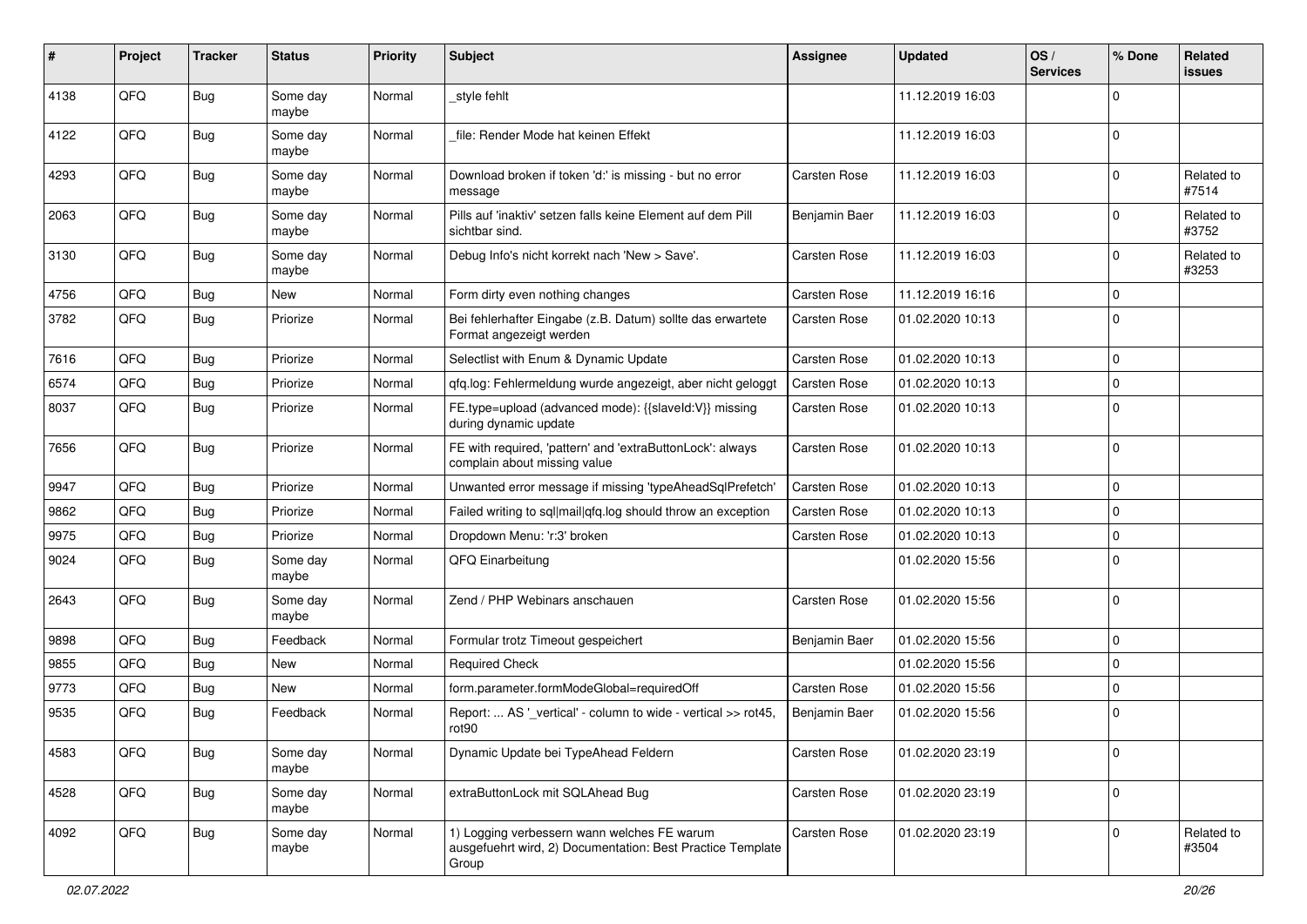| ∦    | Project | <b>Tracker</b> | <b>Status</b>     | <b>Priority</b> | Subject                                                                                                            | <b>Assignee</b> | <b>Updated</b>   | OS/<br><b>Services</b> | % Done      | Related<br><b>issues</b> |
|------|---------|----------------|-------------------|-----------------|--------------------------------------------------------------------------------------------------------------------|-----------------|------------------|------------------------|-------------|--------------------------|
| 4138 | QFQ     | Bug            | Some day<br>maybe | Normal          | _style fehlt                                                                                                       |                 | 11.12.2019 16:03 |                        | $\Omega$    |                          |
| 4122 | QFQ     | Bug            | Some day<br>maybe | Normal          | file: Render Mode hat keinen Effekt                                                                                |                 | 11.12.2019 16:03 |                        | $\mathbf 0$ |                          |
| 4293 | QFQ     | Bug            | Some day<br>maybe | Normal          | Download broken if token 'd:' is missing - but no error<br>message                                                 | Carsten Rose    | 11.12.2019 16:03 |                        | $\Omega$    | Related to<br>#7514      |
| 2063 | QFQ     | Bug            | Some day<br>maybe | Normal          | Pills auf 'inaktiv' setzen falls keine Element auf dem Pill<br>sichtbar sind.                                      | Benjamin Baer   | 11.12.2019 16:03 |                        | 0           | Related to<br>#3752      |
| 3130 | QFQ     | Bug            | Some day<br>maybe | Normal          | Debug Info's nicht korrekt nach 'New > Save'.                                                                      | Carsten Rose    | 11.12.2019 16:03 |                        | $\mathbf 0$ | Related to<br>#3253      |
| 4756 | QFQ     | <b>Bug</b>     | New               | Normal          | Form dirty even nothing changes                                                                                    | Carsten Rose    | 11.12.2019 16:16 |                        | $\mathbf 0$ |                          |
| 3782 | QFQ     | Bug            | Priorize          | Normal          | Bei fehlerhafter Eingabe (z.B. Datum) sollte das erwartete<br>Format angezeigt werden                              | Carsten Rose    | 01.02.2020 10:13 |                        | $\Omega$    |                          |
| 7616 | QFQ     | Bug            | Priorize          | Normal          | Selectlist with Enum & Dynamic Update                                                                              | Carsten Rose    | 01.02.2020 10:13 |                        | $\mathbf 0$ |                          |
| 6574 | QFQ     | Bug            | Priorize          | Normal          | qfq.log: Fehlermeldung wurde angezeigt, aber nicht geloggt                                                         | Carsten Rose    | 01.02.2020 10:13 |                        | $\Omega$    |                          |
| 8037 | QFQ     | Bug            | Priorize          | Normal          | FE.type=upload (advanced mode): {{slaveld:V}} missing<br>during dynamic update                                     | Carsten Rose    | 01.02.2020 10:13 |                        | $\Omega$    |                          |
| 7656 | QFQ     | Bug            | Priorize          | Normal          | FE with required, 'pattern' and 'extraButtonLock': always<br>complain about missing value                          | Carsten Rose    | 01.02.2020 10:13 |                        | $\mathbf 0$ |                          |
| 9947 | QFQ     | Bug            | Priorize          | Normal          | Unwanted error message if missing 'typeAheadSqlPrefetch'                                                           | Carsten Rose    | 01.02.2020 10:13 |                        | $\mathbf 0$ |                          |
| 9862 | QFQ     | Bug            | Priorize          | Normal          | Failed writing to sql mail qfq.log should throw an exception                                                       | Carsten Rose    | 01.02.2020 10:13 |                        | $\mathbf 0$ |                          |
| 9975 | QFQ     | Bug            | Priorize          | Normal          | Dropdown Menu: 'r:3' broken                                                                                        | Carsten Rose    | 01.02.2020 10:13 |                        | $\mathbf 0$ |                          |
| 9024 | QFQ     | Bug            | Some day<br>maybe | Normal          | QFQ Einarbeitung                                                                                                   |                 | 01.02.2020 15:56 |                        | $\mathbf 0$ |                          |
| 2643 | QFQ     | Bug            | Some day<br>maybe | Normal          | Zend / PHP Webinars anschauen                                                                                      | Carsten Rose    | 01.02.2020 15:56 |                        | $\mathbf 0$ |                          |
| 9898 | QFQ     | Bug            | Feedback          | Normal          | Formular trotz Timeout gespeichert                                                                                 | Benjamin Baer   | 01.02.2020 15:56 |                        | $\Omega$    |                          |
| 9855 | QFQ     | Bug            | New               | Normal          | <b>Required Check</b>                                                                                              |                 | 01.02.2020 15:56 |                        | $\mathbf 0$ |                          |
| 9773 | QFQ     | Bug            | New               | Normal          | form.parameter.formModeGlobal=requiredOff                                                                          | Carsten Rose    | 01.02.2020 15:56 |                        | $\mathbf 0$ |                          |
| 9535 | QFQ     | Bug            | Feedback          | Normal          | Report:  AS '_vertical' - column to wide - vertical >> rot45,<br>rot <sub>90</sub>                                 | Benjamin Baer   | 01.02.2020 15:56 |                        | $\mathbf 0$ |                          |
| 4583 | QFO     | Bug            | Some day<br>maybe | Normal          | Dynamic Update bei TypeAhead Feldern                                                                               | Carsten Rose    | 01.02.2020 23:19 |                        | $\mathbf 0$ |                          |
| 4528 | QFG     | Bug            | Some day<br>maybe | Normal          | extraButtonLock mit SQLAhead Bug                                                                                   | Carsten Rose    | 01.02.2020 23:19 |                        | $\mathbf 0$ |                          |
| 4092 | QFO     | <b>Bug</b>     | Some day<br>maybe | Normal          | 1) Logging verbessern wann welches FE warum<br>ausgefuehrt wird, 2) Documentation: Best Practice Template<br>Group | Carsten Rose    | 01.02.2020 23:19 |                        | $\mathbf 0$ | Related to<br>#3504      |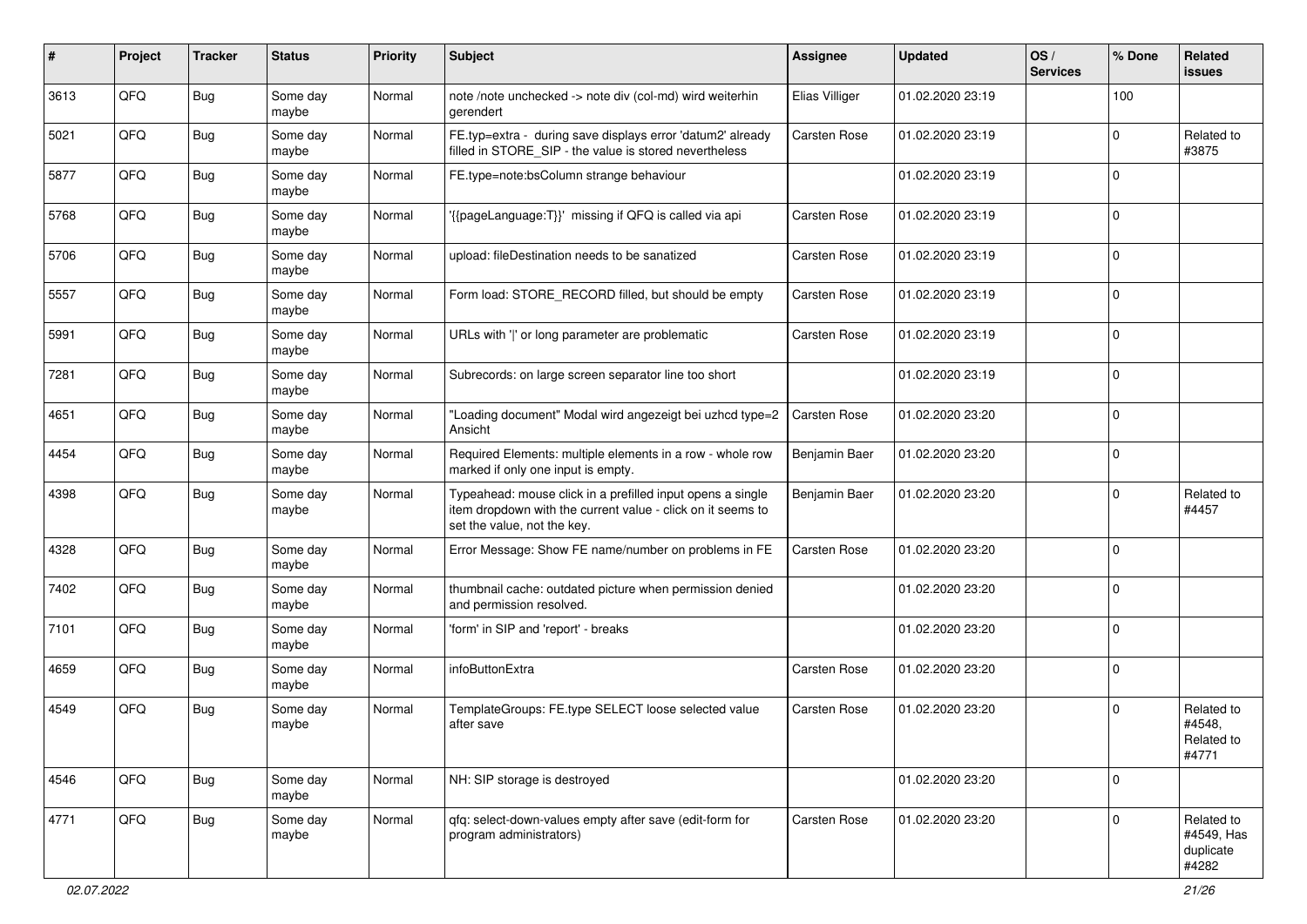| #    | Project | <b>Tracker</b> | <b>Status</b>     | <b>Priority</b> | Subject                                                                                                                                                  | Assignee       | <b>Updated</b>   | OS/<br><b>Services</b> | % Done      | Related<br><b>issues</b>                       |
|------|---------|----------------|-------------------|-----------------|----------------------------------------------------------------------------------------------------------------------------------------------------------|----------------|------------------|------------------------|-------------|------------------------------------------------|
| 3613 | QFQ     | <b>Bug</b>     | Some day<br>maybe | Normal          | note /note unchecked -> note div (col-md) wird weiterhin<br>gerendert                                                                                    | Elias Villiger | 01.02.2020 23:19 |                        | 100         |                                                |
| 5021 | QFQ     | Bug            | Some day<br>maybe | Normal          | FE.typ=extra - during save displays error 'datum2' already<br>filled in STORE_SIP - the value is stored nevertheless                                     | Carsten Rose   | 01.02.2020 23:19 |                        | 0           | Related to<br>#3875                            |
| 5877 | QFQ     | <b>Bug</b>     | Some day<br>maybe | Normal          | FE.type=note:bsColumn strange behaviour                                                                                                                  |                | 01.02.2020 23:19 |                        | $\Omega$    |                                                |
| 5768 | QFQ     | <b>Bug</b>     | Some day<br>maybe | Normal          | {{pageLanguage:T}}' missing if QFQ is called via api                                                                                                     | Carsten Rose   | 01.02.2020 23:19 |                        | $\mathbf 0$ |                                                |
| 5706 | QFQ     | Bug            | Some day<br>maybe | Normal          | upload: fileDestination needs to be sanatized                                                                                                            | Carsten Rose   | 01.02.2020 23:19 |                        | 0           |                                                |
| 5557 | QFQ     | <b>Bug</b>     | Some day<br>maybe | Normal          | Form load: STORE_RECORD filled, but should be empty                                                                                                      | Carsten Rose   | 01.02.2020 23:19 |                        | $\mathbf 0$ |                                                |
| 5991 | QFQ     | <b>Bug</b>     | Some day<br>maybe | Normal          | URLs with ' ' or long parameter are problematic                                                                                                          | Carsten Rose   | 01.02.2020 23:19 |                        | 0           |                                                |
| 7281 | QFQ     | <b>Bug</b>     | Some day<br>maybe | Normal          | Subrecords: on large screen separator line too short                                                                                                     |                | 01.02.2020 23:19 |                        | 0           |                                                |
| 4651 | QFQ     | Bug            | Some day<br>maybe | Normal          | 'Loading document" Modal wird angezeigt bei uzhcd type=2<br>Ansicht                                                                                      | Carsten Rose   | 01.02.2020 23:20 |                        | 0           |                                                |
| 4454 | QFQ     | <b>Bug</b>     | Some day<br>maybe | Normal          | Required Elements: multiple elements in a row - whole row<br>marked if only one input is empty.                                                          | Benjamin Baer  | 01.02.2020 23:20 |                        | $\mathbf 0$ |                                                |
| 4398 | QFQ     | Bug            | Some day<br>maybe | Normal          | Typeahead: mouse click in a prefilled input opens a single<br>item dropdown with the current value - click on it seems to<br>set the value, not the key. | Benjamin Baer  | 01.02.2020 23:20 |                        | $\mathbf 0$ | Related to<br>#4457                            |
| 4328 | QFQ     | Bug            | Some day<br>maybe | Normal          | Error Message: Show FE name/number on problems in FE                                                                                                     | Carsten Rose   | 01.02.2020 23:20 |                        | 0           |                                                |
| 7402 | QFQ     | <b>Bug</b>     | Some day<br>maybe | Normal          | thumbnail cache: outdated picture when permission denied<br>and permission resolved.                                                                     |                | 01.02.2020 23:20 |                        | $\mathbf 0$ |                                                |
| 7101 | QFQ     | Bug            | Some day<br>maybe | Normal          | 'form' in SIP and 'report' - breaks                                                                                                                      |                | 01.02.2020 23:20 |                        | $\mathbf 0$ |                                                |
| 4659 | QFQ     | <b>Bug</b>     | Some day<br>maybe | Normal          | infoButtonExtra                                                                                                                                          | Carsten Rose   | 01.02.2020 23:20 |                        | $\mathbf 0$ |                                                |
| 4549 | QFQ     | Bug            | Some day<br>maybe | Normal          | TemplateGroups: FE.type SELECT loose selected value<br>after save                                                                                        | Carsten Rose   | 01.02.2020 23:20 |                        | $\mathbf 0$ | Related to<br>#4548,<br>Related to<br>#4771    |
| 4546 | QFQ     | <b>Bug</b>     | Some day<br>maybe | Normal          | NH: SIP storage is destroyed                                                                                                                             |                | 01.02.2020 23:20 |                        | $\mathbf 0$ |                                                |
| 4771 | QFQ     | <b>Bug</b>     | Some day<br>maybe | Normal          | gfg: select-down-values empty after save (edit-form for<br>program administrators)                                                                       | Carsten Rose   | 01.02.2020 23:20 |                        | $\mathbf 0$ | Related to<br>#4549, Has<br>duplicate<br>#4282 |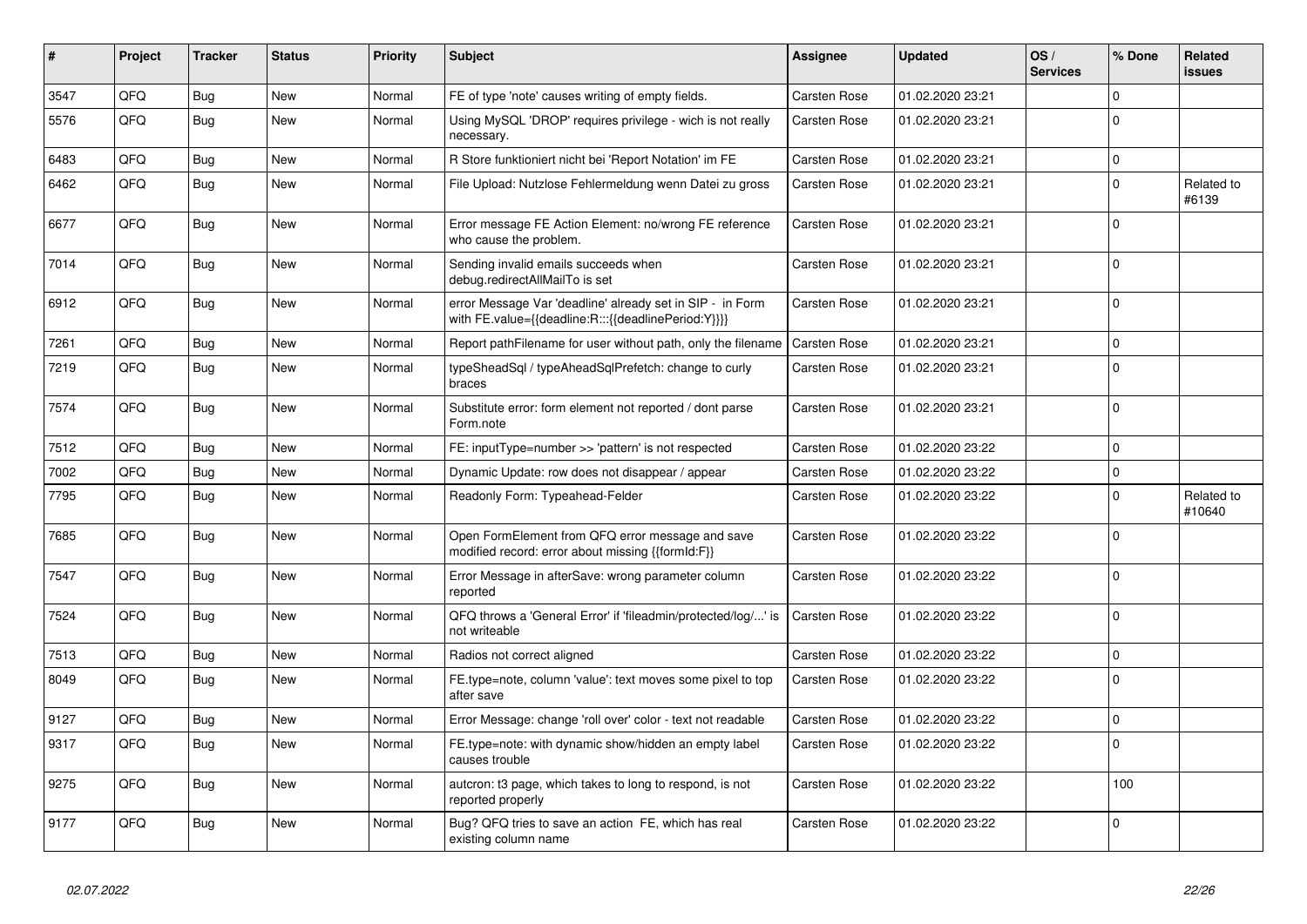| #    | Project | <b>Tracker</b> | <b>Status</b> | <b>Priority</b> | <b>Subject</b>                                                                                                   | <b>Assignee</b>     | <b>Updated</b>   | OS/<br><b>Services</b> | % Done       | Related<br>issues    |
|------|---------|----------------|---------------|-----------------|------------------------------------------------------------------------------------------------------------------|---------------------|------------------|------------------------|--------------|----------------------|
| 3547 | QFQ     | Bug            | <b>New</b>    | Normal          | FE of type 'note' causes writing of empty fields.                                                                | <b>Carsten Rose</b> | 01.02.2020 23:21 |                        | $\Omega$     |                      |
| 5576 | QFQ     | <b>Bug</b>     | <b>New</b>    | Normal          | Using MySQL 'DROP' requires privilege - wich is not really<br>necessary.                                         | <b>Carsten Rose</b> | 01.02.2020 23:21 |                        | $\Omega$     |                      |
| 6483 | QFQ     | Bug            | <b>New</b>    | Normal          | R Store funktioniert nicht bei 'Report Notation' im FE                                                           | <b>Carsten Rose</b> | 01.02.2020 23:21 |                        | $\mathbf 0$  |                      |
| 6462 | QFQ     | Bug            | New           | Normal          | File Upload: Nutzlose Fehlermeldung wenn Datei zu gross                                                          | Carsten Rose        | 01.02.2020 23:21 |                        | $\Omega$     | Related to<br>#6139  |
| 6677 | QFQ     | Bug            | <b>New</b>    | Normal          | Error message FE Action Element: no/wrong FE reference<br>who cause the problem.                                 | Carsten Rose        | 01.02.2020 23:21 |                        | $\mathbf{0}$ |                      |
| 7014 | QFQ     | Bug            | New           | Normal          | Sending invalid emails succeeds when<br>debug.redirectAllMailTo is set                                           | Carsten Rose        | 01.02.2020 23:21 |                        | $\Omega$     |                      |
| 6912 | QFQ     | Bug            | <b>New</b>    | Normal          | error Message Var 'deadline' already set in SIP - in Form<br>with FE.value={{deadline:R:::{{deadlinePeriod:Y}}}} | Carsten Rose        | 01.02.2020 23:21 |                        | $\Omega$     |                      |
| 7261 | QFQ     | <b>Bug</b>     | <b>New</b>    | Normal          | Report pathFilename for user without path, only the filename                                                     | <b>Carsten Rose</b> | 01.02.2020 23:21 |                        | $\Omega$     |                      |
| 7219 | QFQ     | <b>Bug</b>     | New           | Normal          | typeSheadSql / typeAheadSqlPrefetch: change to curly<br>braces                                                   | Carsten Rose        | 01.02.2020 23:21 |                        | $\Omega$     |                      |
| 7574 | QFQ     | Bug            | New           | Normal          | Substitute error: form element not reported / dont parse<br>Form.note                                            | Carsten Rose        | 01.02.2020 23:21 |                        | l 0          |                      |
| 7512 | QFQ     | <b>Bug</b>     | <b>New</b>    | Normal          | FE: inputType=number >> 'pattern' is not respected                                                               | <b>Carsten Rose</b> | 01.02.2020 23:22 |                        | $\Omega$     |                      |
| 7002 | QFQ     | Bug            | New           | Normal          | Dynamic Update: row does not disappear / appear                                                                  | <b>Carsten Rose</b> | 01.02.2020 23:22 |                        | $\Omega$     |                      |
| 7795 | QFQ     | Bug            | New           | Normal          | Readonly Form: Typeahead-Felder                                                                                  | <b>Carsten Rose</b> | 01.02.2020 23:22 |                        | $\Omega$     | Related to<br>#10640 |
| 7685 | QFQ     | Bug            | New           | Normal          | Open FormElement from QFQ error message and save<br>modified record: error about missing {{formId:F}}            | Carsten Rose        | 01.02.2020 23:22 |                        | $\Omega$     |                      |
| 7547 | QFQ     | Bug            | <b>New</b>    | Normal          | Error Message in afterSave: wrong parameter column<br>reported                                                   | <b>Carsten Rose</b> | 01.02.2020 23:22 |                        | $\Omega$     |                      |
| 7524 | QFQ     | <b>Bug</b>     | <b>New</b>    | Normal          | QFQ throws a 'General Error' if 'fileadmin/protected/log/' is<br>not writeable                                   | <b>Carsten Rose</b> | 01.02.2020 23:22 |                        | $\Omega$     |                      |
| 7513 | QFQ     | <b>Bug</b>     | <b>New</b>    | Normal          | Radios not correct aligned                                                                                       | <b>Carsten Rose</b> | 01.02.2020 23:22 |                        | $\mathbf 0$  |                      |
| 8049 | QFQ     | <b>Bug</b>     | New           | Normal          | FE.type=note, column 'value': text moves some pixel to top<br>after save                                         | Carsten Rose        | 01.02.2020 23:22 |                        | $\Omega$     |                      |
| 9127 | QFQ     | Bug            | <b>New</b>    | Normal          | Error Message: change 'roll over' color - text not readable                                                      | <b>Carsten Rose</b> | 01.02.2020 23:22 |                        | $\Omega$     |                      |
| 9317 | QFQ     | Bug            | New           | Normal          | FE.type=note: with dynamic show/hidden an empty label<br>causes trouble                                          | <b>Carsten Rose</b> | 01.02.2020 23:22 |                        | $\Omega$     |                      |
| 9275 | QFQ     | <b>Bug</b>     | New           | Normal          | autcron: t3 page, which takes to long to respond, is not<br>reported properly                                    | Carsten Rose        | 01.02.2020 23:22 |                        | 100          |                      |
| 9177 | QFQ     | <b>Bug</b>     | New           | Normal          | Bug? QFQ tries to save an action FE, which has real<br>existing column name                                      | <b>Carsten Rose</b> | 01.02.2020 23:22 |                        | $\Omega$     |                      |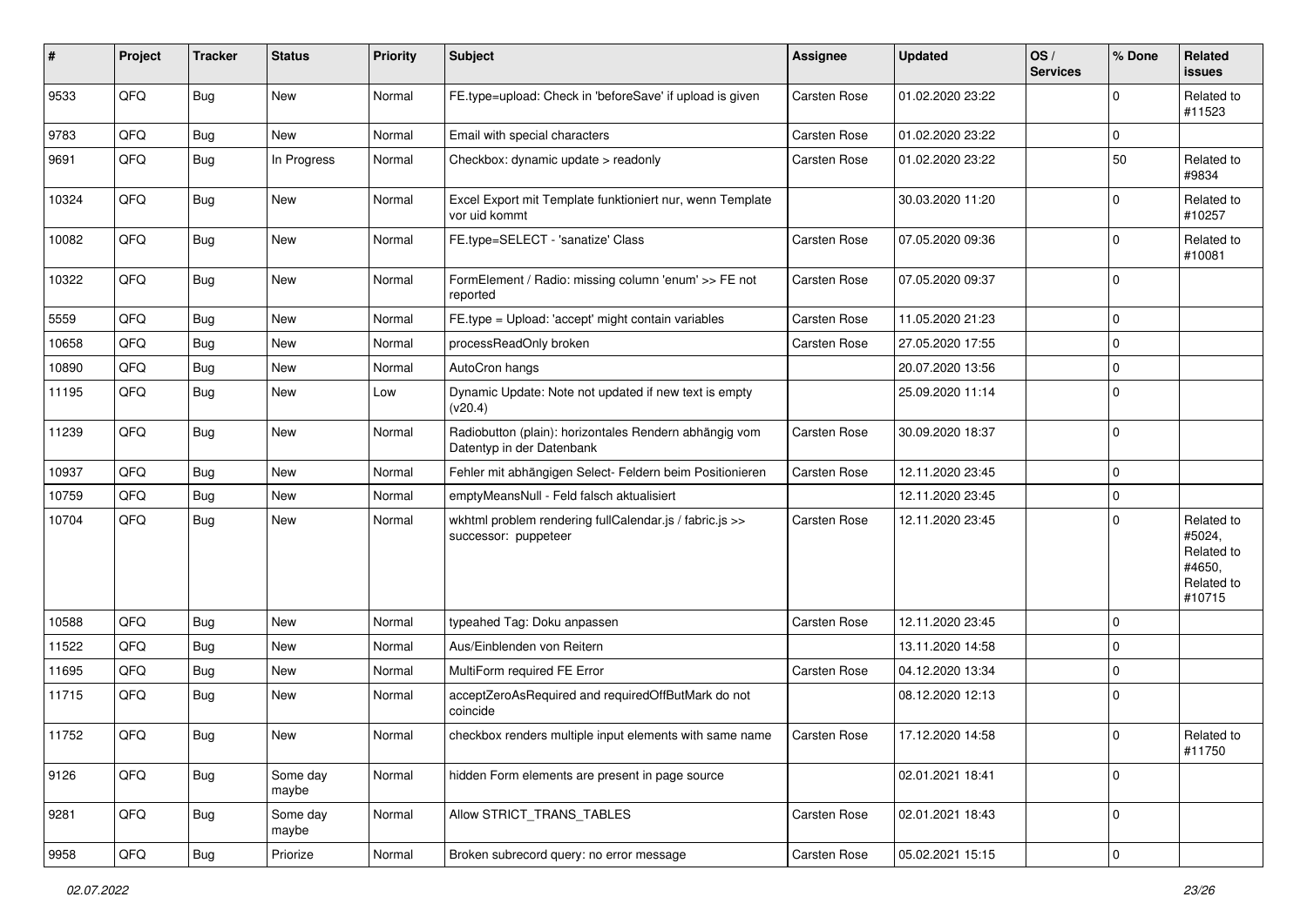| #     | Project | <b>Tracker</b> | <b>Status</b>     | <b>Priority</b> | Subject                                                                             | Assignee     | <b>Updated</b>   | OS/<br><b>Services</b> | % Done      | Related<br><b>issues</b>                                             |
|-------|---------|----------------|-------------------|-----------------|-------------------------------------------------------------------------------------|--------------|------------------|------------------------|-------------|----------------------------------------------------------------------|
| 9533  | QFQ     | Bug            | New               | Normal          | FE.type=upload: Check in 'beforeSave' if upload is given                            | Carsten Rose | 01.02.2020 23:22 |                        | $\Omega$    | Related to<br>#11523                                                 |
| 9783  | QFQ     | Bug            | New               | Normal          | Email with special characters                                                       | Carsten Rose | 01.02.2020 23:22 |                        | $\mathbf 0$ |                                                                      |
| 9691  | QFQ     | Bug            | In Progress       | Normal          | Checkbox: dynamic update > readonly                                                 | Carsten Rose | 01.02.2020 23:22 |                        | 50          | Related to<br>#9834                                                  |
| 10324 | QFQ     | Bug            | <b>New</b>        | Normal          | Excel Export mit Template funktioniert nur, wenn Template<br>vor uid kommt          |              | 30.03.2020 11:20 |                        | $\mathbf 0$ | Related to<br>#10257                                                 |
| 10082 | QFQ     | Bug            | New               | Normal          | FE.type=SELECT - 'sanatize' Class                                                   | Carsten Rose | 07.05.2020 09:36 |                        | $\Omega$    | Related to<br>#10081                                                 |
| 10322 | QFQ     | Bug            | New               | Normal          | FormElement / Radio: missing column 'enum' >> FE not<br>reported                    | Carsten Rose | 07.05.2020 09:37 |                        | $\mathbf 0$ |                                                                      |
| 5559  | QFQ     | <b>Bug</b>     | <b>New</b>        | Normal          | FE.type = Upload: 'accept' might contain variables                                  | Carsten Rose | 11.05.2020 21:23 |                        | $\mathbf 0$ |                                                                      |
| 10658 | QFQ     | Bug            | <b>New</b>        | Normal          | processReadOnly broken                                                              | Carsten Rose | 27.05.2020 17:55 |                        | $\mathbf 0$ |                                                                      |
| 10890 | QFQ     | <b>Bug</b>     | New               | Normal          | AutoCron hangs                                                                      |              | 20.07.2020 13:56 |                        | $\mathbf 0$ |                                                                      |
| 11195 | QFQ     | Bug            | <b>New</b>        | Low             | Dynamic Update: Note not updated if new text is empty<br>(v20.4)                    |              | 25.09.2020 11:14 |                        | $\mathbf 0$ |                                                                      |
| 11239 | QFQ     | Bug            | <b>New</b>        | Normal          | Radiobutton (plain): horizontales Rendern abhängig vom<br>Datentyp in der Datenbank | Carsten Rose | 30.09.2020 18:37 |                        | 0           |                                                                      |
| 10937 | QFQ     | Bug            | <b>New</b>        | Normal          | Fehler mit abhängigen Select- Feldern beim Positionieren                            | Carsten Rose | 12.11.2020 23:45 |                        | 0           |                                                                      |
| 10759 | QFQ     | <b>Bug</b>     | <b>New</b>        | Normal          | emptyMeansNull - Feld falsch aktualisiert                                           |              | 12.11.2020 23:45 |                        | $\mathbf 0$ |                                                                      |
| 10704 | QFQ     | Bug            | <b>New</b>        | Normal          | wkhtml problem rendering fullCalendar.js / fabric.js >><br>successor: puppeteer     | Carsten Rose | 12.11.2020 23:45 |                        | $\Omega$    | Related to<br>#5024,<br>Related to<br>#4650,<br>Related to<br>#10715 |
| 10588 | QFQ     | Bug            | <b>New</b>        | Normal          | typeahed Tag: Doku anpassen                                                         | Carsten Rose | 12.11.2020 23:45 |                        | $\mathbf 0$ |                                                                      |
| 11522 | QFQ     | <b>Bug</b>     | <b>New</b>        | Normal          | Aus/Einblenden von Reitern                                                          |              | 13.11.2020 14:58 |                        | $\Omega$    |                                                                      |
| 11695 | QFQ     | <b>Bug</b>     | <b>New</b>        | Normal          | MultiForm required FE Error                                                         | Carsten Rose | 04.12.2020 13:34 |                        | 0           |                                                                      |
| 11715 | QFQ     | Bug            | New               | Normal          | acceptZeroAsRequired and requiredOffButMark do not<br>coincide                      |              | 08.12.2020 12:13 |                        | $\mathbf 0$ |                                                                      |
| 11752 | QFQ     | Bug            | New               | Normal          | checkbox renders multiple input elements with same name                             | Carsten Rose | 17.12.2020 14:58 |                        | $\mathbf 0$ | Related to<br>#11750                                                 |
| 9126  | QFQ     | Bug            | Some day<br>maybe | Normal          | hidden Form elements are present in page source                                     |              | 02.01.2021 18:41 |                        | 0           |                                                                      |
| 9281  | QFQ     | Bug            | Some day<br>maybe | Normal          | Allow STRICT TRANS TABLES                                                           | Carsten Rose | 02.01.2021 18:43 |                        | $\mathbf 0$ |                                                                      |
| 9958  | QFG     | Bug            | Priorize          | Normal          | Broken subrecord query: no error message                                            | Carsten Rose | 05.02.2021 15:15 |                        | $\pmb{0}$   |                                                                      |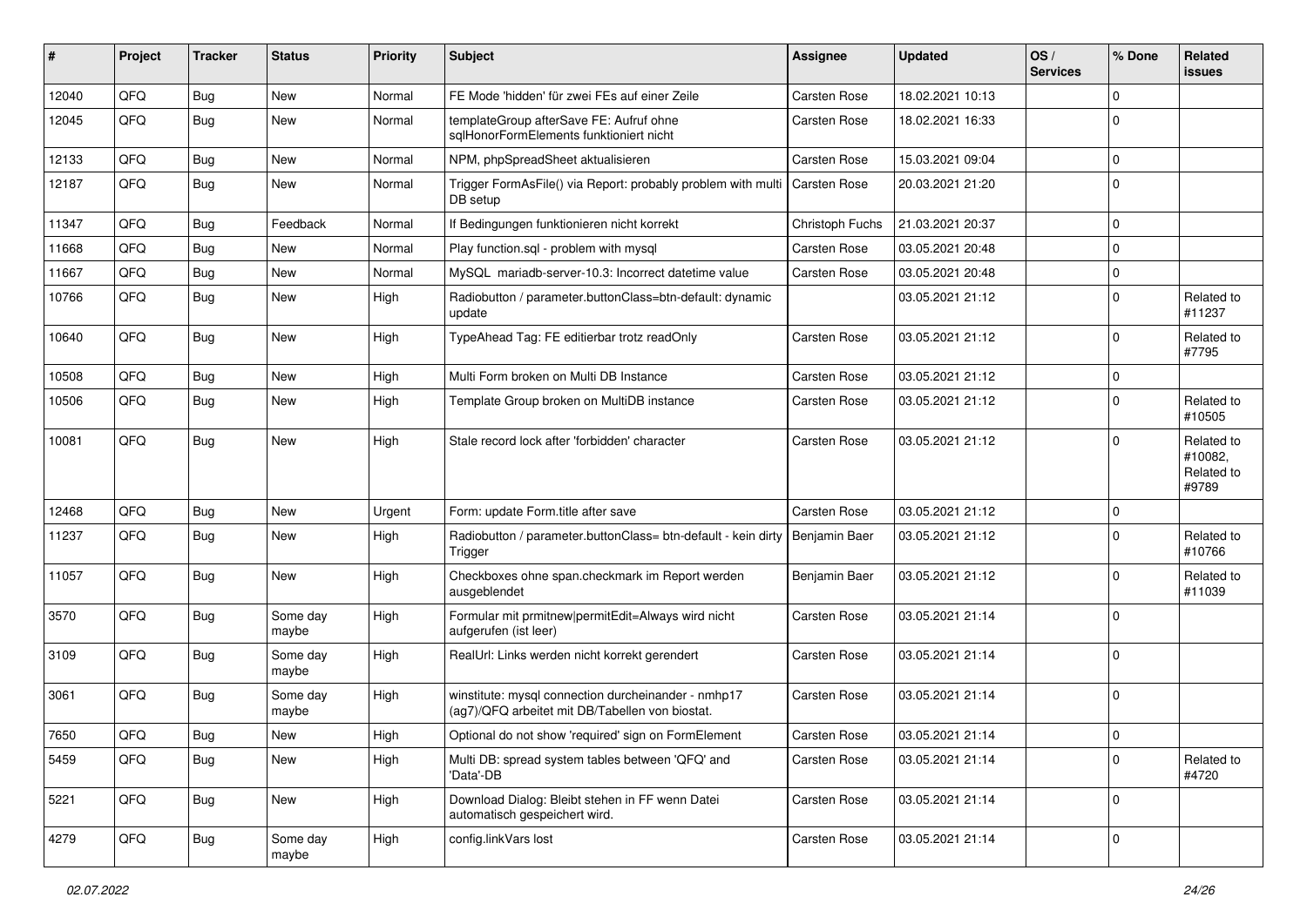| ∦     | Project | <b>Tracker</b> | <b>Status</b>     | <b>Priority</b> | Subject                                                                                                | Assignee            | <b>Updated</b>   | OS/<br><b>Services</b> | % Done      | Related<br><b>issues</b>                     |
|-------|---------|----------------|-------------------|-----------------|--------------------------------------------------------------------------------------------------------|---------------------|------------------|------------------------|-------------|----------------------------------------------|
| 12040 | QFQ     | Bug            | New               | Normal          | FE Mode 'hidden' für zwei FEs auf einer Zeile                                                          | Carsten Rose        | 18.02.2021 10:13 |                        | $\Omega$    |                                              |
| 12045 | QFQ     | <b>Bug</b>     | <b>New</b>        | Normal          | templateGroup afterSave FE: Aufruf ohne<br>sqlHonorFormElements funktioniert nicht                     | Carsten Rose        | 18.02.2021 16:33 |                        | $\Omega$    |                                              |
| 12133 | QFQ     | <b>Bug</b>     | <b>New</b>        | Normal          | NPM, phpSpreadSheet aktualisieren                                                                      | Carsten Rose        | 15.03.2021 09:04 |                        | $\mathbf 0$ |                                              |
| 12187 | QFQ     | Bug            | <b>New</b>        | Normal          | Trigger FormAsFile() via Report: probably problem with multi<br>DB setup                               | Carsten Rose        | 20.03.2021 21:20 |                        | $\mathbf 0$ |                                              |
| 11347 | QFQ     | Bug            | Feedback          | Normal          | If Bedingungen funktionieren nicht korrekt                                                             | Christoph Fuchs     | 21.03.2021 20:37 |                        | $\mathbf 0$ |                                              |
| 11668 | QFQ     | Bug            | <b>New</b>        | Normal          | Play function.sql - problem with mysql                                                                 | Carsten Rose        | 03.05.2021 20:48 |                        | $\mathbf 0$ |                                              |
| 11667 | QFQ     | Bug            | <b>New</b>        | Normal          | MySQL mariadb-server-10.3: Incorrect datetime value                                                    | Carsten Rose        | 03.05.2021 20:48 |                        | $\mathbf 0$ |                                              |
| 10766 | QFQ     | Bug            | <b>New</b>        | High            | Radiobutton / parameter.buttonClass=btn-default: dynamic<br>update                                     |                     | 03.05.2021 21:12 |                        | $\Omega$    | Related to<br>#11237                         |
| 10640 | QFQ     | Bug            | New               | High            | TypeAhead Tag: FE editierbar trotz readOnly                                                            | Carsten Rose        | 03.05.2021 21:12 |                        | $\mathbf 0$ | Related to<br>#7795                          |
| 10508 | QFQ     | Bug            | <b>New</b>        | High            | Multi Form broken on Multi DB Instance                                                                 | Carsten Rose        | 03.05.2021 21:12 |                        | 0           |                                              |
| 10506 | QFQ     | Bug            | <b>New</b>        | High            | Template Group broken on MultiDB instance                                                              | Carsten Rose        | 03.05.2021 21:12 |                        | $\mathbf 0$ | Related to<br>#10505                         |
| 10081 | QFQ     | <b>Bug</b>     | <b>New</b>        | High            | Stale record lock after 'forbidden' character                                                          | Carsten Rose        | 03.05.2021 21:12 |                        | $\Omega$    | Related to<br>#10082,<br>Related to<br>#9789 |
| 12468 | QFQ     | <b>Bug</b>     | <b>New</b>        | Urgent          | Form: update Form.title after save                                                                     | Carsten Rose        | 03.05.2021 21:12 |                        | 0           |                                              |
| 11237 | QFQ     | Bug            | New               | High            | Radiobutton / parameter.buttonClass= btn-default - kein dirty<br>Trigger                               | Benjamin Baer       | 03.05.2021 21:12 |                        | $\Omega$    | Related to<br>#10766                         |
| 11057 | QFQ     | Bug            | <b>New</b>        | High            | Checkboxes ohne span.checkmark im Report werden<br>ausgeblendet                                        | Benjamin Baer       | 03.05.2021 21:12 |                        | $\Omega$    | Related to<br>#11039                         |
| 3570  | QFQ     | <b>Bug</b>     | Some day<br>maybe | High            | Formular mit prmitnew permitEdit=Always wird nicht<br>aufgerufen (ist leer)                            | Carsten Rose        | 03.05.2021 21:14 |                        | $\mathbf 0$ |                                              |
| 3109  | QFQ     | Bug            | Some day<br>maybe | High            | RealUrl: Links werden nicht korrekt gerendert                                                          | Carsten Rose        | 03.05.2021 21:14 |                        | 0           |                                              |
| 3061  | QFQ     | Bug            | Some day<br>maybe | High            | winstitute: mysql connection durcheinander - nmhp17<br>(ag7)/QFQ arbeitet mit DB/Tabellen von biostat. | Carsten Rose        | 03.05.2021 21:14 |                        | $\mathbf 0$ |                                              |
| 7650  | QFQ     | Bug            | New               | High            | Optional do not show 'required' sign on FormElement                                                    | <b>Carsten Rose</b> | 03.05.2021 21:14 |                        | 0           |                                              |
| 5459  | QFQ     | Bug            | New               | High            | Multi DB: spread system tables between 'QFQ' and<br>'Data'-DB                                          | Carsten Rose        | 03.05.2021 21:14 |                        | $\mathbf 0$ | Related to<br>#4720                          |
| 5221  | QFQ     | Bug            | New               | High            | Download Dialog: Bleibt stehen in FF wenn Datei<br>automatisch gespeichert wird.                       | Carsten Rose        | 03.05.2021 21:14 |                        | 0           |                                              |
| 4279  | QFG     | Bug            | Some day<br>maybe | High            | config.linkVars lost                                                                                   | Carsten Rose        | 03.05.2021 21:14 |                        | 0           |                                              |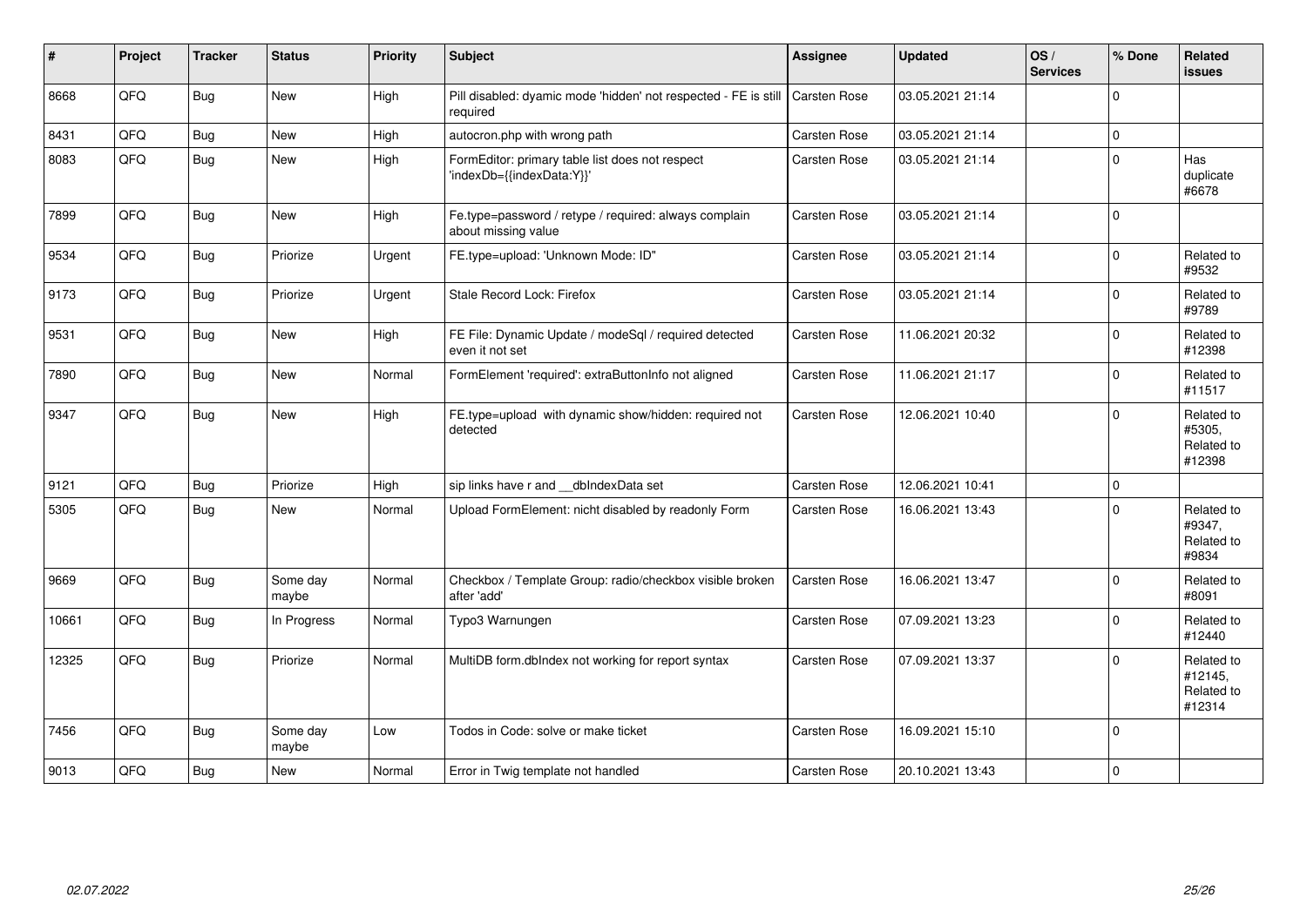| #     | Project | <b>Tracker</b> | <b>Status</b>     | <b>Priority</b> | <b>Subject</b>                                                               | <b>Assignee</b> | <b>Updated</b>   | OS/<br><b>Services</b> | % Done      | Related<br>issues                             |
|-------|---------|----------------|-------------------|-----------------|------------------------------------------------------------------------------|-----------------|------------------|------------------------|-------------|-----------------------------------------------|
| 8668  | QFQ     | Bug            | New               | High            | Pill disabled: dyamic mode 'hidden' not respected - FE is still<br>required  | Carsten Rose    | 03.05.2021 21:14 |                        | $\Omega$    |                                               |
| 8431  | QFQ     | Bug            | New               | High            | autocron.php with wrong path                                                 | Carsten Rose    | 03.05.2021 21:14 |                        | $\mathbf 0$ |                                               |
| 8083  | QFQ     | Bug            | New               | High            | FormEditor: primary table list does not respect<br>'indexDb={{indexData:Y}}' | Carsten Rose    | 03.05.2021 21:14 |                        | $\Omega$    | Has<br>duplicate<br>#6678                     |
| 7899  | QFQ     | Bug            | New               | High            | Fe.type=password / retype / required: always complain<br>about missing value | Carsten Rose    | 03.05.2021 21:14 |                        | $\Omega$    |                                               |
| 9534  | QFQ     | Bug            | Priorize          | Urgent          | FE.type=upload: 'Unknown Mode: ID"                                           | Carsten Rose    | 03.05.2021 21:14 |                        | $\Omega$    | Related to<br>#9532                           |
| 9173  | QFQ     | Bug            | Priorize          | Urgent          | Stale Record Lock: Firefox                                                   | Carsten Rose    | 03.05.2021 21:14 |                        | $\Omega$    | Related to<br>#9789                           |
| 9531  | QFQ     | Bug            | <b>New</b>        | High            | FE File: Dynamic Update / modeSql / required detected<br>even it not set     | Carsten Rose    | 11.06.2021 20:32 |                        | $\Omega$    | Related to<br>#12398                          |
| 7890  | QFQ     | Bug            | <b>New</b>        | Normal          | FormElement 'required': extraButtonInfo not aligned                          | Carsten Rose    | 11.06.2021 21:17 |                        | $\Omega$    | Related to<br>#11517                          |
| 9347  | QFQ     | Bug            | New               | High            | FE.type=upload with dynamic show/hidden: required not<br>detected            | Carsten Rose    | 12.06.2021 10:40 |                        | $\Omega$    | Related to<br>#5305,<br>Related to<br>#12398  |
| 9121  | QFQ     | <b>Bug</b>     | Priorize          | High            | sip links have r and __dbIndexData set                                       | Carsten Rose    | 12.06.2021 10:41 |                        | $\Omega$    |                                               |
| 5305  | QFQ     | Bug            | New               | Normal          | Upload FormElement: nicht disabled by readonly Form                          | Carsten Rose    | 16.06.2021 13:43 |                        | $\Omega$    | Related to<br>#9347,<br>Related to<br>#9834   |
| 9669  | QFQ     | Bug            | Some day<br>maybe | Normal          | Checkbox / Template Group: radio/checkbox visible broken<br>after 'add'      | Carsten Rose    | 16.06.2021 13:47 |                        | $\Omega$    | Related to<br>#8091                           |
| 10661 | QFQ     | Bug            | In Progress       | Normal          | Typo3 Warnungen                                                              | Carsten Rose    | 07.09.2021 13:23 |                        | $\Omega$    | Related to<br>#12440                          |
| 12325 | QFQ     | Bug            | Priorize          | Normal          | MultiDB form.dblndex not working for report syntax                           | Carsten Rose    | 07.09.2021 13:37 |                        | $\Omega$    | Related to<br>#12145,<br>Related to<br>#12314 |
| 7456  | QFQ     | Bug            | Some day<br>maybe | Low             | Todos in Code: solve or make ticket                                          | Carsten Rose    | 16.09.2021 15:10 |                        | $\Omega$    |                                               |
| 9013  | QFQ     | Bug            | <b>New</b>        | Normal          | Error in Twig template not handled                                           | Carsten Rose    | 20.10.2021 13:43 |                        | $\Omega$    |                                               |